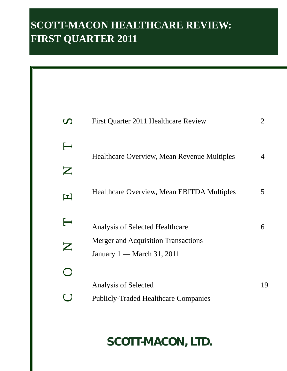# **SCOTT-MACON HEALTHCARE REVIEW: FIRST QUARTER 2011**

| $\boldsymbol{\mathcal{D}}$        | First Quarter 2011 Healthcare Review                                       | $\overline{2}$ |
|-----------------------------------|----------------------------------------------------------------------------|----------------|
| $\longleftarrow$                  | Healthcare Overview, Mean Revenue Multiples                                | 4              |
| $\boldsymbol{Z}$                  |                                                                            |                |
| $\blacksquare$                    | <b>Healthcare Overview, Mean EBITDA Multiples</b>                          | 5              |
| $\overline{\phantom{a}}$          | <b>Analysis of Selected Healthcare</b>                                     | 6              |
| $\mathbf{Z}% _{T}=\mathbf{Z}_{T}$ | <b>Merger and Acquisition Transactions</b><br>January $1$ — March 31, 2011 |                |
|                                   |                                                                            |                |
|                                   | Analysis of Selected                                                       | 19             |
|                                   | <b>Publicly-Traded Healthcare Companies</b>                                |                |

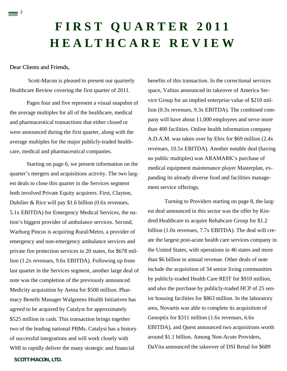# **FIRST QUARTER 2011 HEALTHCARE REVIEW**

## Dear Clients and Friends,

 $\equiv$  <sup>2</sup>

 Scott-Macon is pleased to present our quarterly Healthcare Review covering the first quarter of 2011.

Pages four and five represent a visual snapshot of the average multiples for all of the healthcare, medical and pharmaceutical transactions that either closed or were announced during the first quarter, along with the average multiples for the major publicly-traded healthcare, medical and pharmaceutical companies.

 Starting on page 6, we present information on the quarter's mergers and acquisitions activity. The two largest deals to close this quarter in the Services segment both involved Private Equity acquirers. First, Clayton, Dubilier & Rice will pay \$1.6 billion (0.6x revenues, 5.1x EBITDA) for Emergency Medical Services, the nation's biggest provider of ambulance services. Second, Warburg Pincus is acquiring Rural/Metro, a provider of emergency and non-emergency ambulance services and private fire protection services in 20 states, for \$678 million (1.2x revenues, 9.6x EBITDA). Following up from last quarter in the Services segment, another large deal of note was the completion of the previously announced Medicity acquisition by Aetna for \$500 million. Pharmacy Benefit Manager Walgreens Health Initiatives has agreed to be acquired by Catalyst for approximately \$525 million in cash. This transaction brings together two of the leading national PBMs. Catalyst has a history of successful integrations and will work closely with WHI to rapidly deliver the many strategic and financial

benefits of this transaction. In the correctional services space, Valitas announced its takeover of America Service Group for an implied enterprise value of \$210 million (0.3x revenues, 9.3x EBITDA). The combined company will have about 11,000 employees and serve more than 400 facilities. Online health information company A.D.A.M. was taken over by Ebix for \$69 million (2.4x revenues, 10.5x EBITDA). Another notable deal (having no public multiples) was ARAMARK's purchase of medical equipment maintenance player Masterplan, expanding its already diverse food and facilities management service offerings.

Turning to Providers starting on page 8, the largest deal announced in this sector was the offer by Kindred Healthcare to acquire Rehabcare Group for \$1.2 billion (1.0x revenues, 7.7x EBITDA). The deal will create the largest post-acute health care services company in the United States, with operations in 46 states and more than \$6 billion in annual revenue. Other deals of note include the acquisition of 34 senior living communities by publicly-traded Health Care REIT for \$910 million, and also the purchase by publicly-traded HCP of 25 senior housing facilities for \$863 million. In the laboratory area, Novartis was able to complete its acquisition of Genoptix for \$311 million (1.6x revenues, 6.6x EBITDA), and Quest announced two acquisitions worth around \$1.1 billion. Among Non-Acute Providers, DaVita announced the takeover of DSI Renal for \$689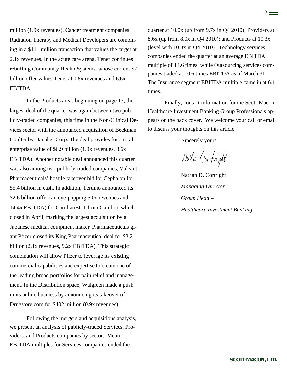million (1.9x revenues). Cancer treatment companies Radiation Therapy and Medical Developers are combining in a \$111 million transaction that values the target at 2.1x revenues. In the acute care arena, Tenet continues rebuffing Community Health Systems, whose current \$7 billion offer values Tenet at 0.8x revenues and 6.6x EBITDA.

 In the Products areas beginning on page 13, the largest deal of the quarter was again between two publicly-traded companies, this time in the Non-Clinical Devices sector with the announced acquisition of Beckman Coulter by Danaher Corp. The deal provides for a total enterprise value of \$6.9 billion (1.9x revenues, 8.6x EBITDA). Another notable deal announced this quarter was also among two publicly-traded companies, Valeant Pharmaceuticals' hostile takeover bid for Cephalon for \$5.4 billion in cash. In addition, Terumo announced its \$2.6 billion offer (an eye-popping 5.0x revenues and 14.4x EBITDA) for CaridianBCT from Gambro, which closed in April, marking the largest acquisition by a Japanese medical equipment maker. Pharmaceuticals giant Pfizer closed its King Pharmaceutical deal for \$3.2 billion (2.1x revenues, 9.2x EBITDA). This strategic combination will allow Pfizer to leverage its existing commercial capabilities and expertise to create one of the leading broad portfolios for pain relief and management. In the Distribution space, Walgreen made a push in its online business by announcing its takeover of Drugstore.com for \$402 million (0.9x revenues).

Following the mergers and acquisitions analysis, we present an analysis of publicly-traded Services, Providers, and Products companies by sector. Mean EBITDA multiples for Services companies ended the

quarter at 10.0x (up from 9.7x in Q4 2010); Providers at 8.6x (up from 8.0x in Q4 2010); and Products at 10.3x (level with 10.3x in Q4 2010). Technology services companies ended the quarter at an average EBITDA multiple of 14.6 times, while Outsourcing services companies traded at 10.6 times EBITDA as of March 31. The Insurance segment EBITDA multiple came in at 6.1 times.

3

Finally, contact information for the Scott-Macon Healthcare Investment Banking Group Professionals appears on the back cover. We welcome your call or email to discuss your thoughts on this article.

Sincerely yours,

Nate Cortright

Nathan D. Cortright *Managing Director Group Head – Healthcare Investment Banking*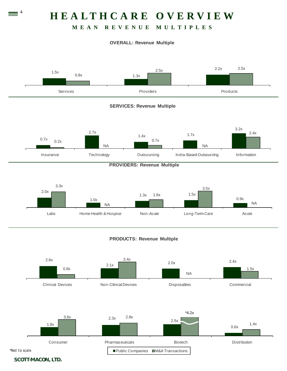# **HEALTHCARE OVERVIEW**

# **MEAN REVENUE MULTIPLES**

## **OVERALL: Revenue Multiple**





Clinical Devices Non-Clinical Devices Disposables Commercial



*\*Not to scale*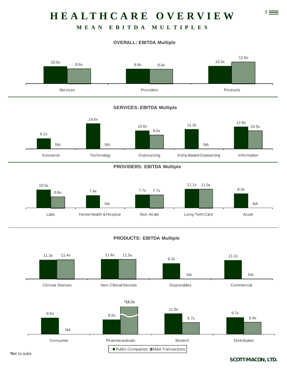# 5 **HEALTHCARE OVERVIEW**

# **MEAN EBITDA MULTIPLES**

## **OVERALL: EBITDA Multiple**



## **SERVICES: EBITDA Multiple**



### **PROVIDERS: EBITDA Multiple**



## **PRODUCTS: EBITDA Multiple**

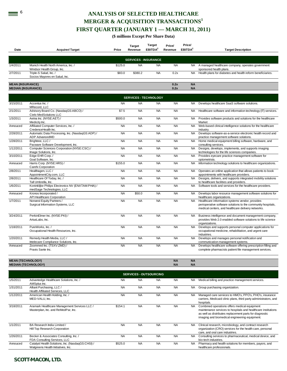# **EXECTED HEALTHCARE MERGER & ACQUISITION TRANSACTIONS<sup>1</sup> FIRST QUARTER (JANUARY 1 — MARCH 31, 2011)**

**(\$ millions Except Per Share Data)** 

| Date                                                 | <b>Acquirer/Target</b>                                                          | Price     | <b>Target</b><br>Revenue | <b>Target</b><br>EBITDA <sup>2</sup> | Price/<br>Revenue      | Price/<br>EBITDA <sup>2</sup> | <b>Target Description</b>                                                                                                                                             |
|------------------------------------------------------|---------------------------------------------------------------------------------|-----------|--------------------------|--------------------------------------|------------------------|-------------------------------|-----------------------------------------------------------------------------------------------------------------------------------------------------------------------|
|                                                      |                                                                                 |           |                          | <b>SERVICES - INSURANCE</b>          |                        |                               |                                                                                                                                                                       |
| 1/4/2011                                             | Munich Health North America, Inc. /<br>Windsor Health Group, Inc.               | \$125.0   | <b>NA</b>                | <b>NA</b>                            | <b>NA</b>              | <b>NA</b>                     | A managed healthcare company, operates government<br>sponsored health plans.                                                                                          |
| 2/7/2011                                             | Triple-S Salud, Inc. /<br>Socios Mayores en Salud, Inc.                         | \$83.0    | \$380.2                  | <b>NA</b>                            | 0.2x                   | <b>NA</b>                     | Health plans for diabetes and health reform beneficiaries.                                                                                                            |
| <b>MEAN (INSURANCE)</b><br><b>MEDIAN (INSURANCE)</b> |                                                                                 |           |                          |                                      | 0.2x<br>0.2x           | <b>NA</b><br><b>NA</b>        |                                                                                                                                                                       |
|                                                      |                                                                                 |           |                          | <b>SERVICES - TECHNOLOGY</b>         |                        |                               |                                                                                                                                                                       |
|                                                      |                                                                                 |           |                          |                                      |                        |                               |                                                                                                                                                                       |
| 3/15/2011                                            | Accentus Inc./<br>MRecord. LLC                                                  | <b>NA</b> | <b>NA</b>                | <b>NA</b>                            | <b>NA</b>              | NA.                           | Develops healthcare SaaS software solutions.                                                                                                                          |
| 2/1/2011                                             | Advisory Board Co. (NasdaqGS:ABCO) /<br>Cielo MedSolutions LLC                  | \$7.5     | <b>NA</b>                | <b>NA</b>                            | <b>NA</b>              | NA                            | Healthcare software and information technology (IT) services.                                                                                                         |
| 1/3/2011                                             | Aetna Inc. (NYSE:AET) /<br>Medicity Inc.                                        | \$500.0   | <b>NA</b>                | <b>NA</b>                            | <b>NA</b>              | <b>NA</b>                     | Provides software products and solutions for the healthcare<br>Market                                                                                                 |
| Annouced                                             | Affiliated Computer Services, Inc. /<br>CredenceHealth Inc.                     | <b>NA</b> | <b>NA</b>                | <b>NA</b>                            | <b>NA</b>              | <b>NA</b>                     | Web-based clinical intelligence solutions for the healthcare<br>industry.                                                                                             |
| 2/28/2011                                            | Automatic Data Processing, Inc. (NasdaqGS:ADP) /<br>ADP AdvancedMD              | <b>NA</b> | <b>NA</b>                | <b>NA</b>                            | <b>NA</b>              | <b>NA</b>                     | Develops software-as-a-service electronic health record and<br>practice management software solutions.                                                                |
| 1/28/2011                                            | Brightree, LLC /<br>Pacware Software Development, Inc.                          | <b>NA</b> | <b>NA</b>                | <b>NA</b>                            | <b>NA</b>              |                               | NA Home medical equipment billing software, hardware, and<br>consulting services.                                                                                     |
| 1/12/2011                                            | Computer Sciences Corporation (NYSE:CSC) /<br>Image Solutions, Inc.             | <b>NA</b> | <b>NA</b>                | <b>NA</b>                            | <b>NA</b>              | <b>NA</b>                     | Designs, develops, implements, and supports imaging<br>technologies for the life sciences companies.                                                                  |
| 3/10/2011                                            | Edge EHR Corp./<br>Goal Software, Inc.                                          | <b>NA</b> | <b>NA</b>                | <b>NA</b>                            | <b>NA</b>              | <b>NA</b>                     | Provides eyecare practice management software for<br>optometrists.                                                                                                    |
| Annouced                                             | Harris Corp. (NYSE:HRS) /<br>Carefx Corporation                                 | \$155.0   | <b>NA</b>                | <b>NA</b>                            | <b>NA</b>              | <b>NA</b>                     | Information technology solutions to healthcare organizations.                                                                                                         |
| 2/8/2011                                             | Healthagen, LLC /<br>AppointmentCity.com, LLC                                   | <b>NA</b> | <b>NA</b>                | <b>NA</b>                            | <b>NA</b>              | <b>NA</b>                     | Operates an online application that allows patients to book<br>appointments with healthcare providers.                                                                |
| 2/8/2011                                             | Healthcare Of Today, Inc. /<br>Tall Umbrella, Inc.                              | <b>NA</b> | <b>NA</b>                | <b>NA</b>                            | <b>NA</b>              | <b>NA</b>                     | Designs, delivers, and supports integrated mobility solutions<br>to healthcare facilities and providers.                                                              |
| 1/6/2011                                             | Koninklijke Philips Electronics NV (ENXTAM:PHIA) /<br>medSage Technologies, LLC | <b>NA</b> | <b>NA</b>                | <b>NA</b>                            | <b>NA</b>              | <b>NA</b>                     | Software tools and services for the healthcare providers.                                                                                                             |
| Annouced                                             | Kronos Incorporated /<br>API Healthcare Corporation                             | <b>NA</b> | \$50.0                   | <b>NA</b>                            | <b>NA</b>              | <b>NA</b>                     | Develops labor resource management software solutions for<br>healthcare organizations.                                                                                |
| 1/7/2011                                             | Norwest Equity Partners /<br>Surgical Information Systems, LLC                  | <b>NA</b> | <b>NA</b>                | <b>NA</b>                            | <b>NA</b>              | <b>NA</b>                     | Healthcare information systems vendor, provides<br>perioperative software solutions to the community hospitals,<br>medical centers, and healthcare delivery networks. |
| 3/24/2011                                            | PerkinElmer Inc. (NYSE:PKI) /<br>ArtusLabs, Inc.                                | <b>NA</b> | <b>NA</b>                | <b>NA</b>                            | <b>NA</b>              | <b>NA</b>                     | Business intelligence and document management company,<br>provides Web 2.0 enabled software solutions to life science<br>organizations.                               |
| 1/18/2011                                            | PureWorks, Inc. /<br>Occupational Health Resources, Inc.                        | <b>NA</b> | <b>NA</b>                | <b>NA</b>                            | <b>NA</b>              | <b>NA</b>                     | Develops and supports personal computer applications for<br>occupational medicine, rehabilitation, and urgent care<br>industries.                                     |
| 1/20/2011                                            | Remedy Health Media, LLC /<br>Intelecare Compliance Solutions, Inc.             | <b>NA</b> | <b>NA</b>                | <b>NA</b>                            | <b>NA</b>              | <b>NA</b>                     | Develops and manages personal notification and<br>communication management systems.                                                                                   |
| Annouced                                             | Zoommed Inc. (TSXV:ZMD) /<br>Praxis Sante Inc.                                  | <b>NA</b> | <b>NA</b>                | <b>NA</b>                            | <b>NA</b>              | <b>NA</b>                     | Develops healthcare software offering prescription filling and<br>complete pharmacists patient file management services.                                              |
| <b>MEAN (TECHNOLOGY)</b>                             | <b>MEDIAN (TECHNOLOGY)</b>                                                      |           |                          |                                      | <b>NA</b><br><b>NA</b> | <b>NA</b><br><b>NA</b>        |                                                                                                                                                                       |

|           |                                                                                         |           | <b>SERVICES - OUTSOURCING</b> |           |           |           |                                                                                                                                                                                                                           |
|-----------|-----------------------------------------------------------------------------------------|-----------|-------------------------------|-----------|-----------|-----------|---------------------------------------------------------------------------------------------------------------------------------------------------------------------------------------------------------------------------|
| 1/5/2011  | Advantedge Healthcare Solutions, Inc. /<br>AMSplus Inc.                                 | <b>NA</b> | <b>NA</b>                     | <b>NA</b> | <b>NA</b> | NA.       | Medical billing and practice management services.                                                                                                                                                                         |
| 1/31/2011 | Alliant Purchasing, LLC /<br>Health Affiliated Services, LLC                            | <b>NA</b> | <b>NA</b>                     | <b>NA</b> | <b>NA</b> | <b>NA</b> | Group purchasing organization.                                                                                                                                                                                            |
| 1/12/2011 | American Health Holding, Inc. /<br>MED-VALU, Inc.                                       | <b>NA</b> | <b>NA</b>                     | <b>NA</b> | <b>NA</b> | <b>NA</b> | Managed care services to HMO's, PPO's, PHO's, insurance<br>carriers, Medicaid clinic plans, third party administrators, and<br>hospitals.                                                                                 |
| 3/18/2011 | Aramark Healthcare Management Services LLC /<br>Masterplan, Inc. and ReMedPar, Inc.     | \$154.1   | <b>NA</b>                     | <b>NA</b> | <b>NA</b> | <b>NA</b> | Combined operations offers medical equipment<br>maintenance services to hospitals and healthcare institutions<br>as well as distributes replacement parts for diagnostic<br>imaging and biomedical engineering equipment. |
| 1/1/2011  | BA Research India Limited /<br>Hill Top Research Corporation                            | <b>NA</b> | <b>NA</b>                     | <b>NA</b> | <b>NA</b> | <b>NA</b> | Clinical research, microbiology, and contract research<br>organization (CRO) services for the health care, personal<br>care, and oral care industries.                                                                    |
| 1/26/2011 | Becker & Associates Consulting, Inc. /<br>FDA Consulting Services, LLC                  | <b>NA</b> | <b>NA</b>                     | <b>NA</b> | <b>NA</b> | <b>NA</b> | Consulting services to pharmaceutical, medical device, and<br>bio-tech industries.                                                                                                                                        |
| Annouced  | Catalyst Health Solutions, Inc. (NasdaqGS:CHSI) /<br>Walgreens Health Initiatives, Inc. | \$525.0   | <b>NA</b>                     | <b>NA</b> | <b>NA</b> | <b>NA</b> | Pharmacy and health solutions for members, payors, and<br>healthcare professionals.                                                                                                                                       |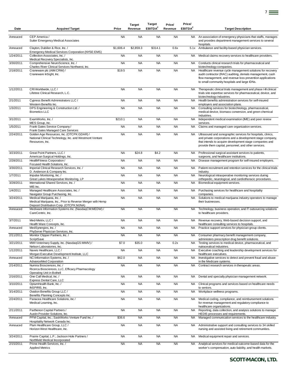| Date      | <b>Acquirer/Target</b>                                                                                                             | Price     | <b>Target</b><br>Revenue | <b>Target</b><br>EBITDA <sup>2</sup> | Price/<br>Revenue | Price/<br>EBITDA <sup>2</sup> | <b>Target Description</b>                                                                                                                                                                                                                   |
|-----------|------------------------------------------------------------------------------------------------------------------------------------|-----------|--------------------------|--------------------------------------|-------------------|-------------------------------|---------------------------------------------------------------------------------------------------------------------------------------------------------------------------------------------------------------------------------------------|
| Annouced  | CEP America /<br>Sutter Emergency Medical Associates                                                                               | <b>NA</b> | <b>NA</b>                | <b>NA</b>                            | <b>NA</b>         | NA                            | An association of emergency physicians that staffs, manages<br>and provides department management services to several                                                                                                                       |
| Annouced  | Clayton, Dubilier & Rice, Inc. /<br>Emergency Medical Services Corporation (NYSE:EMS)                                              | \$1,606.4 | \$2,859.3                | \$314.1                              | 0.6x              | 5.1x                          | hospitals.<br>Ambulance and facility-based physician services.                                                                                                                                                                              |
| 1/24/2011 | Collection Associates, Inc. /<br>Medical Recovery Specialists, Inc.                                                                | <b>NA</b> | <b>NA</b>                | <b>NA</b>                            | <b>NA</b>         | NA.                           | Medical claims recovery services to healthcare providers.                                                                                                                                                                                   |
| 3/30/2011 | Comprehensive NeuroScience, Inc. /<br>Charles River Clinical Services Northwest, Inc.                                              | <b>NA</b> | <b>NA</b>                | <b>NA</b>                            | <b>NA</b>         | NA                            | Conducts clinical research trials for pharmaceutical and<br>biotechnology companies.                                                                                                                                                        |
| 2/18/2011 | Craneware plc (AIM:CRW) /<br>Craneware InSight, Inc.                                                                               | \$19.5    | <b>NA</b>                | <b>NA</b>                            | <b>NA</b>         | <b>NA</b>                     | Healthcare revenue cycle management solutions for recovery<br>audit contractor (RAC) auditing, denials management, cash<br>flow management, and revenue loss prevention applications<br>to small community hospitals and large IDNs.        |
| 1/12/2011 | CRI Worldwide, LLC /<br>Lifetree Clinical Research, L.C.                                                                           | <b>NA</b> | <b>NA</b>                | <b>NA</b>                            | <b>NA</b>         | NA                            | Therapeutic clinical trials management and phase I-III clinical<br>trials site expertise services for pharmaceutical, device, and<br>biotechnology industries.                                                                              |
| 2/1/2011  | Cypress Benefit Administrators LLC /<br>Western Benefits Inc.                                                                      | <b>NA</b> | <b>NA</b>                | <b>NA</b>                            | <b>NA</b>         | <b>NA</b>                     | Health benefits administration services for self-insured<br>employers and association plans.                                                                                                                                                |
| 1/3/2011  | DPS Engineering & Construction Ltd. /<br><b>Biometics LLC</b>                                                                      | <b>NA</b> | <b>NA</b>                | <b>NA</b>                            | <b>NA</b>         | NA.                           | Consulting services for biotechnology, pharmaceutical,<br>medical device, biomass conversion, and green chemical<br>industries.                                                                                                             |
| 3/1/2011  | ExamWorks. Inc. /<br>MES Group, Inc.                                                                                               | \$210.1   | <b>NA</b>                | <b>NA</b>                            | <b>NA</b>         | <b>NA</b>                     | Independent medical examination (IME) and peer review<br>services.                                                                                                                                                                          |
| 1/5/2011  | Frank Gates Service Company /<br>Frank Gates Managed Care Services                                                                 | <b>NA</b> | <b>NA</b>                | <b>NA</b>                            | <b>NA</b>         | <b>NA</b>                     | Claims and managed care organization services.                                                                                                                                                                                              |
| 2/24/2011 | Golden Age Resources, Inc. (OTCPK:GDAR) /<br>National Clinical Technology, Inc. and Westmont Venture<br>Resources, Inc.            | <b>NA</b> | <b>NA</b>                | <b>NA</b>                            | <b>NA</b>         | NA                            | Ultrasound and sonographic services for hospitals, clinics,<br>and private corporations and a development stage company,<br>that intends to acquire development stage companies and<br>provide them capital, personnel, and other services. |
| 3/23/2011 | Great Point Partners, LLC /<br>American Surgical Holdings, Inc.                                                                    | <b>NA</b> | \$24.8                   | \$4.2                                | <b>NA</b>         | NA                            | Professional surgical assistant services to patients,<br>surgeons, and healthcare institutions.                                                                                                                                             |
| 2/28/2011 | HealthFitness Corporation /<br>Focused Health Solutions, Inc.                                                                      | <b>NA</b> | <b>NA</b>                | <b>NA</b>                            | <b>NA</b>         | <b>NA</b>                     | Disease management program for self-insured employers.                                                                                                                                                                                      |
| 3/30/2011 | Imperial Clinical Research Services, Inc. /<br>D. Anderson & Company Inc.                                                          | <b>NA</b> | <b>NA</b>                | <b>NA</b>                            | <b>NA</b>         | <b>NA</b>                     | Patient recruitment and retention services for the clinical trials<br>industry.                                                                                                                                                             |
| 1/7/2011  | Impulse Monitoring, Inc. /<br>Great Lakes Intraoperative Monitoring, LP                                                            | <b>NA</b> | <b>NA</b>                | <b>NA</b>                            | <b>NA</b>         | <b>NA</b>                     | Neurological intraoperative monitoring services during<br>orthopedic, neurological, and cardiothoracic procedures.                                                                                                                          |
| 3/28/2011 | International Shared Services, Inc. /<br>MIS Inc.                                                                                  | <b>NA</b> | <b>NA</b>                | <b>NA</b>                            | <b>NA</b>         | <b>NA</b>                     | Biomedical equipment services.                                                                                                                                                                                                              |
| 1/4/2011  | Managed Healthcare Associates, Inc. /<br>Navigator Group Purchasing, Inc.                                                          | <b>NA</b> | <b>NA</b>                | <b>NA</b>                            | <b>NA</b>         | <b>NA</b>                     | Purchasing services for healthcare and hospitality<br>companies.                                                                                                                                                                            |
| 3/24/2011 | Medical Marijuana, Inc. /<br>Medical Marijuana, Inc., Prior to Reverse Merger with Hemp<br>Deposit Distribution Corp. (OTCPK:MJNA) | <b>NA</b> | <b>NA</b>                | <b>NA</b>                            | <b>NA</b>         | <b>NA</b>                     | Solutions to medical marijuana industry operators to manage<br>their businesses.                                                                                                                                                            |
| Annouced  | Mediware Information Systems Inc. (NasdaqCM:MEDW) /<br>CareCentric, Inc.                                                           | <b>NA</b> | <b>NA</b>                | <b>NA</b>                            | <b>NA</b>         | NA.                           | Technology, business operation, and IT outsourcing solutions<br>to healthcare providers.                                                                                                                                                    |
| 3/7/2011  | Med-Metrix, LLC /<br>Health Ware Concepts, Inc.                                                                                    | <b>NA</b> | <b>NA</b>                | <b>NA</b>                            | <b>NA</b>         | NA                            | Revenue recovery, Web-based decision support, and<br>healthcare consulting services to hospitals.                                                                                                                                           |
| Annouced  | MedSynergies, Inc. /<br>PhyServe Physician Services, Inc.                                                                          | <b>NA</b> | <b>NA</b>                | <b>NA</b>                            | <b>NA</b>         | NA .                          | Practice support services for physician group clients.                                                                                                                                                                                      |
| 2/11/2011 | Monitor Clipper Partners, Inc. /<br>ScriptSave                                                                                     | <b>NA</b> | <b>NA</b>                | <b>NA</b>                            | <b>NA</b>         |                               | NA Consumer pharmacy benefit management company,<br>administers prescription drug benefit solutions.                                                                                                                                        |
| 3/21/2011 | MWI Veterinary Supply, Inc. (NasdaqGS:MWIV) /<br>Nelson Laboratories, Inc.                                                         | \$7.0     | \$35.0                   | <b>NA</b>                            | 0.2x              | NA                            | Testing services to medical device, pharmaceutical, and<br>nutraceutical industries.                                                                                                                                                        |
| 1/12/2011 | Nawis Healthcare, LLC /<br>Morgan Executive Development Institute, LLC                                                             | <b>NA</b> | <b>NA</b>                | <b>NA</b>                            | <b>NA</b>         | <b>NA</b>                     | Executive coaching and leadership development services for<br>healthcare executives.                                                                                                                                                        |
| Annouced  | NCI Information Systems, Inc. /<br>AdvanceMed Corporation                                                                          | \$62.0    | <b>NA</b>                | <b>NA</b>                            | <b>NA</b>         | <b>NA</b>                     | Investigative services to detect and prevent fraud and abuse<br>in the Medicare systems.                                                                                                                                                    |
| 2/14/2011 | Numira Biosciences, Inc. /<br>Ricerca Biosciences, LLC, Efficacy Pharmacology<br>Operating Unit in Bothell                         | <b>NA</b> | <b>NA</b>                | <b>NA</b>                            | <b>NA</b>         | NA                            | Contract research services in therapeutic areas.                                                                                                                                                                                            |
| 2/16/2011 | One Call Medical, Inc. /<br>Express Dental Care, LLC                                                                               | <b>NA</b> | <b>NA</b>                | <b>NA</b>                            | <b>NA</b>         | NA                            | Dental and specialty physician management network.                                                                                                                                                                                          |
| 3/10/2011 | OptumHealth Bank, Inc. /<br>INSPIRIS, Inc.                                                                                         | <b>NA</b> | <b>NA</b>                | <b>NA</b>                            | <b>NA</b>         | NA                            | Clinical programs and services based on healthcare needs<br>to seniors.                                                                                                                                                                     |
| 3/14/2011 | Ovation Benefits Group LLC /<br>Benefits Planning Concepts Inc.                                                                    | <b>NA</b> | <b>NA</b>                | <b>NA</b>                            | <b>NA</b>         | <b>NA</b>                     | Workplace wellness programs.                                                                                                                                                                                                                |
| 2/24/2011 | Panacea Healthcare Solutions, Inc /<br>Medical Learning, Inc.                                                                      | <b>NA</b> | <b>NA</b>                | <b>NA</b>                            | <b>NA</b>         | <b>NA</b>                     | Medical coding, compliance, and reimbursement solutions<br>for revenue management and regulatory compliance to<br>healthcare organizations.                                                                                                 |
| 2/11/2011 | Parthenon Capital Partners /<br>Austin Provider Solutions, Inc.                                                                    | <b>NA</b> | <b>NA</b>                | <b>NA</b>                            | <b>NA</b>         | <b>NA</b>                     | Reporting, data collection, and analysis solutions to manage<br>HEDIS processes and requirements.                                                                                                                                           |
| Annouced  | PFM Capital, Inc.; SaskWorks Venture Fund Inc. /<br>Hospitality Network Canada Inc.                                                | \$36.6    | <b>NA</b>                | <b>NA</b>                            | <b>NA</b>         | NA                            | Managed communication services to the healthcare industry.                                                                                                                                                                                  |
| Annouced  | Plum Healthcare Group, LLC /<br>Horizon West Healthcare, Inc.                                                                      | <b>NA</b> | <b>NA</b>                | <b>NA</b>                            | <b>NA</b>         | NA                            | Administrative support and consulting services to 34 skilled<br>nursing and assisted living and retirement communities.                                                                                                                     |
| 3/24/2011 | Prairie Capital, L.P.; Jackson Hole Partners /<br>Northfield Medical Incorporated                                                  | <b>NA</b> | <b>NA</b>                | <b>NA</b>                            | <b>NA</b>         | NA                            | Medical equipment repair and services.                                                                                                                                                                                                      |
| 2/15/2011 | Prime Health Services, Inc. /<br><b>Applied Metrics</b>                                                                            | <b>NA</b> | <b>NA</b>                | <b>NA</b>                            | <b>NA</b>         | NA                            | Analytical services for medical outcome-based data for the<br>worker's compensation, auto liability, and health markets.                                                                                                                    |

7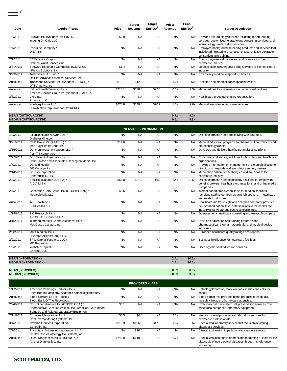| Date      | <b>Acquirer/Target</b>                                                       | Price     | <b>Target</b><br>Revenue | <b>Target</b><br><b>EBITDA<sup>2</sup></b> | Price/<br>Revenue | Price/<br>EBITDA <sup>2</sup> | <b>Target Description</b>                                                                                                                                        |
|-----------|------------------------------------------------------------------------------|-----------|--------------------------|--------------------------------------------|-------------------|-------------------------------|------------------------------------------------------------------------------------------------------------------------------------------------------------------|
|           |                                                                              |           |                          |                                            |                   |                               |                                                                                                                                                                  |
| 1/3/2011  | RadNet, Inc. (NasdaqGM:RDNT) /<br>Imaging On Call, LLC                       | \$8.0     | <b>NA</b>                | <b>NA</b>                                  | <b>NA</b>         | NA.                           | Provides teleradiology services including report reading<br>services, customized teleradiology consulting services, and<br>teleradiology credentialing services. |
| 1/4/2011  | Riverside Company/<br>DISA, Inc.                                             | <b>NA</b> | <b>NA</b>                | <b>NA</b>                                  | <b>NA</b>         | <b>NA</b>                     | Employee background screening products and services that<br>include administering drug, alcohol testing, DISA contractor<br>consortium, and training.            |
| 2/1/2011  | SCIOinspire Corp./<br>National Audit Services Inc.                           | <b>NA</b> | <b>NA</b>                | <b>NA</b>                                  | <b>NA</b>         | <b>NA</b>                     | Claims payment validation and audit services to the<br>healthcare industry.                                                                                      |
| 3/31/2011 | SoftCare Electronic Commerce (U.S.A) Inc. /<br>i-Plexus Solutions, Inc.      | \$1.4     | <b>NA</b>                | <b>NA</b>                                  | <b>NA</b>         | <b>NA</b>                     | Medical claim clearing and billing services to the healthcare<br>industry.                                                                                       |
| 3/29/2011 | Total Safety U.S., Inc. /<br>On Site Advanced Medical Services, Inc.         | <b>NA</b> | <b>NA</b>                | <b>NA</b>                                  | <b>NA</b>         | <b>NA</b>                     | Emergency medical responder services.                                                                                                                            |
| Annouced  | Transcend Services, Inc. (NasdagGS:TRCR) /<br>DTS America, Inc.              | \$12.1    | \$12.0                   | <b>NA</b>                                  | 1.0x              | NA.                           | Dictation and medical transcription services.                                                                                                                    |
| Annouced  | Valitas Health Services, Inc./<br>America Service Group Inc. (NasdaqGS:ASGR) | \$210.1   | \$630.3                  | \$22.5                                     | 0.3x              | 9.3x                          | Managed healthcare services to correctional facilities.                                                                                                          |
| 2/3/2011  | VHA Inc./<br>Provista, LLC                                                   | <b>NA</b> | <b>NA</b>                | <b>NA</b>                                  | <b>NA</b>         | NA.                           | Health care group purchasing organization.                                                                                                                       |
| Annouced  | Warburg Pincus LLC /<br>Rural/Metro Corp. (NasdaqCM:RURL)                    | \$678.8   | \$548.4                  | \$70.9                                     | 1.2x              | 9.6x                          | Medical ambulance response services.                                                                                                                             |
|           |                                                                              |           |                          |                                            |                   |                               |                                                                                                                                                                  |
|           | <b>MEAN (OUTSOURCING)</b>                                                    |           |                          |                                            | 0.7x              | 8.0x                          |                                                                                                                                                                  |
|           | <b>MEDIAN (OUTSOURCING)</b>                                                  |           |                          |                                            | 0.6x              | 9.3x                          |                                                                                                                                                                  |

|                                                    |                                                                                       |           | <b>SERVICES - INFORMATION</b> |           |              |                |                                                                                                                                                                             |
|----------------------------------------------------|---------------------------------------------------------------------------------------|-----------|-------------------------------|-----------|--------------|----------------|-----------------------------------------------------------------------------------------------------------------------------------------------------------------------------|
| 1/9/2011                                           | Alliance Health Network, Inc. /<br>DiabetesMine.com                                   | <b>NA</b> | <b>NA</b>                     | <b>NA</b> | <b>NA</b>    | <b>NA</b>      | Online information for people living with diabetes.                                                                                                                         |
| 3/21/2011                                          | Cello Group Plc (AIM:CLL) /<br>MedErgy HealthGroup, Inc.                              | \$14.6    | <b>NA</b>                     | <b>NA</b> | <b>NA</b>    | <b>NA</b>      | Medical education programs to pharmaceutical, device, and<br>biotechnology clients.                                                                                         |
| 2/16/2011                                          | Dohmen Investment Group, LLC /<br>PlanIT, Incorporated                                | <b>NA</b> | <b>NA</b>                     | <b>NA</b> | <b>NA</b>    | <b>NA</b>      | Develops and delivers healthcare analytics solutions.                                                                                                                       |
| 2/22/2011                                          | Don Miller & Associates, Inc. /<br>Chris Thrash and Associates Harvington Media, Inc. | <b>NA</b> | <b>NA</b>                     | <b>NA</b> | <b>NA</b>    | <b>NA</b>      | Consulting and training solutions for hospitals and healthcare<br>organizations.                                                                                            |
| 1/7/2011                                           | Dorland Health /<br>OR Manager Inc.                                                   | <b>NA</b> | <b>NA</b>                     | <b>NA</b> | <b>NA</b>    | <b>NA</b>      | Provides information on management of the surgical suite to<br>directors in hospitals and ambulatory surgery centers.                                                       |
| 2/14/2011                                          | DrFirst Corporation /<br>AdherenceRx, LLC                                             | <b>NA</b> | <b>NA</b>                     | <b>NA</b> | <b>NA</b>    | <b>NA</b>      | Medication adherence techniques and solutions to the<br>healthcare industry.                                                                                                |
| 2/8/2011                                           | Ebix Inc. (NasdaqGS:EBIX) /<br>A.D.A.M. Inc.                                          | \$65.8    | \$27.9                        | \$6.3     | 2.4x         | 10.5x          | Online information and technology solutions for employers,<br>benefits brokers, healthcare organizations, and online media<br>companies.                                    |
| 2/4/2011                                           | Generation Zero Group, Inc. (OTCPK:GNZR) /<br>MedicalWork, LLC                        | \$8.6     | <b>NA</b>                     | <b>NA</b> | <b>NA</b>    | <b>NA</b>      | Internet based employment tools for medical facilities,<br>recruiting/staffing companies, and job seekers in healthcare<br>and related industries.                          |
| Annouced                                           | IMS Health Inc. /<br>SDI Health LLC                                                   | <b>NA</b> | <b>NA</b>                     | <b>NA</b> | <b>NA</b>    | <b>NA</b>      | Healthcare market insight and analytics company, provides<br>de-identified patient-level data solutions to the healthcare<br>industry to solve various business challenges. |
| 1/18/2011                                          | INC Research. Inc. /<br>AVOS Life Sciences LLC                                        | <b>NA</b> | <b>NA</b>                     | <b>NA</b> | <b>NA</b>    | <b>NA</b>      | Operates as a healthcare consulting and research company.                                                                                                                   |
| 3/15/2011                                          | Informed Medical Communications, Inc. /<br>MedCases Canada, Inc.                      | <b>NA</b> | <b>NA</b>                     | <b>NA</b> | <b>NA</b>    | <b>NA</b>      | Develops education and training programs for<br>pharmaceutical, biopharmaceuticals, and medical device<br>industries.                                                       |
| 2/28/2011                                          | MDX Medical Inc./<br>UCompareHealthCare, LLC                                          | <b>NA</b> | <b>NA</b>                     | <b>NA</b> | <b>NA</b>    | <b>NA</b>      | Publishes healthcare quality ratings and reports.                                                                                                                           |
| 2/2/2011                                           | SFW Capital Partners, LLC /<br>MD Buyline, Inc.                                       | <b>NA</b> | <b>NA</b>                     | <b>NA</b> | <b>NA</b>    | <b>NA</b>      | Business intelligence for healthcare facilities.                                                                                                                            |
| 1/6/2011                                           | Webster Capital/<br>Conisus, LLC                                                      | <b>NA</b> | <b>NA</b>                     | <b>NA</b> | <b>NA</b>    | <b>NA</b>      | Oncology medical education services.                                                                                                                                        |
| <b>MEAN (INFORMATION)</b>                          | <b>MEDIAN (INFORMATION)</b>                                                           |           |                               |           | 2.4x<br>2.4x | 10.5x<br>10.5x |                                                                                                                                                                             |
| <b>MEAN (SERVICES)</b><br><b>MEDIAN (SERVICES)</b> |                                                                                       |           |                               |           | 0.8x<br>0.6x | 8.6x<br>9.5x   |                                                                                                                                                                             |

|           |                                                                                                                                                   |           | <b>PROVIDERS - LABS</b> |           |           |           |                                                                                                                                          |
|-----------|---------------------------------------------------------------------------------------------------------------------------------------------------|-----------|-------------------------|-----------|-----------|-----------|------------------------------------------------------------------------------------------------------------------------------------------|
| 1/17/2011 | American Pathology Partners, Inc. /<br>Palm Beach Pathology, Anatomic pathology laboratory                                                        | <b>NA</b> | <b>NA</b>               | <b>NA</b> | <b>NA</b> | <b>NA</b> | Pathology laboratory that examines tissues and cells for<br>cancer.                                                                      |
| Annouced  | Blood Centers Of The Pacific /<br>Blood Bank Of The Redwoods                                                                                      | <b>NA</b> | <b>NA</b>               | <b>NA</b> | <b>NA</b> | <b>NA</b> | Blood center that provides blood products to hospitals,<br>multiple clinics, and home-care agencies.                                     |
| 2/24/2011 | Cord Blood America Inc. (OTCBB:CBAI) /<br>Reproductive Genetics Institute, Inc., Umbilical Cord Blood<br>Samples and Related Laboratory Equipment | \$0.1     | <b>NA</b>               | <b>NA</b> | <b>NA</b> | NA.       | Umbilical cord blood stem cell preservation services. The<br>asset also comprises laboratory equipment.                                  |
| 2/11/2011 | Crosstex International, Inc. /<br>ConFirm Monitoring Systems, Inc.                                                                                | \$8.5     | \$4.0                   | <b>NA</b> | 2.1x      | <b>NA</b> | Infection control products and laboratory services for<br>healthcare professionals.                                                      |
| 3/4/2011  | Novartis Finance Corporation /<br>Genoptix, Inc.                                                                                                  | \$310.9   | \$196.9                 | \$47.0    | 1.6x      | 6.6x      | Specialized laboratory service that focus on delivering<br>diagnostic services.                                                          |
| 2/7/2011  | Physicians Automated Laboratory, Inc. /<br>Central Coast Pathology Consultants, Inc.                                                              | <b>NA</b> | \$20.0                  | <b>NA</b> | <b>NA</b> | <b>NA</b> | Clinical and anatomic pathology laboratory services.                                                                                     |
| Annouced  | Quest Diagnostics Inc. (NYSE:DGX) /<br>Athena Diagnostics, Inc.                                                                                   | \$740.0   | \$110.0                 | <b>NA</b> | 6.7x      | <b>NA</b> | Specializes in the development and marketing of tests for the<br>diagnosis of neurological diseases through its reference<br>laboratory. |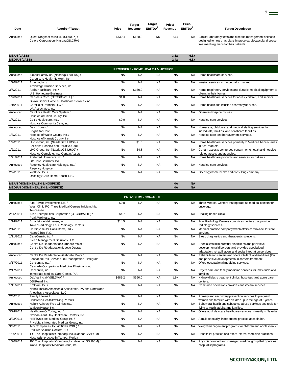| Date     | <b>Acquirer/Target</b>                                                   | Price   | <b>Target</b><br>Revenue | Target<br><b>EBITDA</b> | Price/<br>Revenue | Price/<br><b>EBITDA</b> | <b>Target Description</b>                                                                                                                                            |
|----------|--------------------------------------------------------------------------|---------|--------------------------|-------------------------|-------------------|-------------------------|----------------------------------------------------------------------------------------------------------------------------------------------------------------------|
|          |                                                                          |         |                          |                         |                   |                         |                                                                                                                                                                      |
| Annouced | Quest Diagnostics Inc. (NYSE:DGX) /<br>Celera Corporation (NasdaqGS:CRA) | \$330.4 | \$128.2                  | <b>NM</b>               | 2.6x              |                         | NA Clinical laboratory tests and disease management services<br>designed to help physicians improve cardiovascular disease<br>treatment regimens for their patients. |

9

| <b>MEAN (LABS)</b><br><b>MEDIAN (LABS)</b> |                                                                         |           |                                              |           | 3.3x<br>2.4x | 6.6x<br>6.6x |                                                            |
|--------------------------------------------|-------------------------------------------------------------------------|-----------|----------------------------------------------|-----------|--------------|--------------|------------------------------------------------------------|
|                                            |                                                                         |           | <b>PROVIDERS - HOME HEALTH &amp; HOSPICE</b> |           |              |              |                                                            |
| Annouced                                   | Almost Family Inc. (NasdaqGS:AFAM) /<br>Caregivers Health Network, Inc. | <b>NA</b> | <b>NA</b>                                    | <b>NA</b> | <b>NA</b>    |              | NA Home healthcare services.                               |
| 1/26/2011                                  | Amerita, Inc./<br>Advantage Infusion Services, Inc.                     | <b>NA</b> | <b>NA</b>                                    | <b>NA</b> | <b>NA</b>    | NA.          | Infusion services to the pediatric market.                 |
| 3/7/2011                                   | Apria Healthcare, Inc. /                                                | <b>NA</b> | \$150.0                                      | <b>NA</b> | <b>NA</b>    | <b>NA</b>    | Home respiratory services and durable medical equipment to |

|           | U.S. Homecare Business                       |           |           |           |           |           | clients in their homes.                                     |
|-----------|----------------------------------------------|-----------|-----------|-----------|-----------|-----------|-------------------------------------------------------------|
| 1/26/2011 | Capsalus Corp. (OTCBB:WELL) /                | \$1.0     | <b>NA</b> | <b>NA</b> | <b>NA</b> | <b>NA</b> | Home healthcare services for adults, children, and seniors. |
|           | Guava Senior Home & Healthcare Services Inc. |           |           |           |           |           |                                                             |
| 1/10/2011 | CarePoint Partners LLC /                     | <b>NA</b> | <b>NA</b> | <b>NA</b> | <b>NA</b> |           | NA Home health and infusion pharmacy services.              |
|           | I.V. Associates, Inc.                        |           |           |           |           |           |                                                             |
| Annouced  | Carolinas Health Care System /               | <b>NA</b> | <b>NA</b> | <b>NA</b> | <b>NA</b> |           | NA Operates hospice houses.                                 |
|           | Hospice of Union County, Inc.                |           |           |           |           |           |                                                             |
| 1/7/2011  | Celtic Healthcare, Inc. /                    | \$9.0     | <b>NA</b> | <b>NA</b> | <b>NA</b> |           | NA Hospice care services.                                   |
|           | Hospice Community Care, Inc.                 |           |           |           |           |           |                                                             |
| Annouced  | David Jones /                                | <b>NA</b> | <b>NA</b> | <b>NA</b> | <b>NA</b> | NA.       | Homecare, childcare, and medical staffing services for      |
|           | <b>BrightStar Care</b>                       |           |           |           |           |           | individuals, families, and healthcare facilities.           |
| 1/3/2011  | Hospice of Wake County, Inc. /               | <b>NA</b> | <b>NA</b> | <b>NA</b> | <b>NA</b> | <b>NA</b> | Hospice care and bereavement services.                      |
|           | Hospice of Harnett County, Inc.              |           |           |           |           |           |                                                             |
| 1/2/2011  | LHC Group, Inc. (NasdaqGS:LHCG) /            | <b>NA</b> | \$1.5     | <b>NA</b> | <b>NA</b> | NA.       | Home healthcare services primarily to Medicae beneficiaries |
|           | Feliciana Hospica and Pallative Care         |           |           |           |           |           | in rural markets.                                           |
| 1/2/2011  | LHC Group, Inc. (NasdaqGS:LHCG) /            | <b>NA</b> | \$4.8     | <b>NA</b> | <b>NA</b> | NA.       | Certain assests comprises certain home health and hospice   |
|           | Hospice Complete, Inc., Certain Assets       |           |           |           |           |           | related assets and agencies.                                |
| 1/21/2011 | Preferred Homecare, Inc. /                   | <b>NA</b> | <b>NA</b> | <b>NA</b> | <b>NA</b> | <b>NA</b> | Home healthcare products and services for patients.         |
|           | LifeCare Solutions. Inc.                     |           |           |           |           |           |                                                             |
| Annouced  | Regency Healthcare Holdings, Inc. /          | <b>NA</b> | <b>NA</b> | <b>NA</b> | <b>NA</b> | NA.       | Hospice care services.                                      |
|           | Regency Hospice                              |           |           |           |           |           |                                                             |
| 2/7/2011  | WellDoc. Inc./                               | <b>NA</b> | <b>NA</b> | <b>NA</b> | <b>NA</b> |           | NA Oncology home health and consulting company.             |
|           | Oncology Care Home Health, LLC               |           |           |           |           |           |                                                             |
|           |                                              |           |           |           |           |           |                                                             |
|           | <b>MEAN (HOME HEALTH &amp; HOSPICE)</b>      |           |           |           | <b>NA</b> | <b>NA</b> |                                                             |

**MEDIAN (HOME HEALTH & HOSPICE) NA NA**

|           |                                                                                                       |           | <b>PROVIDERS - NON-ACUTE</b> |           |           |           |                                                                                                                                                                            |
|-----------|-------------------------------------------------------------------------------------------------------|-----------|------------------------------|-----------|-----------|-----------|----------------------------------------------------------------------------------------------------------------------------------------------------------------------------|
| Annouced  | Alto Private Investments Ltd. /<br>West Clinic PC, Three Medical Centers in Memphis,<br>Tennessee     | \$9.8     | <b>NA</b>                    | <b>NA</b> | <b>NA</b> | NA.       | Three Medical Centers that operate as medical centers for<br>oncology.                                                                                                     |
| 2/25/2011 | Atlas Therapeutics Corporation (OTCBB:ATTH) /<br>Peak Wellness, Inc.                                  | \$4.7     | <b>NA</b>                    | <b>NA</b> | <b>NA</b> | <b>NA</b> | Healing based clinic.                                                                                                                                                      |
| 1/14/2011 | Broadstone Net Lease, Inc. /<br>Tower Radiology, Four Radiology Centers                               | \$14.5    | <b>NA</b>                    | <b>NA</b> | <b>NA</b> | NA.       | Four Radiology Centers comprises centers that provide<br>radiology services.                                                                                               |
| 2/1/2011  | Cardiovascular Consultants, Ltd. /<br>Heart Clinic, P.C.                                              | <b>NA</b> | <b>NA</b>                    | <b>NA</b> | <b>NA</b> | <b>NA</b> | Medical practice company which offers cardiovascular care<br>services.                                                                                                     |
| 1/11/2011 | CareCentrix, Inc./<br>Sleep Management Solutions LLC                                                  | <b>NA</b> | <b>NA</b>                    | <b>NA</b> | <b>NA</b> | <b>NA</b> | Sleep diagnostics and therapeutic solutions.                                                                                                                               |
| Annouced  | Centre De Readaptation Gabrielle Major /<br>Centre De Réadaptation Lisette Dupras                     | <b>NA</b> | <b>NA</b>                    | <b>NA</b> | <b>NA</b> | <b>NA</b> | Specializes in intellectual disabilities and pervasive<br>developmental disorders and provides specialized<br>adaptation, rehabilitation, and social integration services. |
| Annouced  | Centre De Readaptation Gabrielle Major /<br>Fondation Des Services De Réadaptation L'intégrale        | <b>NA</b> | <b>NA</b>                    | <b>NA</b> | <b>NA</b> | <b>NA</b> | Rehabilitation centers and offers intellectual disabilities (ID)<br>and pervasive developmental disorders treatment.                                                       |
| 3/17/2011 | Concentra, Inc. /<br>Cascade Occupational Medicine Physicians Inc.                                    | <b>NA</b> | <b>NA</b>                    | <b>NA</b> | <b>NA</b> | NA        | Offers occupational medicine services.                                                                                                                                     |
| 2/17/2011 | Concentra, Inc. /<br>Immediate Medical Care Center, P.A.                                              | <b>NA</b> | <b>NA</b>                    | <b>NA</b> | <b>NA</b> | <b>NA</b> | Urgent care and family medicine services for individuals and<br>families.                                                                                                  |
| Annouced  | DaVita, Inc. (NYSE:DVA) /<br>DSI Renal, Inc.                                                          | \$689.2   | \$360.0                      | <b>NA</b> | 1.9x      | <b>NA</b> | Kidney dialysis treatment clinics, hospitals, and acute care<br>centers.                                                                                                   |
| 1/11/2011 | EmCare, Inc./<br>North Pinellas Anesthesia Associates, PA and Northwood<br>Anesthesia Associates, LLC | <b>NA</b> | <b>NA</b>                    | <b>NA</b> | <b>NA</b> | <b>NA</b> | Combined operations provides anesthesia services.                                                                                                                          |
| 2/5/2011  | Family Lifeline /<br>Children's Health Involving Parents                                              | <b>NA</b> | <b>NA</b>                    | <b>NA</b> | <b>NA</b> | NA.       | Primary and secondary prevention services to pregnant<br>women and families with children up to the age of 6 years.                                                        |
| Annouced  | Haight Ashbury Free Clinics Inc. /<br>Walden House, Inc.                                              | <b>NA</b> | <b>NA</b>                    | <b>NA</b> | <b>NA</b> | <b>NA</b> | Behavioral health and substance abuse services and tools for<br>living to youth, adults, and families.                                                                     |
| 3/24/2011 | Healthcare Of Today, Inc. /<br>Nevada Adult Day Healthcare Centers, Inc.                              | <b>NA</b> | <b>NA</b>                    | <b>NA</b> | <b>NA</b> | <b>NA</b> | Offers adult day care healthcare services primarily in Nevada.                                                                                                             |
| 3/23/2011 | Hill Physicians Medical Group Inc. /<br>Physicians Integrated Medical Group, Inc.                     | <b>NA</b> | <b>NA</b>                    | <b>NA</b> | <b>NA</b> | <b>NA</b> | A multi-specialty, independent practice association.                                                                                                                       |
| 3/3/2011  | IMD Companies, Inc. (OTCPK:ICBU) /<br>Positive Solution Centers, LLC                                  | <b>NA</b> | <b>NA</b>                    | <b>NA</b> | <b>NA</b> | <b>NA</b> | Weight management programs for children and adolescents.                                                                                                                   |
| 1/26/2011 | IPC The Hospitalist Company, Inc. (NasdaqGS:IPCM) /<br>Hospitalist practice in Tampa, Florida         | <b>NA</b> | <b>NA</b>                    | <b>NA</b> | <b>NA</b> | NA.       | Hospitalist practice and offers internal medicine practices.                                                                                                               |
| 1/26/2011 | IPC The Hospitalist Company, Inc. (NasdaqGS:IPCM) /<br>Inland Hospitalist Medical Group, Inc.         | <b>NA</b> | <b>NA</b>                    | <b>NA</b> | <b>NA</b> | <b>NA</b> | Physician-owned and managed medical group that operates<br>hospitalist programs.                                                                                           |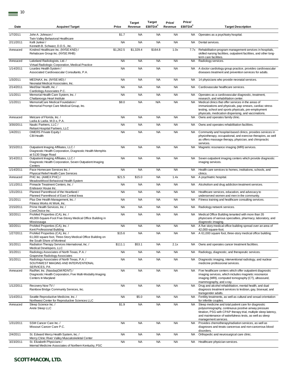| 1/7/2011<br>John A. Johnson /<br>\$1.7<br><b>NA</b><br><b>NA</b><br><b>NA</b><br>Operates as a psychiatry hospital.<br><b>NA</b><br>Twin Valley Behavioral Healthcare<br><b>NA</b><br>Kelli Junker /<br><b>NA</b><br><b>NA</b><br><b>NA</b><br>2/11/2011<br>NA.<br>Dental services.<br>Kenneth B. Schwarz, D.D.S., Inc.<br>\$1,329.4<br>Kindred Healthcare Inc. (NYSE:KND) /<br>\$1,262.5<br>\$164.8<br>1.0x<br>Rehabilitation program management services in hospitals,<br>Annouced<br>7.7x<br>Rehabcare Group Inc. (NYSE:RHB)<br>skilled nursing facilities, outpatient facilities, and other long-<br>term care facilities.<br><b>NA</b><br><b>NA</b><br>Lakeland Radiologists, Ltd. /<br><b>NA</b><br><b>NA</b><br><b>NA</b><br>Radiology services.<br>Annouced<br>Virtual Radiologic Corporation, Medical Practice<br>1/14/2011<br>Lourdes Health System /<br><b>NA</b><br><b>NA</b><br><b>NA</b><br><b>NA</b><br>NA<br>A doctor cardiology group practice, provides cardiovascular<br>Associated Cardiovascular Consultants, P.A.<br>diseases treatment and prevention services for adults.<br>MEDNAX, Inc. (NYSE:MD) /<br>1/3/2011<br><b>NA</b><br><b>NA</b><br><b>NA</b><br><b>NA</b><br><b>NA</b><br>14 physicians who provide neonatal services.<br>Neonatal Medical Associates, Inc.<br><b>NA</b><br><b>NA</b><br>2/14/2011<br>MedStar Health, Inc. /<br><b>NA</b><br><b>NA</b><br>NA.<br>Cardiovascular healthcare services.<br>Cardiology Associates P.C.<br>1/1/2011<br>Memorial Health Care System, Inc. /<br><b>NA</b><br><b>NA</b><br><b>NA</b><br><b>NA</b><br><b>NA</b><br>Operates as a cardiovascular diagnostic, treatment,<br>Chattanooga Heart Institute<br>research, and rehabilitation center.<br>1/1/2011<br>MemorialCare Medical Foundation /<br>\$8.0<br><b>NA</b><br>N/A<br><b>NA</b><br><b>NA</b><br>Medical clinics that offer services in the areas of |  |
|-----------------------------------------------------------------------------------------------------------------------------------------------------------------------------------------------------------------------------------------------------------------------------------------------------------------------------------------------------------------------------------------------------------------------------------------------------------------------------------------------------------------------------------------------------------------------------------------------------------------------------------------------------------------------------------------------------------------------------------------------------------------------------------------------------------------------------------------------------------------------------------------------------------------------------------------------------------------------------------------------------------------------------------------------------------------------------------------------------------------------------------------------------------------------------------------------------------------------------------------------------------------------------------------------------------------------------------------------------------------------------------------------------------------------------------------------------------------------------------------------------------------------------------------------------------------------------------------------------------------------------------------------------------------------------------------------------------------------------------------------------------------------------------------------------------------------------------------------------------------------------------------|--|
|                                                                                                                                                                                                                                                                                                                                                                                                                                                                                                                                                                                                                                                                                                                                                                                                                                                                                                                                                                                                                                                                                                                                                                                                                                                                                                                                                                                                                                                                                                                                                                                                                                                                                                                                                                                                                                                                                         |  |
|                                                                                                                                                                                                                                                                                                                                                                                                                                                                                                                                                                                                                                                                                                                                                                                                                                                                                                                                                                                                                                                                                                                                                                                                                                                                                                                                                                                                                                                                                                                                                                                                                                                                                                                                                                                                                                                                                         |  |
|                                                                                                                                                                                                                                                                                                                                                                                                                                                                                                                                                                                                                                                                                                                                                                                                                                                                                                                                                                                                                                                                                                                                                                                                                                                                                                                                                                                                                                                                                                                                                                                                                                                                                                                                                                                                                                                                                         |  |
|                                                                                                                                                                                                                                                                                                                                                                                                                                                                                                                                                                                                                                                                                                                                                                                                                                                                                                                                                                                                                                                                                                                                                                                                                                                                                                                                                                                                                                                                                                                                                                                                                                                                                                                                                                                                                                                                                         |  |
|                                                                                                                                                                                                                                                                                                                                                                                                                                                                                                                                                                                                                                                                                                                                                                                                                                                                                                                                                                                                                                                                                                                                                                                                                                                                                                                                                                                                                                                                                                                                                                                                                                                                                                                                                                                                                                                                                         |  |
|                                                                                                                                                                                                                                                                                                                                                                                                                                                                                                                                                                                                                                                                                                                                                                                                                                                                                                                                                                                                                                                                                                                                                                                                                                                                                                                                                                                                                                                                                                                                                                                                                                                                                                                                                                                                                                                                                         |  |
|                                                                                                                                                                                                                                                                                                                                                                                                                                                                                                                                                                                                                                                                                                                                                                                                                                                                                                                                                                                                                                                                                                                                                                                                                                                                                                                                                                                                                                                                                                                                                                                                                                                                                                                                                                                                                                                                                         |  |
|                                                                                                                                                                                                                                                                                                                                                                                                                                                                                                                                                                                                                                                                                                                                                                                                                                                                                                                                                                                                                                                                                                                                                                                                                                                                                                                                                                                                                                                                                                                                                                                                                                                                                                                                                                                                                                                                                         |  |
| immunizations and physicals, pap smears, cardiac stress<br>Memorial Prompt Care Medical Group, Inc.<br>testing, school and sports physicals, pre-employment<br>physicals, medication dispensing, and vaccinations.                                                                                                                                                                                                                                                                                                                                                                                                                                                                                                                                                                                                                                                                                                                                                                                                                                                                                                                                                                                                                                                                                                                                                                                                                                                                                                                                                                                                                                                                                                                                                                                                                                                                      |  |
| Metcare of Florida, Inc. /<br><b>NA</b><br><b>NA</b><br><b>NA</b><br><b>NA</b><br>Annouced<br><b>NA</b><br>Owns and operates family clinic.<br>Ladia & Ladia. M.D.s, P.A.                                                                                                                                                                                                                                                                                                                                                                                                                                                                                                                                                                                                                                                                                                                                                                                                                                                                                                                                                                                                                                                                                                                                                                                                                                                                                                                                                                                                                                                                                                                                                                                                                                                                                                               |  |
| 3/30/2011<br>Nautic Partners. LLC /<br><b>NA</b><br><b>NA</b><br><b>NA</b><br><b>NA</b><br><b>NA</b><br>Owns and operates rehabilitation facilities.<br>Reliant Hospital Partners, LLC                                                                                                                                                                                                                                                                                                                                                                                                                                                                                                                                                                                                                                                                                                                                                                                                                                                                                                                                                                                                                                                                                                                                                                                                                                                                                                                                                                                                                                                                                                                                                                                                                                                                                                  |  |
| <b>NA</b><br><b>NA</b><br><b>NA</b><br><b>NA</b><br>1/4/2011<br><b>OMERS Private Equity/</b><br>NA.<br>Community and hospital-based clinics, provides services in<br>CBI Health<br>physiotherapy, occupational, and exercise therapies, as well<br>as offers massage therapy, physician, and chiropractic<br>services.                                                                                                                                                                                                                                                                                                                                                                                                                                                                                                                                                                                                                                                                                                                                                                                                                                                                                                                                                                                                                                                                                                                                                                                                                                                                                                                                                                                                                                                                                                                                                                  |  |
| <b>NA</b><br><b>NA</b><br><b>NA</b><br>3/15/2011<br>Outpatient Imaging Affiliates, LLC /<br><b>NA</b><br><b>NA</b><br>Magnetic resonance imaging (MRI) services.<br>Diagnostic Health Corporation, Diagnostic Health Memphis<br>at 5130 Stage Road                                                                                                                                                                                                                                                                                                                                                                                                                                                                                                                                                                                                                                                                                                                                                                                                                                                                                                                                                                                                                                                                                                                                                                                                                                                                                                                                                                                                                                                                                                                                                                                                                                      |  |
| 3/14/2011<br>Outpatient Imaging Affiliates, LLC /<br><b>NA</b><br><b>NA</b><br><b>NA</b><br><b>NA</b><br>NA<br>Seven outpatient imaging centers which provide diagnostic<br>Diagnostic Health Corporation, Seven Outpatient Imaging<br>imaging services.<br>Centers                                                                                                                                                                                                                                                                                                                                                                                                                                                                                                                                                                                                                                                                                                                                                                                                                                                                                                                                                                                                                                                                                                                                                                                                                                                                                                                                                                                                                                                                                                                                                                                                                     |  |
| 1/14/2011<br>Pace Homecare Services Inc. /<br><b>NA</b><br><b>NA</b><br><b>NA</b><br><b>NA</b><br><b>NA</b><br>Health care services to homes, institutions, schools, and<br>Physical Relief Health Care Services<br>clinics.                                                                                                                                                                                                                                                                                                                                                                                                                                                                                                                                                                                                                                                                                                                                                                                                                                                                                                                                                                                                                                                                                                                                                                                                                                                                                                                                                                                                                                                                                                                                                                                                                                                            |  |
| PHC Inc. (AMEX:PHC) /<br>\$21.5<br>\$15.0<br><b>NA</b><br>1.4x<br>Annouced<br><b>NA</b><br>A psychiatric hospital.<br>MeadowWood Behavioral Health System                                                                                                                                                                                                                                                                                                                                                                                                                                                                                                                                                                                                                                                                                                                                                                                                                                                                                                                                                                                                                                                                                                                                                                                                                                                                                                                                                                                                                                                                                                                                                                                                                                                                                                                               |  |
| Pinnacle Treatment Centers, Inc. /<br><b>NA</b><br>1/11/2011<br><b>NA</b><br><b>NA</b><br><b>NA</b><br>Alcoholism and drug addiction treatment services.<br><b>NA</b><br>Endeavor House Inc.                                                                                                                                                                                                                                                                                                                                                                                                                                                                                                                                                                                                                                                                                                                                                                                                                                                                                                                                                                                                                                                                                                                                                                                                                                                                                                                                                                                                                                                                                                                                                                                                                                                                                            |  |
| 1/31/2011<br>Planned Parenthood of the Heartland /<br><b>NA</b><br><b>NA</b><br><b>NA</b><br><b>NA</b><br><b>NA</b><br>Healthcare services, education, and advocacy to<br>Planned Parenthood of East Central lowa<br>underserved women and men in the community.                                                                                                                                                                                                                                                                                                                                                                                                                                                                                                                                                                                                                                                                                                                                                                                                                                                                                                                                                                                                                                                                                                                                                                                                                                                                                                                                                                                                                                                                                                                                                                                                                        |  |
| Plus One Health Management, Inc. /<br><b>NA</b><br><b>NA</b><br><b>NA</b><br><b>NA</b><br>2/1/2011<br><b>NA</b><br>Fitness training and healthcare consulting services.<br>Fitness Works At Work, Inc.                                                                                                                                                                                                                                                                                                                                                                                                                                                                                                                                                                                                                                                                                                                                                                                                                                                                                                                                                                                                                                                                                                                                                                                                                                                                                                                                                                                                                                                                                                                                                                                                                                                                                  |  |
| 2/15/2011<br>Prime Health Services, Inc./<br><b>NA</b><br><b>NA</b><br><b>NA</b><br><b>NA</b><br><b>NA</b><br>Radiology network services.<br>CoreChoice Inc.                                                                                                                                                                                                                                                                                                                                                                                                                                                                                                                                                                                                                                                                                                                                                                                                                                                                                                                                                                                                                                                                                                                                                                                                                                                                                                                                                                                                                                                                                                                                                                                                                                                                                                                            |  |
| 3/2/2011<br>ProMed Properties (CA), Inc. /<br><b>NA</b><br><b>NA</b><br><b>NA</b><br><b>NA</b><br>Medical Office Building tenanted with more than 35<br><b>NA</b><br>49,000-Square-Foot Five-Storey Medical Office Building in<br>physicians of various specialties, pharmacy, laboratory, and<br>diagnostic imaging.<br>Mississauga                                                                                                                                                                                                                                                                                                                                                                                                                                                                                                                                                                                                                                                                                                                                                                                                                                                                                                                                                                                                                                                                                                                                                                                                                                                                                                                                                                                                                                                                                                                                                    |  |
| ProMed Properties (CA), Inc. /<br><b>NA</b><br>A five story medical office building spread over an area of<br>3/2/2011<br><b>NA</b><br><b>NA</b><br><b>NA</b><br>NA<br>Kent Professional Building<br>42,000-square-foot.                                                                                                                                                                                                                                                                                                                                                                                                                                                                                                                                                                                                                                                                                                                                                                                                                                                                                                                                                                                                                                                                                                                                                                                                                                                                                                                                                                                                                                                                                                                                                                                                                                                                |  |
| 1/27/2011<br>ProMed Properties (CA), Inc. /<br>\$15.6<br><b>NA</b><br><b>NA</b><br><b>NA</b><br>NA A 61,000 square foot, three-story medical office building.<br>61,000 square foot, Three-Story Medical Office Building on<br>the South Shore of Montreal                                                                                                                                                                                                                                                                                                                                                                                                                                                                                                                                                                                                                                                                                                                                                                                                                                                                                                                                                                                                                                                                                                                                                                                                                                                                                                                                                                                                                                                                                                                                                                                                                              |  |
| \$111.1<br>\$53.1<br><b>NA</b><br>2.1x<br>3/1/2011<br>Radiation Therapy Services International, Inc. /<br><b>NA</b><br>Owns and operates cancer treatment facilities.<br>Medical Developers, LLC                                                                                                                                                                                                                                                                                                                                                                                                                                                                                                                                                                                                                                                                                                                                                                                                                                                                                                                                                                                                                                                                                                                                                                                                                                                                                                                                                                                                                                                                                                                                                                                                                                                                                        |  |
| 3/1/2011<br><b>NA</b><br><b>NA</b><br><b>NA</b><br>Radiology Associates of North Texas, P.A. /<br><b>NA</b><br>NA.<br>Radiology, diagnostic, and therapeutic services.<br>Grapevine Radiology Associates                                                                                                                                                                                                                                                                                                                                                                                                                                                                                                                                                                                                                                                                                                                                                                                                                                                                                                                                                                                                                                                                                                                                                                                                                                                                                                                                                                                                                                                                                                                                                                                                                                                                                |  |
| 3/1/2011<br><b>NA</b><br><b>NA</b><br>Radiology Associates of North Texas, P.A. /<br><b>NA</b><br><b>NA</b><br><b>NA</b><br>Diagnostic imaging, interventional radiology, and nuclear<br>SOUTHWEST IMAGING AND INTERVENTIONAL<br>medicine professional services.<br>SERVICES, PA                                                                                                                                                                                                                                                                                                                                                                                                                                                                                                                                                                                                                                                                                                                                                                                                                                                                                                                                                                                                                                                                                                                                                                                                                                                                                                                                                                                                                                                                                                                                                                                                        |  |
| RadNet, Inc. (NasdaqGM:RDNT) /<br><b>NA</b><br><b>NA</b><br><b>NA</b><br><b>NA</b><br>Five healthcare centers which offer outpatient diagnostic<br>Annouced<br><b>NA</b><br>Diagnostic Health Corporation, Five Multi-Modality Imaging<br>imaging services, which includes magnetic resonance<br>Centers In Maryland<br>imaging (MRI), computed tomography (CT), ultrasound,<br>mammography, and x-ray.                                                                                                                                                                                                                                                                                                                                                                                                                                                                                                                                                                                                                                                                                                                                                                                                                                                                                                                                                                                                                                                                                                                                                                                                                                                                                                                                                                                                                                                                                 |  |
| <b>NA</b><br><b>NA</b><br>1/12/2011<br>Recovery Now TV /<br><b>NA</b><br><b>NA</b><br><b>NA</b><br>Drug and alcohol rehabilitation, mental health, and dual<br>Rainbow Bridge Community Services, Inc.<br>diagnosis treatment services to lesbian, gay, bisexual, and<br>transgender adults.                                                                                                                                                                                                                                                                                                                                                                                                                                                                                                                                                                                                                                                                                                                                                                                                                                                                                                                                                                                                                                                                                                                                                                                                                                                                                                                                                                                                                                                                                                                                                                                            |  |
| 1/14/2011<br><b>NA</b><br>\$5.0<br><b>NA</b><br>Seattle Reproductive Medicine, Inc. /<br><b>NA</b><br><b>NA</b><br>Fertility treatments, as well as cultural and sexual orientation<br>Northwest Center for Reproductive Sciences LLC<br>for infertile couples.                                                                                                                                                                                                                                                                                                                                                                                                                                                                                                                                                                                                                                                                                                                                                                                                                                                                                                                                                                                                                                                                                                                                                                                                                                                                                                                                                                                                                                                                                                                                                                                                                         |  |
| \$1.9<br><b>NA</b><br><b>NA</b><br><b>NA</b><br>Sleep medicine and total patient care for diagnostic<br>Annouced<br>Sleep Science Inc. /<br>NA.<br>Arete Sleep LLC<br>polysomnography, continuous positive airway pressure<br>titration, PSG with CPAP therapy trial, multiple sleep latency,<br>and maintenance of wakefulness tests, as well as sleep<br>management services.                                                                                                                                                                                                                                                                                                                                                                                                                                                                                                                                                                                                                                                                                                                                                                                                                                                                                                                                                                                                                                                                                                                                                                                                                                                                                                                                                                                                                                                                                                         |  |
| SSM Cancer Care Inc. /<br>1/31/2011<br><b>NA</b><br><b>NA</b><br><b>NA</b><br><b>NA</b><br><b>NA</b><br>Provides chemotherapy/radiation services, as well as<br>Missouri Cancer Care P.C.<br>diagnoses and treats cancerous and non-cancerous blood<br>disorders.                                                                                                                                                                                                                                                                                                                                                                                                                                                                                                                                                                                                                                                                                                                                                                                                                                                                                                                                                                                                                                                                                                                                                                                                                                                                                                                                                                                                                                                                                                                                                                                                                       |  |
| <b>NA</b><br><b>NA</b><br>2/4/2011<br>St. Edward Mercy Health System, Inc. /<br><b>NA</b><br><b>NA</b><br><b>NA</b><br>Orthopedic and neurosurgical care clinic.<br>Mercy Clinic River Valley Musculoskeletal Center                                                                                                                                                                                                                                                                                                                                                                                                                                                                                                                                                                                                                                                                                                                                                                                                                                                                                                                                                                                                                                                                                                                                                                                                                                                                                                                                                                                                                                                                                                                                                                                                                                                                    |  |
| 3/23/2011<br><b>NA</b><br><b>NA</b><br>St. Elizabeth Physicians /<br><b>NA</b><br><b>NA</b><br>Healthcare physician services.<br>NA.<br>Internal Medicine Associates of Northern Kentucky, PSC                                                                                                                                                                                                                                                                                                                                                                                                                                                                                                                                                                                                                                                                                                                                                                                                                                                                                                                                                                                                                                                                                                                                                                                                                                                                                                                                                                                                                                                                                                                                                                                                                                                                                          |  |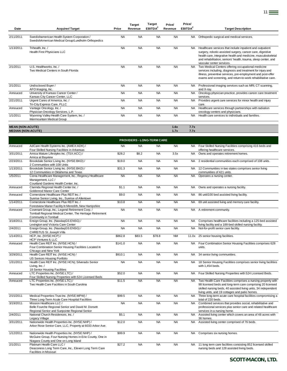|                                                      |                                                                                                   |           | <b>Target</b> | <b>Target</b>       | Price/    | Price/              |                                                                                                                                                                                                                                                                                        |
|------------------------------------------------------|---------------------------------------------------------------------------------------------------|-----------|---------------|---------------------|-----------|---------------------|----------------------------------------------------------------------------------------------------------------------------------------------------------------------------------------------------------------------------------------------------------------------------------------|
| Date                                                 | <b>Acquirer/Target</b>                                                                            | Price     | Revenue       | EBITDA <sup>2</sup> | Revenue   | EBITDA <sup>2</sup> | <b>Target Description</b>                                                                                                                                                                                                                                                              |
| 2/11/2011                                            | Swedishamerican Health System Corporation /<br>SwedishAmerican Medical Group/Lundholm Orthopedics | <b>NA</b> | <b>NA</b>     | <b>NA</b>           | <b>NA</b> | NA.                 | Orthopedic surgical and medical services.                                                                                                                                                                                                                                              |
| 1/13/2011                                            | Trihealth, Inc./<br>Health First Physicians LLC                                                   | <b>NA</b> | <b>NA</b>     | <b>NA</b>           | <b>NA</b> | NA.                 | Healthcare services that include inpatient and outpatient<br>surgery, robotic-assisted surgery, cancer care, digestive<br>health care, integrative health and medicine, musculoskeletal<br>and rehabilitation, seniors' health, trauma, sleep center, and<br>vascular center services. |
| 2/1/2011                                             | U.S. Healthworks. Inc. /<br>Two Medical Centers in South Florida                                  | <b>NA</b> | <b>NA</b>     | <b>NA</b>           | <b>NA</b> | <b>NA</b>           | Two Medical Centers offering occupational medicine<br>services including, diagnosis and treatment for injury and<br>illness, preventive services, pre-employment and post-offer<br>exams and screening, and return-to-work rehabilitative care.                                        |
| 2/1/2011                                             | Undisclosed Buyer /<br>AFO Imaging, Inc.                                                          | <b>NA</b> | <b>NA</b>     | <b>NA</b>           | <b>NA</b> | <b>NA</b>           | Professional imaging services such as MRI, CT scanning,<br>and X-rav.                                                                                                                                                                                                                  |
| Annouced                                             | University of Kansas Cancer Center /<br>Kansas City Cancer Center, LLC                            | <b>NA</b> | <b>NA</b>     | <b>NA</b>           | <b>NA</b> | NA.                 | Oncology physician practice, provides cancer care treatment<br>services.                                                                                                                                                                                                               |
| $\frac{2}{2}$ 1/2011                                 | Urgent Cares of America, Inc. /<br>Tri-City Express Care, PLLC                                    | <b>NA</b> | <b>NA</b>     | <b>NA</b>           | <b>NA</b> | NA.                 | Provides urgent care services for minor health and injury<br>care.                                                                                                                                                                                                                     |
| Annouced                                             | Vantage Oncology, Inc. /<br>Physician Oncology Services, L.P.                                     | <b>NA</b> | <b>NA</b>     | <b>NA</b>           | <b>NA</b> | <b>NA</b>           | Healthcare services through partnerships with radiation<br>oncology centers and physicians.                                                                                                                                                                                            |
| 1/1/2011                                             | Wyoming Valley Health Care System, Inc. /<br>Intermountain Medical Group                          | <b>NA</b> | <b>NA</b>     | <b>NA</b>           | <b>NA</b> | <b>NA</b>           | Health care services to individuals and families.                                                                                                                                                                                                                                      |
|                                                      |                                                                                                   |           |               |                     | 1.6x      | 7.7x                |                                                                                                                                                                                                                                                                                        |
| <b>MEAN (NON-ACUTE)</b><br><b>MEDIAN (NON-ACUTE)</b> |                                                                                                   |           |               |                     | 1.7x      | 7.7x                |                                                                                                                                                                                                                                                                                        |
|                                                      |                                                                                                   |           |               |                     |           |                     |                                                                                                                                                                                                                                                                                        |

|           |                                                                                                                                                     |           |           | <b>PROVIDERS - LONG-TERM CARE</b> |           |           |                                                                                                                                                                                                                                                |
|-----------|-----------------------------------------------------------------------------------------------------------------------------------------------------|-----------|-----------|-----------------------------------|-----------|-----------|------------------------------------------------------------------------------------------------------------------------------------------------------------------------------------------------------------------------------------------------|
| Annouced  | AdCare Health Systems Inc. (AMEX:ADK) /<br>Four Skilled Nursing Facilities in Arkansas                                                              | <b>NA</b> | <b>NA</b> | <b>NA</b>                         | <b>NA</b> | NA.       | Four Skilled Nursing Facilities comprising 416 beds and<br>offering healthcare services.                                                                                                                                                       |
| 3/31/2011 | Amica Mature Lifestyles Inc. (TSX:ACC) /<br>Amica at Bayview                                                                                        | \$28.2    | \$8.2     | <b>NA</b>                         | 3.5x      | <b>NA</b> | Owns and operates retirement homes.                                                                                                                                                                                                            |
| 2/23/2011 | Brookdale Senior Living Inc. (NYSE:BKD) /<br>2 Communities with 108 Units                                                                           | \$19.0    | <b>NA</b> | <b>NA</b>                         | <b>NA</b> | NA        | 2 residential communities each comprised of 108 units.                                                                                                                                                                                         |
| 1/13/2011 | Brookdale Senior Living Inc. (NYSE:BKD) /<br>12 Communities in Oklahoma and Texas                                                                   | \$31.3    | <b>NA</b> | <b>NA</b>                         | <b>NA</b> | <b>NA</b> | 12 Communities in two states comprises senior living<br>communities of 421 units.                                                                                                                                                              |
| 1/5/2011  | Ciena Healthcare Management, Inc.; Regency Healthcare<br>Management, LLC /<br>Courtland Gardens Health Center, Inc.                                 | <b>NA</b> | <b>NA</b> | <b>NA</b>                         | <b>NA</b> | <b>NA</b> | Operates a nursing center.                                                                                                                                                                                                                     |
| Annouced  | Clarinda Regional Health Center Inc. /<br>Goldenrod Manor Care Center                                                                               | \$1.1     | <b>NA</b> | <b>NA</b>                         | <b>NA</b> | <b>NA</b> | Owns and operates a nursing facility.                                                                                                                                                                                                          |
| Annouced  | Cornerstone Healthcare Plus REIT Inc. /<br>Sunrise Senior Living, Inc., Sunrise of Allentown                                                        | \$9.0     | <b>NA</b> | <b>NA</b>                         | <b>NA</b> | <b>NA</b> | 86 unit/100 bed assisted living facility.                                                                                                                                                                                                      |
| 1/14/2011 | Cornerstone Healthcare Plus REIT Inc. /<br>Forestview Manor Facility In Meredith, New Hampshire                                                     | \$10.8    | <b>NA</b> | <b>NA</b>                         | <b>NA</b> | <b>NA</b> | 69 unit assisted living and memory care facility.                                                                                                                                                                                              |
| Annouced  | Covenant Group, Inc.; Legend Retirement Corp. /<br>Tomball Regional Medical Center, The Heritage Retirement<br>Community in Tomball                 | <b>NA</b> | <b>NA</b> | <b>NA</b>                         | <b>NA</b> | <b>NA</b> | A retirement community.                                                                                                                                                                                                                        |
| 3/18/2011 | Ensign Group, Inc. (NasdaqGS:ENSG) /<br>Lexington and Victoria Care Center                                                                          | <b>NA</b> | <b>NA</b> | <b>NA</b>                         | <b>NA</b> | NA.       | Comprises healthcare facilities including a 125-bed assisted<br>living facility and a 188-bed skilled nursing facility.                                                                                                                        |
| 2/4/2011  | Ensign Group, Inc. (NasdaqGS:ENSG) /<br>CHRISTUS St. Joseph Villa                                                                                   | <b>NA</b> | <b>NA</b> | <b>NA</b>                         | <b>NA</b> | <b>NA</b> | Not-for-profit senior care facility.                                                                                                                                                                                                           |
| 1/14/2011 | HCP, Inc. (NYSE:HCP) /<br>HCP Ventures II, LLC                                                                                                      | \$862.8   | \$83.5    | \$78.8                            | <b>NM</b> | 11.0x     | 25 senior housing facilities.                                                                                                                                                                                                                  |
| Annouced  | Health Care REIT Inc. (NYSE:HCN) /<br>Four Combination Senior Housing Facilities Located In<br>Chicago and New York                                 | \$141.0   | <b>NA</b> | <b>NA</b>                         | <b>NA</b> | <b>NA</b> | Four Combination Senior Housing Facilities comprises 628<br>units.                                                                                                                                                                             |
| 3/29/2011 | Health Care REIT Inc. (NYSE:HCN) /<br>US Seniors Housing Portfolio                                                                                  | \$910.1   | <b>NA</b> | <b>NA</b>                         | <b>NA</b> | <b>NA</b> | 34 senior living communities.                                                                                                                                                                                                                  |
| 1/31/2011 | Health Care REIT Inc. (NYSE:HCN); Silverado Senior<br>Living, Inc. /<br>18 Senior Housing Facilities                                                | <b>NA</b> | <b>NA</b> | <b>NA</b>                         | <b>NA</b> | <b>NA</b> | 18 Senior Housing Facilities comprises senior living facilities<br>with 1,454 beds.                                                                                                                                                            |
| Annouced  | LTC Properties Inc. (NYSE:LTC) /<br>Four Skilled Nursing Properties with 524 Licensed Beds                                                          | \$52.0    | <b>NA</b> | <b>NA</b>                         | <b>NA</b> | <b>NA</b> | Four Skilled Nursing Properties with 524 Licensed Beds.                                                                                                                                                                                        |
| Annouced  | LTC Properties Inc. (NYSE:LTC) /<br>Two Health Care Facilities in South Carolina                                                                    | \$11.5    | <b>NA</b> | <b>NA</b>                         | <b>NA</b> | <b>NA</b> | Two Health Care Facilities comprises a nursing property with<br>98 licensed beds and long-term care comprising 20 licensed<br>skilled nursing beds, 40 assisted living units, 34 independent<br>living units, and 19 cottages and patio homes. |
| 2/15/2011 | Medical Properties Trust Inc. (NYSE:MPW) /<br>Three Long-Term Acute Care Hospital Facilities                                                        | \$99.5    | <b>NA</b> | <b>NA</b>                         | <b>NA</b> | <b>NA</b> | Three long-term acute care hospital facilities compromising a<br>total of 220 beds.                                                                                                                                                            |
| 3/19/2011 | Mission Healthcare LLC /<br>Belle Fourche Regional Senior and David M. Dorsett<br>Regional Senior and Sunpointe Regional Senior                     | <b>NA</b> | <b>NA</b> | <b>NA</b>                         | <b>NA</b> | <b>NA</b> | Combined services that provides social, rehabilitative and<br>professional services plus senior care and related healthcare<br>services in a nursing home.                                                                                     |
| 2/4/2011  | National Church Residences, Inc. /<br>Legacy Village                                                                                                | \$5.1     | <b>NA</b> | <b>NA</b>                         | <b>NA</b> | <b>NA</b> | Assisted living center which covers an area of 48 acres with<br>36 homes.                                                                                                                                                                      |
| 3/31/2011 | Nationwide Health Properties Inc. (NYSE:NHP) /<br>Arbor Rose Senior Care, LLC, Property at 6033 Arbor Ave.                                          | \$12.0    | <b>NA</b> | <b>NA</b>                         | <b>NA</b> | <b>NA</b> | Assisted living center comprised of 76 beds.                                                                                                                                                                                                   |
| 1/12/2011 | Nationwide Health Properties Inc. (NYSE:NHP) /<br>McGuire Group, Four Nursing Homes in Erie County, One in<br>Niagara County and One on Long Island | \$99.9    | <b>NA</b> | <b>NA</b>                         | <b>NA</b> | <b>NA</b> | Comprises six nursing homes.                                                                                                                                                                                                                   |
| 2/1/2011  | Platinum Health Care LLC /<br>Deaconess Long Term Care, Inc., Eleven Long Term Care<br>Facilities in Missouri                                       | \$27.2    | <b>NA</b> | <b>NA</b>                         | <b>NA</b> | <b>NA</b> | 11 long term care facilities consisting 852 licensed skilled<br>nursing beds and 128 assisted living beds.                                                                                                                                     |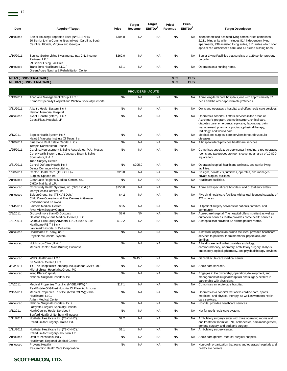| Date      | <b>Acquirer/Target</b>                                                                                                                                         | Price     | <b>Target</b><br>Revenue | rarget<br>EBITDA <sup>2</sup> | Price/<br>Revenue | <b>Price/</b><br>EBITDA <sup>2</sup> | <b>Target Description</b>                                                                                                                                                                                                                                   |
|-----------|----------------------------------------------------------------------------------------------------------------------------------------------------------------|-----------|--------------------------|-------------------------------|-------------------|--------------------------------------|-------------------------------------------------------------------------------------------------------------------------------------------------------------------------------------------------------------------------------------------------------------|
| Annouced  | Senior Housing Properties Trust (NYSE:SNH) /<br>20 Senior Living Communities In North Carolina, South<br>Carolina, Florida, Virginia and Georgia               | \$304.0   | <b>NA</b>                | <b>NA</b>                     | <b>NA</b>         | NA.                                  | Independent and assisted living communities comprises<br>2,111 living units which includes 814 independent living<br>apartments, 939 assisted living suites, 311 suites which offer<br>specialized Alzheimer's care, and 47 skilled nursing beds.           |
| 1/10/2011 | Sunrise Senior Living Investments, Inc.; CNL Income<br>Partners, LP/                                                                                           | \$262.0   | <b>NA</b>                | <b>NA</b>                     | <b>NA</b>         | NA.                                  | Senior Living Facilities that consists of a 29 senior-property<br>portfolio.                                                                                                                                                                                |
| Annouced  | 29 Senior Living Facilities<br>Transitions Healthcare LLC /<br>Green Acres Nursing & Rehabilitation Center                                                     | \$6.1     | <b>NA</b>                | <b>NA</b>                     | <b>NA</b>         | NA                                   | Operates as a nursing home.                                                                                                                                                                                                                                 |
|           | <b>MEAN (LONG-TERM CARE)</b>                                                                                                                                   |           |                          |                               | 3.5x              | 11.0x                                |                                                                                                                                                                                                                                                             |
|           | <b>MEDIAN (LONG-TERM CARE)</b>                                                                                                                                 |           |                          |                               | 3.5x              | 11.0x                                |                                                                                                                                                                                                                                                             |
|           |                                                                                                                                                                |           | <b>PROVIDERS - ACUTE</b> |                               |                   |                                      |                                                                                                                                                                                                                                                             |
| 1/13/2011 | Acadiana Management Group, LLC /<br>Edmond Specialty Hospital and Wichita Specialty Hospital                                                                   | <b>NA</b> | <b>NA</b>                | <b>NA</b>                     | <b>NA</b>         | NA .                                 | Acute long-term care hospitals, one with approximately 37<br>beds and the other approximately 26 beds.                                                                                                                                                      |
| 3/31/2011 | Atlantic Health System, Inc. /<br>Newton Memorial Hospital                                                                                                     | <b>NA</b> | <b>NA</b>                | <b>NA</b>                     | <b>NA</b>         | NA.                                  | Owns and operates a hospital and offers healthcare services.                                                                                                                                                                                                |
| Annouced  | Avanti Health System, LLC /<br>Coast Plaza Hospital, LP                                                                                                        | <b>NA</b> | <b>NA</b>                | <b>NA</b>                     | <b>NA</b>         | NA                                   | Operates a hospital. It offers services in the areas of<br>Alzheimer's program, cosmetic surgery, critical care,<br>diabetes care, emergency, eye care, laboratory, pain<br>management, pharmacy, podiatry, physical therapy,<br>radiology, and wound care. |
| 2/1/2011  | Baptist Health System Inc. /<br>Heart & Vascular Institute Of Texas, Inc.                                                                                      | <b>NA</b> | <b>NA</b>                | <b>NA</b>                     | <b>NA</b>         | <b>NA</b>                            | Medical and surgical care services for cardiovascular<br>diseases.                                                                                                                                                                                          |
| 1/10/2011 | BlueStone Real Estate Capital LLC /<br>Temple Northeastern Hospital                                                                                            | <b>NA</b> | <b>NA</b>                | <b>NA</b>                     | <b>NA</b>         | <b>NA</b>                            | A hospital which provides healthcare services.                                                                                                                                                                                                              |
| 1/25/2011 | Carolina Neurosurgery & Spine Associates, P.A.; Moses<br>Cone Health System, Inc.; Vanguard Brain & Spine<br>Specialists, P.A./<br><b>Triad Surgery Center</b> | <b>NA</b> | <b>NA</b>                | <b>NA</b>                     | <b>NA</b>         | NA                                   | Comprises specialty surgery center including, three operating<br>rooms and two procedure rooms covering an area of 10,800-<br>square-foot.                                                                                                                  |
| 3/31/2011 | Central DuPage Health, Inc. /                                                                                                                                  | <b>NA</b> | \$205.0                  | <b>NA</b>                     | <b>NA</b>         | <b>NA</b>                            | Operates hospital, health and wellness, and senior living<br>facilities.                                                                                                                                                                                    |
| 1/20/2011 | Delnor Community Hospital Inc.<br>Centric Health Corp. (TSX:CHH) /                                                                                             | \$23.8    | <b>NA</b>                | <b>NA</b>                     | <b>NA</b>         | <b>NA</b>                            | Designs, constructs, furnishes, operates, and manages                                                                                                                                                                                                       |
| Annouced  | Surgical Spaces Inc.<br>Clear Lake Regional Medical Center, Inc. /                                                                                             | <b>NA</b> | <b>NA</b>                | <b>NA</b>                     | <b>NA</b>         | <b>NA</b>                            | private surgical facilities.<br>Healthcare facilities.                                                                                                                                                                                                      |
| Annouced  | CHCA Mainland L.P.<br>Community Health Systems, Inc. (NYSE:CYH) /                                                                                              | \$150.0   | <b>NA</b>                | <b>NA</b>                     | <b>NA</b>         | NA.                                  | Acute and special care hospitals, and outpatient centers.                                                                                                                                                                                                   |
| Annouced  | Mercy Health Partners, Inc.<br>Edleun Group, Inc. (TSXV:EDU) /<br>Child Care Operations at Five Centres in Greater                                             | \$4.2     | <b>NA</b>                | <b>NA</b>                     | <b>NA</b>         | NA.                                  | Five child healthcare facilities with a total licensed capacity of<br>422 spaces.                                                                                                                                                                           |
| 1/14/2011 | Vancouver and Kelowna<br>Fairfield Medical Center /                                                                                                            | \$8.5     | <b>NA</b>                | <b>NA</b>                     | <b>NA</b>         |                                      | NA Outpatient surgery services for patients, families, and                                                                                                                                                                                                  |
| 2/8/2011  | River View Surgery Center<br>Group of more than 40 Doctors /                                                                                                   | \$8.6     | <b>NM</b>                | <b>NA</b>                     | <b>NA</b>         |                                      | community.<br>NA Acute-care hospital. The hospital offers inpatient as well as                                                                                                                                                                              |
| 1/31/2011 | Oakland Physicians Medical Center, L.L.C.<br>Grubb & Ellis Equity Advisors, LLC; Grubb & Ellis<br>Healthcare REIT II, Inc. /                                   | \$12.2    | <b>NA</b>                | <b>NA</b>                     | <b>NA</b>         | <b>NA</b>                            | outpatient services. It also provides home health services.<br>A hospital that provides 42 private patient rooms.                                                                                                                                           |
| Annouced  | Landmark Hospital of Columbia<br>Healthcare Of Today, Inc. /<br>Physicians Hospital System                                                                     | <b>NA</b> | <b>NA</b>                | <b>NA</b>                     | <b>NA</b>         |                                      | NA A network of physician-owned facilities, provides healthcare<br>services to patients, team members, physicians, and<br>families.                                                                                                                         |
| Annouced  | Hutchinson Clinic. P.A. /<br>Medical Center, Main Building Business                                                                                            | <b>NA</b> | <b>NA</b>                | <b>NA</b>                     | <b>NA</b>         | <b>NA</b>                            | A healthcare facility that provides audiology,<br>cardiopulmonary, laboratory, ambulatory surgery, dialysis,<br>endoscopy, optical, pharmacy, and physical therapy services.                                                                                |
| Annouced  | IASIS Healthcare LLC /<br>SJ Medical Center, LLC                                                                                                               | <b>NA</b> | \$245.0                  | <b>NA</b>                     | <b>NA</b>         | NA                                   | General acute care medical center.                                                                                                                                                                                                                          |
| 3/23/2011 | IPC The Hospitalist Company, Inc. (NasdaqGS:IPCM) /<br>Mid-Michigan Hospitalist Group, PC                                                                      | <b>NA</b> | <b>NA</b>                | <b>NA</b>                     | <b>NA</b>         | NA                                   | Acute care services.                                                                                                                                                                                                                                        |
| Annouced  | Irving Place Capital /<br>National Surgical Hospitals, Inc.                                                                                                    | <b>NA</b> | <b>NA</b>                | <b>NA</b>                     | <b>NA</b>         | NA                                   | Engages in the ownership, operation, development, and<br>management of surgical hospitals and surgery centers in<br>partnership with physicians.                                                                                                            |
| 1/4/2011  | Medical Properties Trust Inc. (NYSE:MPW) /                                                                                                                     | \$17.1    | <b>NA</b>                | <b>NA</b>                     | <b>NA</b>         | NA                                   | Comprises an acute care hospital.                                                                                                                                                                                                                           |
| 2/15/2011 | Real Estate Of Gilbert Hospital Of Phoenix, Arizona<br>Medical Properties Trust Inc. (NYSE:MPW); Vibra<br>Healthcare, LLC /<br>Atrium Medical Center           | <b>NA</b> | <b>NA</b>                | <b>NA</b>                     | <b>NA</b>         | NA.                                  | Operates as a hospital that offers cardiac care, sports<br>medicine, and physical therapy, as well as women's health<br>care services.                                                                                                                      |
| Annouced  | National Surgical Hospitals, Inc. /                                                                                                                            | <b>NA</b> | <b>NA</b>                | <b>NA</b>                     | <b>NA</b>         | NA.                                  | Hospital provides healthcare services.                                                                                                                                                                                                                      |
| 3/1/2011  | Lafayette Surgical Specialty Hospital<br>North Country Health Services /                                                                                       | <b>NA</b> | <b>NA</b>                | <b>NA</b>                     | <b>NA</b>         | NA                                   | Not-for-profit healthcare system.                                                                                                                                                                                                                           |
| 1/11/2011 | Sanford Health of Northern Minnesota<br>Northstar Healthcare Inc. (TSX:NHC) /<br>Palladium for Surgery - Dallas Ltd.                                           | \$2.2     | <b>NA</b>                | <b>NA</b>                     | <b>NA</b>         | <b>NA</b>                            | Ambulatory surgery center with three operating rooms and<br>one treatment room for ENT, orthopedics, pain management,                                                                                                                                       |
| 1/11/2011 | Northstar Healthcare Inc. (TSX:NHC) /                                                                                                                          | \$1.1     | <b>NA</b>                | <b>NA</b>                     | <b>NA</b>         | <b>NA</b>                            | general surgery, and podiatric surgery.<br>Ambulatory surgery center.                                                                                                                                                                                       |
| Annouced  | Palladium for Surgery - Houston, Ltd.<br>Omri of Pensacola, Inc. /                                                                                             | <b>NA</b> | <b>NA</b>                | <b>NA</b>                     | <b>NA</b>         | NA.                                  | Acute care general medical surgical hospital.                                                                                                                                                                                                               |
| Annouced  | Healthmark Regional Medical Center<br>Provena Health /                                                                                                         | <b>NA</b> | <b>NA</b>                | <b>NA</b>                     | <b>NA</b>         | NA                                   | Non-profit organization that owns and operates hospitals and                                                                                                                                                                                                |
|           | Resurrection Health Care Corporation                                                                                                                           |           |                          |                               |                   |                                      | healthcare centers.                                                                                                                                                                                                                                         |

**Target** 

**Target** 

**Price/**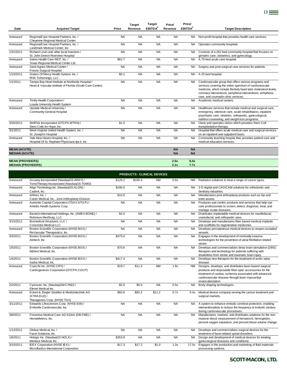|                           |                                                           |           | <b>Target</b> | <b>Target</b>       | Price/    | Price/              |                                                                |
|---------------------------|-----------------------------------------------------------|-----------|---------------|---------------------|-----------|---------------------|----------------------------------------------------------------|
| Date                      | <b>Acquirer/Target</b>                                    | Price     | Revenue       | EBITDA <sup>2</sup> | Revenue   | EBITDA <sup>2</sup> | <b>Target Description</b>                                      |
|                           |                                                           |           |               |                     |           |                     |                                                                |
| Annouced                  | RegionalCare Hospital Partners, Inc. /                    | <b>NA</b> | <b>NA</b>     | <b>NA</b>           | <b>NA</b> | <b>NA</b>           | Non-profit hospital that provides health care services.        |
|                           | Cheyenne Regional Medical Center                          |           |               |                     |           |                     |                                                                |
| Annouced                  | RegionalCare Hospital Partners, Inc. /                    | <b>NA</b> | <b>NA</b>     | <b>NA</b>           | <b>NA</b> | <b>NA</b>           | Operates community hospitals.                                  |
|                           | Landmark Medical Center, Inc.                             |           |               |                     |           |                     |                                                                |
| 1/31/2011                 | Richard Levin and other local investors /                 | <b>NA</b> | <b>NA</b>     | <b>NA</b>           | <b>NA</b> | <b>NA</b>           | Consists of a 262 bed community hospital that focuses on       |
|                           | St. John Detroit Riverview Hospital                       |           |               |                     |           |                     | geriatric care, obstetrics, and gynecology.                    |
| Annouced                  | Sabra Health Care REIT. Inc. /                            | \$62.7    | <b>NA</b>     | <b>NA</b>           | <b>NA</b> | <b>NA</b>           | A 70-bed acute care hospital.                                  |
|                           | Texas Regional Medical Center Ltd.                        |           |               |                     |           |                     |                                                                |
| Annouced                  | Saint Agnes Medical Center /                              | <b>NA</b> | <b>NA</b>     | <b>NA</b>           | <b>NA</b> | <b>NA</b>           | Surgery and post-surgical care services for patients.          |
|                           | Fresno Surgical Hospital                                  |           |               |                     |           |                     |                                                                |
| 1/10/2011                 | Sisters Of Mercy Health System, Inc. /                    | \$0.1     | <b>NA</b>     | <b>NA</b>           | <b>NA</b> | <b>NA</b>           | A 25 bed hospital.                                             |
|                           | RHA Tishomingo, LLC                                       |           |               |                     |           |                     |                                                                |
| 1/1/2011                  | Tampa Bay Heart Institute at Northside Hospital /         | <b>NA</b> | <b>NA</b>     | <b>NA</b>           | <b>NA</b> | <b>NA</b>           | Cardiovascular group that offers various programs and          |
|                           | Heart & Vascular Institute of Florida (South Care Center) |           |               |                     |           |                     | services covering the entire spectrum of cardiovascular        |
|                           |                                                           |           |               |                     |           |                     | medicine, which include Berkely heart labs cholesterol levels, |
|                           |                                                           |           |               |                     |           |                     | coronary interventions, peripheral interventions, arrhythmia   |
|                           |                                                           |           |               |                     |           |                     | care, and coumadin clinic services.                            |
| Annouced                  | Trinity Health Corporation /                              | <b>NA</b> | <b>NA</b>     | <b>NA</b>           | <b>NA</b> | <b>NA</b>           | Academic medical centers.                                      |
|                           | Loyola University Health System                           |           |               |                     |           |                     |                                                                |
| Annouced                  | Upstate Medical University /                              | <b>NA</b> | <b>NA</b>     | <b>NA</b>           | <b>NA</b> | <b>NA</b>           | Healthcare services that include medical and surgical care,    |
|                           | <b>Community-General Hospital</b>                         |           |               |                     |           |                     | emergency, intensive care, acute rehabilitation, inpatient     |
|                           |                                                           |           |               |                     |           |                     | psychiatric care, obstetric, orthopedic, gynecological,        |
|                           |                                                           |           |               |                     |           |                     | nutrition counseling, and weight loss programs.                |
| 3/30/2011                 | WellTek Incorporated (OTCPK:WTKN) /                       | \$1.5     | <b>NA</b>     | <b>NA</b>           | <b>NA</b> | <b>NA</b>           | Owns and operates clinics which provides Stem Cell             |
|                           | Stem Cells for Hope, Inc.                                 |           |               |                     |           |                     | transplantation therapy.                                       |
| 3/1/2011                  | West Virginia United Health System, Inc. /                | <b>NA</b> | <b>NA</b>     | <b>NA</b>           | <b>NA</b> | <b>NA</b>           | Hospital that offers acute medical care and surgical services  |
|                           | St. Joseph's Hospital                                     |           |               |                     |           |                     | on an inpatient and outpatient basis                           |
| Annouced                  | Yale-New Haven Hospital, Inc. /                           | <b>NA</b> | <b>NA</b>     | <b>NA</b>           | <b>NA</b> | <b>NA</b>           | Community teaching hospita that, provides patient care and     |
|                           | Hospital Of St. Raphael Physicians Ipa Ii, Inc.           |           |               |                     |           |                     | medical education services.                                    |
|                           |                                                           |           |               |                     |           |                     |                                                                |
| <b>MEAN (ACUTE)</b>       |                                                           |           |               |                     | <b>NA</b> | <b>NA</b>           |                                                                |
| <b>MEDIAN (ACUTE)</b>     |                                                           |           |               |                     | <b>NA</b> | <b>NA</b>           |                                                                |
| <b>MEAN (PROVIDERS)</b>   |                                                           |           |               |                     | 2.5x      | 8.4x                |                                                                |
| <b>MEDIAN (PROVIDERS)</b> |                                                           |           |               |                     | 2.1x      | 7.7x                |                                                                |
|                           |                                                           |           |               |                     |           |                     |                                                                |

|           | <b>PRODUCTS - CLINICAL DEVICES</b>                                                            |           |           |           |           |           |                                                                                                                                                                                                                                                       |  |  |  |  |  |
|-----------|-----------------------------------------------------------------------------------------------|-----------|-----------|-----------|-----------|-----------|-------------------------------------------------------------------------------------------------------------------------------------------------------------------------------------------------------------------------------------------------------|--|--|--|--|--|
| Annouced  | Accuray Incorporated (NasdaqGS:ARAY) /<br>TomoTherapy Incorporated (NasdaqGS:TOMO)            | \$126.2   | \$195.4   | <b>NM</b> | 0.6x      |           | NM Radiation solutions to treat a range of cancer types.                                                                                                                                                                                              |  |  |  |  |  |
| Annouced  | Align Technology Inc. (NasdaqGS:ALGN) /<br>Cadent, Inc.                                       | \$190.0   | <b>NA</b> | <b>NA</b> | <b>NA</b> | NA.       | 3-D digital and CAD/CAM solutions for orthodontic and<br>dentistry industries.                                                                                                                                                                        |  |  |  |  |  |
| Annouced  | Arthrex. Inc. /<br>Cardo Medical, Inc., Joint Arthroplasty Division                           | \$10.0    | <b>NA</b> | <b>NA</b> | <b>NA</b> | <b>NA</b> | Manufactures joint arthroplasty products such as hip and<br>knee assets.                                                                                                                                                                              |  |  |  |  |  |
| Annouced  | Aumento Capital Corporation (TSXV:ATO.P) /<br>Annidis Health Systems Corp.                    | <b>NA</b> | <b>NA</b> | <b>NA</b> | <b>NA</b> | <b>NA</b> | Produces eye-centric products and services that help eye<br>care professionals to screen, detect, diagnose, treat, and<br>manage ocular diseases.                                                                                                     |  |  |  |  |  |
| Annouced  | Bacterin International Holdings, Inc. (AMEX:BONE) /<br>Robinson MedSurg, LLC                  | \$2.0     | <b>NA</b> | <b>NA</b> | <b>NA</b> | <b>NA</b> | Distributes implantable medical devices for maxillofacial,<br>craniofacial, and orthopedic uses.                                                                                                                                                      |  |  |  |  |  |
| 3/15/2011 | Biomedical Structures, LLC /<br>Concordia Medical LLC                                         | <b>NA</b> | <b>NA</b> | <b>NA</b> | <b>NA</b> | <b>NA</b> | Develops and manufactures fiber based medical implants<br>and scaffolds for regenerative medicines.                                                                                                                                                   |  |  |  |  |  |
| Annouced  | Boston Scientific Corporation (NYSE:BSX) /<br>ReVascular Therapeutics, Inc.                   | <b>NA</b> | <b>NA</b> | <b>NA</b> | <b>NA</b> | <b>NA</b> | Develops percutaneous medical devices to reopen occluded<br>vessels.                                                                                                                                                                                  |  |  |  |  |  |
| 3/3/2011  | Boston Scientific Corporation (NYSE:BSX) /<br>Atritech, Inc.                                  | \$375.0   | <b>NA</b> | <b>NA</b> | <b>NA</b> | <b>NA</b> | Engages in the development of minimally invasive<br>technologies for the prevention of atrial fibrillation related<br>stroke.                                                                                                                         |  |  |  |  |  |
| 1/5/2011  | Boston Scientific Corporation (NYSE:BSX) /<br>IntElect Medical, Inc.                          | \$70.6    | <b>NA</b> | <b>NA</b> | <b>NA</b> | <b>NA</b> | Develops and commercializes deep brain stimulation (DBS)<br>therapies and technology for patients suffering with<br>disabilities from stroke and traumatic brain injury.                                                                              |  |  |  |  |  |
| 1/4/2011  | Boston Scientific Corporation (NYSE:BSX) /<br>Sadra Medical, Inc.                             | \$417.4   | <b>NA</b> | <b>NA</b> | <b>NA</b> | <b>NA</b> | Develops new therapies for the treatment of aortic valve<br>disease.                                                                                                                                                                                  |  |  |  |  |  |
| Annouced  | CryoLife Inc. (NYSE:CRY) /<br>Cardiogenesis Corporation (OTCPK:CGCP)                          | \$19.7    | \$11.3    | <b>NM</b> | 1.8x      | <b>NM</b> | Designs, develops, and distributes laser-based surgical<br>products and disposable fiber-optic accessories for the<br>treatment of cardiac ischemia associated with advanced<br>cardiovascular disease through laser myocardial<br>revascularization. |  |  |  |  |  |
| 2/2/2011  | Cynosure, Inc. (NasdaqGM:CYNO) /<br>Elemé Medical Inc.                                        | \$2.5     | \$5.0     | <b>NA</b> | 0.5x      | <b>NA</b> | Body shaping technologies.                                                                                                                                                                                                                            |  |  |  |  |  |
| Annouced  | Eckert & Ziegler Strahlen & Medizintechnik AG<br>(XTRA:EUZ) /<br>Theragenics Corp. (NYSE:TGX) | \$60.6    | \$82.2    | \$11.2    | 0.7x      | 5.4x      | Medical device company serving the cancer treatment and<br>surgical markets.                                                                                                                                                                          |  |  |  |  |  |
| 3/11/2011 | Edwards Lifesciences Corp. (NYSE:EW) /<br>Embrella Cardiovascular, Inc.                       | <b>NA</b> | <b>NA</b> | <b>NA</b> | <b>NA</b> | <b>NA</b> | A system to enhance embolic cerebral protection, enabling<br>interventionalists to reduce the frequency of embolic strokes<br>during cardiovascular procedures.                                                                                       |  |  |  |  |  |
| 3/8/2011  | Fresenius Medical Care AG KGAA (DB:FME) /<br>HemaMetrics, Inc.                                | <b>NA</b> | <b>NA</b> | <b>NA</b> | <b>NA</b> | <b>NA</b> | Manufactures, markets, and distributes solutions for the non-<br>invasive blood measurement of hematocrit, hemoglobin,<br>percent oxygen saturation, and percent blood volume change.                                                                 |  |  |  |  |  |
| 1/12/2011 | Globus Medical, Inc. /<br>Facet Solutions, Inc.                                               | <b>NA</b> | <b>NA</b> | <b>NA</b> | <b>NA</b> | <b>NA</b> | Develops and commercializes surgical devices for the<br>treatment of facet-related spinal disorders.                                                                                                                                                  |  |  |  |  |  |
| 1/6/2011  | Hologic Inc. (NasdaqGS:HOLX) /<br>Interlace Medical, Inc.                                     | \$353.9   | <b>NA</b> | <b>NA</b> | <b>NA</b> | <b>NA</b> | Design and development of medical devices for treating<br>gynecological diseases and conditions.                                                                                                                                                      |  |  |  |  |  |
| 3/10/2011 | IDEX Corporation (NYSE:IEX) /<br>Microfluidics International Corporation                      | \$17.3    | \$17.2    | \$1.0     | 1.0x      | 17.5x     | Engages in the production and marketing of fluid materials<br>processing systems.                                                                                                                                                                     |  |  |  |  |  |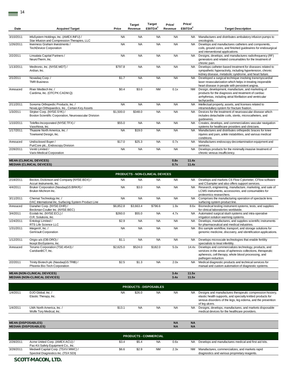| Date               | <b>Acquirer/Target</b>                                                                  | Price     | <b>Target</b><br>Revenue | <b>Target</b><br>EBITDA <sup>2</sup> | Price/<br>Revenue | Price/<br>EBITDA <sup>2</sup> | <b>Target Description</b>                                                                                                                                                               |
|--------------------|-----------------------------------------------------------------------------------------|-----------|--------------------------|--------------------------------------|-------------------|-------------------------------|-----------------------------------------------------------------------------------------------------------------------------------------------------------------------------------------|
|                    |                                                                                         |           |                          |                                      |                   |                               |                                                                                                                                                                                         |
| 3/10/2011          | InfuSystem Holdings, Inc. (AMEX:INFU) /<br>Star Infusion and Compression Therapies, LLC | <b>NA</b> | <b>NA</b>                | <b>NA</b>                            | <b>NA</b>         | <b>NA</b>                     | Manufactures and distributes ambulatory infusion pumps to<br>oncologists.                                                                                                               |
| 1/26/2011          | Inverness Graham Investments /<br><b>TechDevice Corporation</b>                         | <b>NA</b> | <b>NA</b>                | <b>NA</b>                            | <b>NA</b>         | <b>NA</b>                     | Develops and manufactures catheters and components,<br>coils, ground cores, and finished guidewires for endosurgical<br>and interventional applications.                                |
| 2/2/2011           | Linsalata Capital Partners /<br>NeuroTherm. Inc.                                        | <b>NA</b> | <b>NA</b>                | <b>NA</b>                            | <b>NA</b>         | <b>NA</b>                     | Designs, develops, and manufactures radiofrequency (RF)<br>generators and related consumables for the treatment of<br>chronic pain.                                                     |
| 1/13/2011          | Medtronic, Inc. (NYSE:MDT) /<br>Ardian, Inc.                                            | \$797.8   | <b>NA</b>                | <b>NA</b>                            | <b>NA</b>         | <b>NA</b>                     | Develops catheter-based treatment for diseases related to<br>sympathetic hyperactivity, including hypertension, chronic<br>kidney disease, metabolic syndrome, and heart failure.       |
| 2/1/2011           | Novadag Corp./<br><b>TMR Business</b>                                                   | \$1.7     | <b>NA</b>                | <b>NA</b>                            | <b>NA</b>         | <b>NA</b>                     | Developed a surgical technique involving transmyocardial<br>laser revascularization which helps in treating inoperable<br>heart disease in people with persistent angina.               |
| Annouced           | River Medtech Inc. /<br>Cardima, Inc. (OTCPK:CADM.Q)                                    | \$0.4     | \$3.0                    | <b>NM</b>                            | 0.1x              | <b>NM</b>                     | Design, development, manufacture, and marketing of<br>products for the diagnosis and treatment of cardiac<br>arrhythmias, including atrial fibrillation and ventricular<br>tachycardia. |
| $\frac{2}{112011}$ | Sonoma Orthopedic Products, Inc. /<br>NovaLign Orthopaedics, Inc., Certain Key Assets   | <b>NA</b> | <b>NA</b>                | <b>NA</b>                            | <b>NA</b>         | <b>NA</b>                     | Intellectual property, assets, and licenses related to<br>intramedullary system for fracture fixation.                                                                                  |
| 1/3/2011           | Stryker Corp. (NYSE:SYK) /<br>Boston Scientific Corporation, Neurovascular Division     | \$1,500.0 | \$348.0                  | <b>NA</b>                            | <b>NA</b>         | <b>NA</b>                     | Devices for the treatment of neurovascular disease which<br>includes detachable coils, stents, microcatheters, and<br>quidewires.                                                       |
| 1/10/2011          | Teleflex Incorporated (NYSE:TFX) /<br>VasoNova, Inc.                                    | \$55.0    | <b>NA</b>                | <b>NA</b>                            | <b>NA</b>         | <b>NA</b>                     | Creates, develops, and commercializes vascular navigation<br>systems for healthcare providers and clinicians.                                                                           |
| 1/17/2011          | Thuasne North America. Inc. /<br>Townsend Design, Inc.                                  | <b>NA</b> | \$19.0                   | <b>NA</b>                            | <b>NA</b>         | <b>NA</b>                     | Manufactures and distributes orthopedic braces for knee<br>injuries and pain, ankle instabilities, and various medical<br>conditions.                                                   |
| Annouced           | Undisclosed Buyer /<br>PuriCore plc., Endoscopy Division                                | \$17.0    | \$25.3                   | <b>NA</b>                            | 0.7x              | NA.                           | Manufactures endoscopy decontamination equipment and<br>services.                                                                                                                       |
| 2/28/2011          | Veniti Limited /<br>Varix Medical Corporation                                           | <b>NA</b> | <b>NA</b>                | <b>NA</b>                            | <b>NA</b>         | <b>NA</b>                     | Develops products for the minimally invasive treatment of<br>chronic venous insufficiency.                                                                                              |
|                    |                                                                                         |           |                          |                                      |                   |                               |                                                                                                                                                                                         |

#### **MEAN (CLINICAL DEVICES) 0.8x 11.4x MEDIAN (CLINICAL DEVICES) 0.7x 11.4x**

|           |                                                                                  |           |           | <b>PRODUCTS - NON-CLINICAL DEVICES</b> |              |                |                                                                                                                                                                                                     |
|-----------|----------------------------------------------------------------------------------|-----------|-----------|----------------------------------------|--------------|----------------|-----------------------------------------------------------------------------------------------------------------------------------------------------------------------------------------------------|
| 2/18/2011 | Becton, Dickinson and Company (NYSE:BDX) /<br>Accuri Instruments, Inc.           | <b>NA</b> | <b>NA</b> | <b>NA</b>                              | <b>NA</b>    | <b>NA</b>      | Develops and markets C6 Flow Cytometer, CFlow software<br>and CSampler and also offers support services.                                                                                            |
| 4/4/2011  | Bruker Corporation (NasdaqGS:BRKR) /<br>Bruker-Michrom Inc.                      | <b>NA</b> | \$3.0     | <b>NA</b>                              | <b>NA</b>    | <b>NA</b>      | Research, engineering, manufacture, marketing, and sale of<br>LCMS instruments, accessories, and consumables for<br>proteomics researchers.                                                         |
| 3/11/2011 | Chemat Technology Inc. /<br>DAC International Inc, Surfacing System Product Line | <b>NA</b> | <b>NA</b> | <b>NA</b>                              | <b>NA</b>    | <b>NA</b>      | Comprises the manufacturing operation of spectacle lens<br>surfacing system product line.                                                                                                           |
| Annouced  | Danaher Corp. (NYSE:DHR) /<br>Beckman Coulter Inc. (NYSE:BEC)                    | \$6,852.8 | \$3.663.4 | \$796.6                                | 1.9x         | 8.6x           | Biomedical testing instrument systems, tests, and supplies<br>for clinical laboratories worldwide.                                                                                                  |
| 3/4/2011  | Ecolab Inc. (NYSE:ECL) /<br>O.R. Solutions. Inc.                                 | \$260.0   | \$55.0    | <b>NA</b>                              | 4.7x         | <b>NA</b>      | Automated surgical slush systems and intra-operative<br>irrigation solution warming systems.                                                                                                        |
| 1/24/2011 | Entologi Limited /<br>RTS Life Science LLC                                       | \$2.9     | <b>NA</b> | <b>NA</b>                              | <b>NA</b>    | <b>NA</b>      | Develops, manufactures, and supplies scientific instruments<br>for pharmaceutical and medical industries.                                                                                           |
| 1/31/2011 | IntegenX, Inc. /<br>GenVault Corporation                                         | <b>NA</b> | <b>NA</b> | <b>NA</b>                              | <b>NA</b>    | <b>NA</b>      | Bio sample workflow, transport, and storage solutions for<br>genomic medicine, discovery, and identification applications.                                                                          |
| 1/12/2011 | Origio a/s (OB:ORO) /<br>Incept BioSystems, Inc.                                 | \$1.1     | <b>NA</b> | <b>NA</b>                              | <b>NA</b>    | NA.            | Develops microscale technologies that enable fertility<br>specialists to treat infertility.                                                                                                         |
| Annouced  | Terumo Corporation (TSE:4543) /<br>CaridianBCT, Inc.                             | \$2,625.0 | \$524.0   | \$182.0                                | 5.0x         | 14.4x          | Develops and commercializes technology, products, and<br>services in the areas of apheresis collections, therapeutic<br>apheresis, cell therapy, whole blood processing, and<br>pathogen reduction. |
| 2/2/2011  | Trinity Biotech plc (NasdaqGS:TRIB) /<br>Phoenix Bio-Tech Corporation            | \$2.5     | \$1.3     | <b>NA</b>                              | 2.0x         | <b>NA</b>      | Medical diagnostic products and technical services for<br>manual and custom automation of diagnostic systems.                                                                                       |
|           | <b>MEAN (NON-CLINICAL DEVICES)</b><br><b>MEDIAN (NON-CLINICAL DEVICES)</b>       |           |           |                                        | 3.4x<br>3.4x | 11.5x<br>11.5x |                                                                                                                                                                                                     |

| <b>PRODUCTS - DISPOSABLES</b> |                                                       |           |           |           |           |           |                                                                                                                                                                                                           |  |  |  |
|-------------------------------|-------------------------------------------------------|-----------|-----------|-----------|-----------|-----------|-----------------------------------------------------------------------------------------------------------------------------------------------------------------------------------------------------------|--|--|--|
| 1/4/2011                      | DJO Global, Inc. /<br>Elastic Therapy, Inc.           | <b>NA</b> | \$26.0    | <b>NA</b> | <b>NA</b> | <b>NA</b> | Designs and manufactures therapeutic compression hosiery.<br>elastic health supports, and specialty knitted products for<br>venous disorders of the legs, leg edema, and the prevention<br>of lea ulcers. |  |  |  |
| 1/4/2011                      | LMA North America, Inc. /<br>Wolfe Tory Medical, Inc. | \$13.1    | <b>NA</b> | <b>NA</b> | <b>NA</b> | <b>NA</b> | Designs, develops, manufactures, and markets disposable<br>medical devices for the healthcare providers.                                                                                                  |  |  |  |

|           | <b>MEAN (DISPOSABLES)</b><br><b>MEDIAN (DISPOSABLES)</b>                  |       |                              |           | <b>NA</b><br><b>NA</b> | <b>NA</b><br><b>NA</b> |                                                                                                  |
|-----------|---------------------------------------------------------------------------|-------|------------------------------|-----------|------------------------|------------------------|--------------------------------------------------------------------------------------------------|
|           |                                                                           |       | <b>PRODUCTS - COMMERCIAL</b> |           |                        |                        |                                                                                                  |
| 2/28/2011 | Acme United Corp. (AMEX:ACU) /<br>Pac-Kit Safety Equipment Co., Inc.      | \$3.4 | \$5.4                        | <b>NA</b> | 0.6x                   | <b>NA</b>              | Develops and manufactures medical and first aid kits.                                            |
| 3/28/2011 | Medwell Capital Corp. (TSXV:MWC) /<br>Spectral Diagnostics Inc. (TSX:SDI) | \$6.6 | \$2.9                        | <b>NM</b> | 2.3x                   | <b>NM</b>              | Manufactures, commercializes, and markets rapid<br>diagnostics and various proprietary reagents. |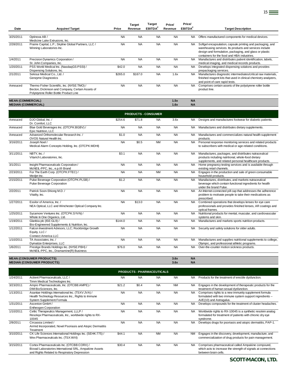| Date                     | <b>Acquirer/Target</b>                                                                                                                    | Price     | <b>Target</b><br>Revenue | <b>Target</b><br><b>EBITDA<sup>2</sup></b> | Price/<br>Revenue | Price/<br>EBITDA <sup>2</sup> | <b>Target Description</b>                                                                                                                                                                                                       |
|--------------------------|-------------------------------------------------------------------------------------------------------------------------------------------|-----------|--------------------------|--------------------------------------------|-------------------|-------------------------------|---------------------------------------------------------------------------------------------------------------------------------------------------------------------------------------------------------------------------------|
|                          |                                                                                                                                           |           |                          |                                            |                   |                               |                                                                                                                                                                                                                                 |
| 3/25/2011                | Optinova AB /<br>Medicine Lake Extrusions. Inc.                                                                                           | <b>NA</b> | <b>NA</b>                | <b>NA</b>                                  | <b>NA</b>         | NA.                           | Offers manufactured components for medical devices.                                                                                                                                                                             |
| 2/28/2011                | Prairie Capital, L.P.; Skyline Global Partners, LLC /<br>Winning Laboratories Inc.                                                        | <b>NA</b> | <b>NA</b>                | <b>NA</b>                                  | <b>NA</b>         | NA.                           | Softgel encapsulation, capsule printing and packaging, and<br>warehousing services. Its products and services include<br>design and formulation, packaging, and glass or plastic<br>containers for the food and HBA industries. |
| 1/4/2011                 | Precision Dynamics Corporation /<br>St. John Companies, Inc.                                                                              | <b>NA</b> | <b>NA</b>                | <b>NA</b>                                  | <b>NA</b>         | <b>NA</b>                     | Manufactures and distributes patient identification, labels,<br>medical imaging, and medical records products.                                                                                                                  |
| 1/20/2011                | PSS World Medical Inc. (NasdaqGS:PSSI) /<br>Dispensing Solutions, Inc.                                                                    | \$42.0    | <b>NA</b>                | <b>NA</b>                                  | <b>NA</b>         | <b>NA</b>                     | Develops integrated dispensing solutions and provides<br>prepackaging services.                                                                                                                                                 |
| 2/1/2011                 | Sekisui Medical Co., Ltd. /<br>Genzyme Diagnostics                                                                                        | \$265.0   | \$167.0                  | <b>NA</b>                                  | 1.6x              | <b>NA</b>                     | Manufactures diagnostic intermediates/critical raw materials,<br>finished reagent kits that used in clinical chemistry analyzers,<br>and point of care rapid tests.                                                             |
| Annouced                 | Thermo Fisher Scientific, Inc. (NYSE:TMO) /<br>Becton, Dickinson and Company, Certain Assets of<br>Polystyrene Roller Bottle Product Line | <b>NA</b> | <b>NA</b>                | <b>NA</b>                                  | <b>NA</b>         | <b>NA</b>                     | Comprises certain assets of the polystyrene roller bottle<br>product line.                                                                                                                                                      |
| <b>MEAN (COMMERCIAL)</b> |                                                                                                                                           |           |                          |                                            | 1.5x              | <b>NA</b>                     |                                                                                                                                                                                                                                 |

## **MEDIAN (COMMERCIAL) 1.6x NA**

|           | <b>PRODUCTS - CONSUMER</b>                                                                 |           |           |           |           |           |                                                                                                                                                                       |  |  |  |  |
|-----------|--------------------------------------------------------------------------------------------|-----------|-----------|-----------|-----------|-----------|-----------------------------------------------------------------------------------------------------------------------------------------------------------------------|--|--|--|--|
| Annouced  | DJO Global, Inc. /                                                                         | \$254.6   | \$71.8    | <b>NA</b> | 3.6x      | <b>NA</b> | Designs and manufactures footwear for diabetic patients.                                                                                                              |  |  |  |  |
|           | Dr. Comfort, LLC                                                                           |           |           |           |           |           |                                                                                                                                                                       |  |  |  |  |
| Annouced  | Blue Gold Beverages Inc. (OTCPK:BGBV) /<br>Epic Nutrition, LLC                             | <b>NA</b> | <b>NA</b> | <b>NA</b> | <b>NA</b> | <b>NA</b> | Manufactures and distributes dietary supplements.                                                                                                                     |  |  |  |  |
| Annouced  | Advanced Orthomolecular Research Inc. /<br>OVOS Natural Health Inc.                        | \$1.0     | <b>NA</b> | <b>NA</b> | <b>NA</b> | <b>NA</b> | Manufactures and commercializes natural health supplement<br>products.                                                                                                |  |  |  |  |
| 3/16/2011 | Joseph Noel /<br>Medical Alarm Concepts Holding, Inc. (OTCPK:MDHI)                         | <b>NA</b> | \$0.5     | <b>NM</b> | <b>NA</b> | <b>NA</b> | Personal response monitoring services and related products<br>to subscribers with medical or age-related conditions.                                                  |  |  |  |  |
| 3/11/2011 | NBTY, Inc./<br>Vitarich Laboratories, Inc.                                                 | \$3.1     | <b>NA</b> | <b>NA</b> | <b>NA</b> | <b>NA</b> | Manufactures, packages, and distributes nutraceutical<br>products including nutritional, whole-food dietary<br>supplements, and related personal healthcare products. |  |  |  |  |
| 3/1/2011  | Insight Pharmaceuticals Corporation /<br>McNEIL-PPC, Inc., e.p.t® Brand                    | <b>NA</b> | <b>NA</b> | <b>NA</b> | <b>NA</b> | <b>NA</b> | Home pregnancy testing services and is available through<br>existing retail channels.                                                                                 |  |  |  |  |
| 2/23/2011 | For The Earth Corp. (OTCPK:FTEC) /<br>Medjet Inc.                                          | <b>NA</b> | <b>NA</b> | <b>NM</b> | <b>NA</b> | <b>NA</b> | Engages in the production and sale of green consumable<br>household products.                                                                                         |  |  |  |  |
| 2/15/2011 | Pulse Beverage Corporation (OTCPK:PLSB) /<br>Pulse Beverage Corporation                    | \$1.2     | <b>NA</b> | <b>NA</b> | <b>NA</b> | <b>NA</b> | Manufactures, distributes, and markets nutraceutical<br>beverage which contain functional ingredients for health<br>under the brand Pulse.                            |  |  |  |  |
| 2/2/2011  | Patrick Soon-Shiong M.D. /<br>Vitality, Inc.                                               | <b>NA</b> | <b>NA</b> | <b>NA</b> | <b>NA</b> | <b>NA</b> | An Internet-connected pill cap that addresses the adherence<br>problem to motivate people to take their medications as<br>prescribed.                                 |  |  |  |  |
| 1/27/2011 | Essilor of America, Inc. /<br>NEA Optical, LLC and Winchester Optical Company Inc.         | <b>NA</b> | \$13.0    | <b>NA</b> | <b>NA</b> | <b>NA</b> | Combined operations that develops lenses for eye care<br>professionals and provides finished lenses, AR coatings and<br>optical frames.                               |  |  |  |  |
| 1/25/2011 | Sycamore Ventures Inc. (OTCPK:SYVN) /<br>Whole In One Organics, Ltd.                       | <b>NA</b> | <b>NA</b> | <b>NA</b> | <b>NA</b> | <b>NA</b> | Nutritional products for mental, muscular, and cardiovascular<br>systems and skin.                                                                                    |  |  |  |  |
| 1/19/2011 | Glanbia plc (ISE:GL9) /<br>Bio-Engineered Supplements & Nutrition, Inc.                    | \$144.0   | <b>NA</b> | <b>NA</b> | <b>NA</b> | <b>NA</b> | Manufactures and markets sports nutrition products.                                                                                                                   |  |  |  |  |
| 1/12/2011 | Falcon Investment Advisors, LLC; Rockbridge Growth<br>Equity, LLC /<br>Connect America LLC | <b>NA</b> | <b>NA</b> | <b>NA</b> | <b>NA</b> | NA.       | Security and safety solutions for older adults.                                                                                                                       |  |  |  |  |
| 1/10/2011 | TA Associates. Inc. /<br>Dymatize Enterprises, LLC                                         | <b>NA</b> | <b>NA</b> | <b>NA</b> | <b>NA</b> | <b>NA</b> | Manufactures and supplies nutritional supplements to college,<br>Olympic, and professional athletic programs.                                                         |  |  |  |  |
| 1/6/2011  | Prestige Brands Holdings Inc. (NYSE:PBH) /<br>McNEIL-PPC, Inc., Dramamine(R) Business      | \$76.0    | <b>NA</b> | <b>NA</b> | <b>NA</b> | <b>NA</b> | Over-the-counter motion sickness products.                                                                                                                            |  |  |  |  |
|           | <b>MEAN (CONSUMER PRODUCTS)</b>                                                            |           |           |           | 3.6x      | <b>NA</b> |                                                                                                                                                                       |  |  |  |  |
|           | <b>MEDIAN (CONSUMER PRODUCTS)</b>                                                          |           |           |           | 3.6x      | <b>NA</b> |                                                                                                                                                                       |  |  |  |  |
|           |                                                                                            |           |           |           |           |           |                                                                                                                                                                       |  |  |  |  |

|           | <b>PRODUCTS - PHARMACEUTICALS</b>                                                                                                                     |           |           |           |           |           |                                                                                                                                               |  |  |  |  |  |
|-----------|-------------------------------------------------------------------------------------------------------------------------------------------------------|-----------|-----------|-----------|-----------|-----------|-----------------------------------------------------------------------------------------------------------------------------------------------|--|--|--|--|--|
| 1/24/2011 | Actient Pharmaceuticals, LLC /<br>Timm Medical Technologies Inc.                                                                                      | <b>NA</b> | <b>NA</b> | <b>NA</b> | <b>NA</b> | <b>NA</b> | Products for the treatment of erectile dysfunction.                                                                                           |  |  |  |  |  |
| 3/23/2011 | Ampio Pharmaceuticals, Inc. (OTCBB:AMPE) /<br>DMI BioSciences, Inc.                                                                                   | \$21.2    | \$0.4     | <b>NA</b> | <b>NM</b> | <b>NA</b> | Engages in the development of therapeutic products for the<br>treatment of human sexual dysfunction.                                          |  |  |  |  |  |
| 1/13/2011 | Asantae Holdings International Inc. (TSXV:JVA) /<br>Health Technology Resources Inc., Rights to Immune<br>System Supplement Formula                   | <b>NA</b> | <b>NA</b> | <b>NA</b> | <b>NA</b> | <b>NA</b> | Comprises rights to a new immunity supplement formula<br>formulated with two immune system support ingredients --<br>Ai/E(10) and Astragalus. |  |  |  |  |  |
| 1/31/2011 | Ascenion GmbH /<br><b>Entheogen Corporation</b>                                                                                                       | <b>NA</b> | <b>NA</b> | <b>NA</b> | <b>NA</b> | <b>NA</b> | Develops compounds for the treatment of cluster headaches.                                                                                    |  |  |  |  |  |
| 1/10/2011 | Celtic Therapeutics Management, LLLP /<br>Resolvyx Pharmaceuticals, Inc., worldwide rights to RX-<br>10045                                            | <b>NA</b> | <b>NA</b> | <b>NA</b> | <b>NA</b> | <b>NA</b> | Worldwide rights to RX-10045 is a synthetic resolvin analog<br>formulated for treatment of patients with chronic dry eye<br>syndrome.         |  |  |  |  |  |
| 2/9/2011  | Circassia Limited /<br>Airmid Incorporated, Novel Psoriasis and Atopic Dermatitis<br>Treatment                                                        | <b>NA</b> | <b>NA</b> | <b>NA</b> | <b>NA</b> | <b>NA</b> | Develops drugs for psoriasis and atopic dermatitis, PAP-1.                                                                                    |  |  |  |  |  |
| 3/10/2011 | CK Life Sciences International Holdings Inc. (SEHK:775) /<br>Wex Pharmaceuticals Inc. (TSX:WXI)                                                       | \$44.1    | <b>NA</b> | <b>NM</b> | <b>NA</b> | <b>NM</b> | Engages in the discovery, development, manufacture, and<br>commercialization of drug products for pain management.                            |  |  |  |  |  |
| 3/15/2011 | Cortex Pharmaceuticals Inc. (OTCBB:CORX) /<br>Biovail Laboratories International SRL, Ampakine Assets<br>and Rights Related to Respiratory Depression | \$30.4    | <b>NA</b> | <b>NA</b> | <b>NA</b> | <b>NA</b> | Comprises pharmaceutical called Ampakine compound,<br>which acts to increase the strength of signals at connections<br>between brain cells.   |  |  |  |  |  |

<u>15</u>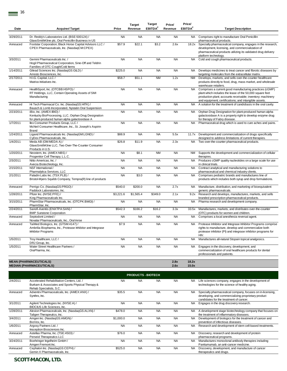| Date      | <b>Acquirer/Target</b>                                                                                                             | Price     | <b>Target</b><br>Revenue | Target<br>EBITDA <sup>2</sup> | Price/<br>Revenue | Price/<br>EBITDA <sup>2</sup> | <b>Target Description</b>                                                                                                                                                                                                                   |
|-----------|------------------------------------------------------------------------------------------------------------------------------------|-----------|--------------------------|-------------------------------|-------------------|-------------------------------|---------------------------------------------------------------------------------------------------------------------------------------------------------------------------------------------------------------------------------------------|
| 3/29/2011 | Dr. Reddy's Laboratories Ltd. (BSE:500124) /<br>GlaxoSmithKline plc, Oral Penicillin Business in US                                | <b>NA</b> | <b>NA</b>                | <b>NA</b>                     | <b>NA</b>         | <b>NA</b>                     | Comprises right to manufacture Oral Penicillin<br>pharmaceutical products.                                                                                                                                                                  |
| Annouced  | Footstar Corporation; Black Horse Capital Advisors LLC /<br>CPEX Pharmaceuticals, Inc. (NasdaqCM:CPEX)                             | \$57.9    | \$22.1                   | \$3.2                         | 2.6x              | 18.2x                         | Specialty pharmaceutical company, engages in the research,<br>development, licensing, and commercialization of<br>pharmaceutical products utilizing its validated drug delivery<br>platform technology.                                     |
| 3/3/2011  | Gemini Pharmaceuticals Inc. /<br>Hogil Pharmaceutical Corporation, Sine-Off and Teldrin<br>Families of OTC Cough/Cold Items        | <b>NA</b> | <b>NA</b>                | <b>NA</b>                     | <b>NA</b>         | <b>NA</b>                     | Cold and cough pharmaceutical products.                                                                                                                                                                                                     |
| 1/14/2011 | Gilead Sciences Inc. (NasdaqGS:GILD) /<br>Arresto Biosciences, Inc.                                                                | \$225.0   | <b>NA</b>                | <b>NA</b>                     | <b>NA</b>         | <b>NA</b>                     | Develops medicines to treat cancer and fibrotic diseases by<br>targeting molecules from the extracellular matrix.                                                                                                                           |
| 2/17/2011 | H.I.G. Capital, LLC /<br>Matrixx Initiatives Inc.                                                                                  | \$58.7    | \$51.1                   | <b>NM</b>                     | 1.2x              | <b>NM</b>                     | Develops, markets, and sells over-the-counter healthcare<br>products directly to food, drug, mass market, and wholesale<br>warehouse retailers.                                                                                             |
| Annouced  | HealthSport, Inc. (OTCBB:HSPO) /<br>RT Holdings, LLC, Certain Operating Assets of SMI<br>Manufacturing                             | <b>NA</b> | <b>NA</b>                | <b>NA</b>                     | <b>NA</b>         | <b>NA</b>                     | Comprises a current good manufacturing practices (cGMP)<br>plant which includes the lease of the 50,000 square feet<br>production plant; accounts receivable; inventory; machinery<br>and equipment; certifications; and intangible assets. |
| Annouced  | Hi Tech Pharmacal Co. Inc. (NasdaqGS:HITK) /<br>Bausch & Lomb Incorporated, Nystatin Oral Suspension                               | <b>NA</b> | <b>NA</b>                | <b>NA</b>                     | <b>NA</b>         | <b>NA</b>                     | A solution for the treatment of candidiasis in the oral cavity.                                                                                                                                                                             |
| 2/23/2011 | iBio, Inc. (AMEX:IBIO) /<br>Kentucky BioProcessing, LLC, Orphan Drug Designation<br>for plant-produced human alpha galactosidase A | <b>NA</b> | <b>NA</b>                | <b>NA</b>                     | <b>NA</b>         | NA                            | Orphan Drug Designation for plant-produced human alpha<br>galactosidase A is a property right to develop enzyme drug<br>for therapy of Fabry disease.                                                                                       |
| 1/7/2011  | llex Consumer Products Group, LLC /<br>McNeil Consumer Healthcare, Inc., St. Joseph's Aspirin<br><b>Brand</b>                      | <b>NA</b> | <b>NA</b>                | <b>NA</b>                     | <b>NA</b>         | <b>NA</b>                     | Pharmaceutical drug which is used to cure aches and pains.                                                                                                                                                                                  |
| 1/24/2011 | Ligand Pharmaceuticals Inc. (NasdaqGM:LGND) /<br>CyDex Pharmaceuticals, Inc.                                                       | \$88.9    | <b>NA</b>                | <b>NA</b>                     | 5.5x              | 11.7x                         | Development and commercialization of drugs specifically<br>designed to address limitations of current therapies.                                                                                                                            |
| 1/4/2011  | Meda AB (OM:MEDA A) /<br>GlaxoSmithKline LLC, Two Over-The-Counter Consumer<br>Products in U.S.                                    | \$26.8    | \$11.9                   | <b>NA</b>                     | 2.3x              | <b>NA</b>                     | Two over-the-counter pharmaceutical products.                                                                                                                                                                                               |
| 1/20/2011 | Neostem, Inc. (AMEX:NBS) /<br>Progenitor Cell Therapy, L.L.C.                                                                      | <b>NA</b> | \$8.1                    | <b>NM</b>                     | <b>NA</b>         | <b>NM</b>                     | Supports the development and commercialization of cellular<br>therapies.                                                                                                                                                                    |
| 2/3/2011  | Nitto Americas, Inc./<br>Avecia Biotechnology, Inc.                                                                                | <b>NA</b> | <b>NA</b>                | <b>NA</b>                     | <b>NA</b>         | <b>NA</b>                     | Produces cGMP quality nucleotides on a large scale for use<br>in clinical trials.                                                                                                                                                           |
| 2/15/2011 | NSF International /<br>Pharmalytica Services, LLC                                                                                  | <b>NA</b> | <b>NA</b>                | <b>NA</b>                     | <b>NA</b>         | <b>NA</b>                     | Contract analytical and manufacturing solutions to<br>pharmaceutical and chemical industry clients.                                                                                                                                         |
| 2/1/2011  | Paladin Labs Inc. (TSX:PLB) /<br>Bristol-Myers Squibb Company, Tempra(R) line of products                                          | <b>NA</b> | \$3.0                    | <b>NA</b>                     | <b>NA</b>         | <b>NA</b>                     | Comprises pediatric brands and manufactures line of<br>products which includes both syrup and drop formulations.                                                                                                                            |
| Annouced  | Perrigo Co. (NasdaqGS:PRGO) /<br>Paddock Laboratories, Inc.                                                                        | \$540.0   | \$200.0                  | <b>NA</b>                     | 2.7x              | <b>NA</b>                     | Manufacture, distribution, and marketing of bioequivalent<br>generic pharmaceuticals.                                                                                                                                                       |
| 1/28/2011 | Pfizer Inc. (NYSE:PFE) /<br>King Pharmaceuticals Inc.                                                                              | \$3,221.6 | \$1,565.4                | \$349.0                       | 2.1x              | 9.2x                          | Research and develops, manufactures, markets, and sells<br>branded prescription pharmaceutical products.                                                                                                                                    |
| 3/15/2011 | PharmStar Pharmaceuticals, Inc. (OTCPK:BMGI) /<br>PharmStar, Inc.                                                                  | <b>NA</b> | <b>NA</b>                | <b>NA</b>                     | <b>NA</b>         | <b>NA</b>                     | Pharma research and development company.                                                                                                                                                                                                    |
| 2/24/2011 | Sanofi-Aventis (ENXTPA:SAN) /<br><b>BMP Sunstone Corporation</b>                                                                   | \$542.3   | \$166.2                  | \$16.2                        | 3.3x              | 33.5x                         | Manufactures, markets, and distributes over-the-counter<br>(OTC) products for women and children.                                                                                                                                           |
| Annouced  | Septodont Limited /<br>Novalar Pharmaceuticals, Inc., OraVerse                                                                     | <b>NA</b> | <b>NA</b>                | <b>NA</b>                     | <b>NA</b>         | <b>NA</b>                     | Comprises a local anesthesia reversal agent.                                                                                                                                                                                                |
| Annouced  | TaiMed Biologics, Inc. (GTSM:4147) /<br>Ambrilia Biopharma, Inc., Protease Inhibitor and Integrase<br><b>Inhibitor Programs</b>    | \$7.9     | <b>NA</b>                | <b>NA</b>                     | <b>NA</b>         | <b>NA</b>                     | Protease Inhibitor and Integrase Inhibitor Programs comprise<br>rights to manufacture, develop and commercialize both<br>protease inhibitor (PI) and integrase inhibitor programs for<br>HIV.                                               |
| 1/5/2011  | Troy Healthcare, LLC /<br>DRJ Group, Inc.                                                                                          | <b>NA</b> | <b>NA</b>                | <b>NA</b>                     | <b>NA</b>         | <b>NA</b>                     | Manufactures all-natural Stopain topical analgesics.                                                                                                                                                                                        |
| 1/5/2011  | Water Street Healthcare Partners /<br>OraPharma, Inc.                                                                              | <b>NA</b> | <b>NA</b>                | <b>NA</b>                     | <b>NA</b>         | <b>NA</b>                     | Engages in the discovery, development, and<br>commercialization of oral healthcare products for dental<br>professionals and patients.                                                                                                       |
|           | <b>MEAN (PHARMACEUTICALS)</b>                                                                                                      |           |                          |                               | 2.8x              | 18.2x                         |                                                                                                                                                                                                                                             |

**MEDIAN (PHARMACEUTICALS) 2.6x 15.0x**

|           | <b>PRODUCTS - BIOTECH</b>                                                                                                  |           |           |           |           |           |                                                                                                                                                              |  |  |  |  |  |  |  |
|-----------|----------------------------------------------------------------------------------------------------------------------------|-----------|-----------|-----------|-----------|-----------|--------------------------------------------------------------------------------------------------------------------------------------------------------------|--|--|--|--|--|--|--|
| 2/4/2011  | Accelerated Rehabilitation Centers, Ltd. /<br>Burkam & Associates and Sports Physical Therapy &<br>Rehab Specialists, S.C. | <b>NA</b> | <b>NA</b> | <b>NA</b> | <b>NA</b> | <b>NA</b> | Life sciences company, engages in the development of<br>technologies for the science of healthy aging.                                                       |  |  |  |  |  |  |  |
| Annouced  | Adventrx Pharmaceuticals, Inc. (AMEX:ANX) /<br>Synthrx, Inc.                                                               | \$35.5    | <b>NA</b> | <b>NA</b> | <b>NA</b> | NA.       | Specialty pharmaceutical company, focuses on in-licensing,<br>developing, and commercializing proprietary product<br>candidates for the treatment of cancer. |  |  |  |  |  |  |  |
| 3/1/2011  | Agilent Technologies Inc. (NYSE:A) /<br><b>BIOCIUS Life Sciences, Inc.</b>                                                 | <b>NA</b> | <b>NA</b> | <b>NA</b> | <b>NA</b> | NA.       | Engages in the drug discovery research.                                                                                                                      |  |  |  |  |  |  |  |
| 1/28/2011 | Alexion Pharmaceuticals, Inc. (NasdaqGS:ALXN) /<br>Taligen Therapeutics, Inc.                                              | \$478.0   | <b>NA</b> | <b>NA</b> | <b>NA</b> | <b>NA</b> | A development stage biotechnology company that focuses on<br>the treatment of inflammatory diseases.                                                         |  |  |  |  |  |  |  |
| 3/4/2011  | Amgen Inc. (NasdaqGS:AMGN) /<br>BioVex, Inc.                                                                               | \$1,000.0 | <b>NA</b> | <b>NA</b> | <b>NA</b> | <b>NA</b> | Development of biologics for the treatment of cancer and<br>prevention of infectious diseases.                                                               |  |  |  |  |  |  |  |
| 1/6/2011  | Argosy Partners Ltd./<br>Insception Biosciences Inc.                                                                       | <b>NA</b> | <b>NA</b> | <b>NA</b> | <b>NA</b> | <b>NA</b> | Research and development of stem cell-based treatments.                                                                                                      |  |  |  |  |  |  |  |
| Annouced  | Astellas Pharma, Inc. (TSE:4503) /<br>Perseid Therapeutics LLC                                                             | \$76.0    | <b>NA</b> | <b>NA</b> | <b>NA</b> | <b>NA</b> | Discovery, research and development of protein<br>pharmaceutical programs.                                                                                   |  |  |  |  |  |  |  |
| 3/24/2011 | Boehringer Ingelheim GmbH /<br>Amgen Fremont Inc.                                                                          | <b>NA</b> | <b>NA</b> | <b>NA</b> | <b>NA</b> | <b>NA</b> | Manufactures monoclonal antibody therapies including<br>Panitumumab, an anti-cancer medicine.                                                                |  |  |  |  |  |  |  |
| Annouced  | Cephalon Inc. (NasdaqGS:CEPH) /<br>Gemin X Pharmaceuticals, Inc.                                                           | \$525.0   | <b>NA</b> | <b>NA</b> | <b>NA</b> | <b>NA</b> | Discovery, development, and manufacture of cancer<br>therapeutics and drugs.                                                                                 |  |  |  |  |  |  |  |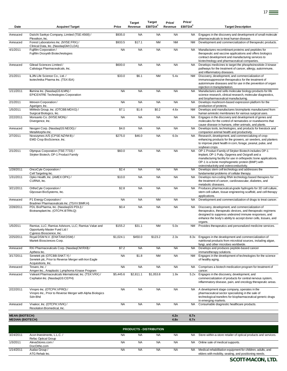| Date                                             | <b>Acquirer/Target</b>                                                                                           | Price     | <b>Target</b><br>Revenue | <b>Target</b><br>EBITDA <sup>2</sup> | Price/<br>Revenue | Price/<br>EBITDA <sup>2</sup> | <b>Target Description</b>                                                                                                                                                                                                                                                                  |
|--------------------------------------------------|------------------------------------------------------------------------------------------------------------------|-----------|--------------------------|--------------------------------------|-------------------|-------------------------------|--------------------------------------------------------------------------------------------------------------------------------------------------------------------------------------------------------------------------------------------------------------------------------------------|
| Annouced                                         | Daiichi Sankyo Company, Limited (TSE:4568) /<br>Plexxikon, Inc.                                                  | \$935.0   | <b>NA</b>                | <b>NA</b>                            | <b>NA</b>         | <b>NA</b>                     | Engages in the discovery and development of small molecule<br>pharmaceuticals to treat human disease.                                                                                                                                                                                      |
| Annouced                                         | Forest Laboratories Inc. (NYSE:FRX) /<br>Clinical Data, Inc. (NasdaqGM:CLDA)                                     | \$933.5   | \$17.1                   | <b>NM</b>                            | <b>NM</b>         | NM                            | Development and commercialization of therapeutic products.                                                                                                                                                                                                                                 |
| 4/1/2011                                         | Fujifilm Corporation /<br>Fujifilm Diosynth Biotechnologies                                                      | <b>NA</b> | <b>NA</b>                | <b>NA</b>                            | <b>NA</b>         | NA                            | Manufactures recombinant proteins and peptides for<br>therapeutic and vaccine applications and offers biologics<br>contract development and manufacturing services to<br>biotechnology and pharmaceutical companies.                                                                       |
| Annouced                                         | Gilead Sciences Limited /<br>Calistoga Pharmaceuticals, Inc.                                                     | \$600.0   | <b>NA</b>                | <b>NA</b>                            | <b>NA</b>         | <b>NA</b>                     | Develops medicines to target the phosphoinositide-3 kinase<br>pathways for the treatment of cancer, allergy, autoimmune,<br>and inflammatory diseases.                                                                                                                                     |
| 2/1/2011                                         | ILJIN Life Science Co., Ltd. /<br>Isotechnika Pharma Inc. (TSX:ISA)                                              | \$33.0    | \$6.1                    | <b>NM</b>                            | 5.4x              | <b>NM</b>                     | Discovery, development, and commercialization of<br>immunosuppressive therapeutics for the treatment of<br>autoimmune diseases and for use in the prevention of organ<br>rejection in transplantation.                                                                                     |
| 1/11/2011                                        | Illumina Inc. (NasdaqGS:ILMN) /<br><b>EPICENTRE Technologies Corporation</b>                                     | <b>NA</b> | <b>NA</b>                | <b>NA</b>                            | <b>NA</b>         | <b>NA</b>                     | Manufactures and sells molecular biology products for life<br>science research, clinical research, molecular diagnostics,<br>and biopharmaceutical manufacturing.                                                                                                                          |
| 2/1/2011                                         | Intrexon Corporation /<br>Agarigen, Inc.                                                                         | <b>NA</b> | <b>NA</b>                | <b>NA</b>                            | <b>NA</b>         | <b>NA</b>                     | Develops mushroom-based expression platform for the<br>production of proteins.                                                                                                                                                                                                             |
| 1/5/2011                                         | MiMedx Group, Inc. (OTCBB:MDXG) /                                                                                | \$7.1     | \$1.6                    | \$0.2                                | 4.6x              | NM                            | Develops and manufactures bioimplants manufactured from<br>human amniotic membranes for various surgical uses.                                                                                                                                                                             |
| 2/22/2011                                        | Surgical Biologics, Inc.<br>Monsanto Co. (NYSE:MON) /<br>Divergence, Inc.                                        | <b>NA</b> | <b>NA</b>                | <b>NA</b>                            | <b>NA</b>         | <b>NA</b>                     | Engages in the discovery and development of genes and<br>molecules for the control of nematodes or roundworms that<br>cause disease in humans, other animals, and plants.                                                                                                                  |
| Annouced                                         | Neogen Corp. (NasdagGS:NEOG) /<br>MetaMorphix Inc.                                                               | \$4.0     | <b>NA</b>                | <b>NA</b>                            | <b>NA</b>         | <b>NA</b>                     | Develops tools, technologies, and products for livestock and<br>companion animal health and productivity.                                                                                                                                                                                  |
| 2/7/2011                                         | Novozymes A/S (CPSE:NZYM B) /<br>EMD Crop BioScience, Inc.                                                       | \$275.0   | \$46.0                   | <b>NA</b>                            | 6.0x              | <b>NA</b>                     | Research, development, and commercializing of crop-<br>enhancing products for the growers, air seeders, and planters<br>to improve plant health in corn, forage, peanut, pulse, and                                                                                                        |
| 2/1/2011                                         | Olympus Corporation (TSE:7733) /<br>Stryker Biotech, OP-1 Product Family                                         | \$60.0    | <b>NA</b>                | <b>NA</b>                            | <b>NA</b>         | <b>NA</b>                     | soybean crops.<br>OP-1 Product Family of Stryker Biotech includes OP-1<br>Implant, OP-1 Putty, Opgenra and Osigraft and a<br>manufacturing facility for use in orthopedic bone applications.<br>OP-1 is a bone morphogenetic protein (BMP) with<br>osteoinductivity and osteoconductivity. |
| 1/28/2011                                        | OncoCyte Corporation /<br>Cell Targeting Inc.                                                                    | \$2.4     | <b>NA</b>                | <b>NA</b>                            | <b>NA</b>         | <b>NA</b>                     | Develops stem cell technology and addresses the<br>fundamental problems of cellular therapy.                                                                                                                                                                                               |
| 1/31/2011                                        | Opko Health, Inc. (AMEX:OPK) /<br>CURNA, Inc.                                                                    | \$10.0    | <b>NA</b>                | <b>NA</b>                            | <b>NA</b>         | <b>NA</b>                     | Develops non-coding RNA technology based therapies for<br>the treatment of cancer, cardiovascular, diabetes, and<br>metabolic diseases.                                                                                                                                                    |
| 3/21/2011                                        | OrthoCyte Corporation/<br>Glycosan BioSystems, Inc.                                                              | \$2.8     | <b>NA</b>                | <b>NA</b>                            | <b>NA</b>         | <b>NA</b>                     | Produces pharmaceutical-grade hydrogels for 3D cell culture,<br>stem cell culture, tissue engineering scaffold, and cell therapy<br>applications.                                                                                                                                          |
| Annouced                                         | P1 Energy Corporation /<br>Bradmer Pharmaceuticals Inc. (TSXV:BMR.H)                                             | <b>NA</b> | <b>NA</b>                | <b>NM</b>                            | <b>NA</b>         | <b>NA</b>                     | Development and commercialization of drugs to treat cancer.                                                                                                                                                                                                                                |
| 2/28/2011                                        | PDL BioPharma, Inc. (NasdaqGS:PDLI) /<br>Biotransplant Inc. (OTCPK:BTRN.Q)                                       | \$0.4     | <b>NA</b>                | <b>NA</b>                            | <b>NA</b>         | <b>NA</b>                     | Discovery, development, and commercialization of<br>therapeutics, therapeutic devices, and therapeutic regimens<br>designed to suppress undesired immune responses, and<br>enhance the body's ability to accept donor cells, tissues, and<br>organs.                                       |
| 1/5/2011                                         | Ramius, LLC; Ramius Advisors, LLC; Ramius Value and<br>Opportunity Master Fund Ltd /<br>Cypress Bioscience, Inc. | \$155.2   | \$31.1                   | <b>NM</b>                            | 5.0x              | NM                            | Provides therapeutics and personalized medicine services.                                                                                                                                                                                                                                  |
| 2/25/2011                                        | Royal DSM N.V. (ENXTAM:DSM) /<br>Martek Biosciences Corp.                                                        | \$1,024.1 | \$450.0                  | \$123.2                              | 2.3x              | 8.3x                          | Engages in the development and commercialization of<br>nutritional products from microbial sources, including algae,<br>fungi, and other microbes worldwide.                                                                                                                               |
| Annouced                                         | RXi Pharmaceuticals Corp. (NasdaqCM:RXII) /<br>Apthera Inc.                                                      | \$7.2     | <b>NA</b>                | <b>NA</b>                            | <b>NA</b>         | <b>NA</b>                     | Develops and produces peptide-based cancer<br>immunotherapy solutions.                                                                                                                                                                                                                     |
| 3/17/2011                                        | Senetek plc (OTCBB:SNKT.Y) /<br>Senetek plc, Prior to Reverse Merger with Iron Eagle<br>Acquisitions, Inc.       | <b>NA</b> | \$1.8                    | <b>NM</b>                            | <b>NA</b>         | <b>NM</b>                     | Engages in the development of technologies for the science<br>of healthy aging.                                                                                                                                                                                                            |
| Annouced                                         | Tesaro, Inc./<br>Amgen Inc., Anaplastic Lymphoma Kinase Program                                                  | <b>NA</b> | <b>NA</b>                | <b>NA</b>                            | <b>NA</b>         | NA.                           | Comprises a biotech medication program for treatment of<br>cancer.                                                                                                                                                                                                                         |
| Annouced                                         | Valeant Pharmaceuticals International, Inc. (TSX:VRX) /<br>Cephalon Inc. (NasdaqGS:CEPH)                         | \$5,445.6 | \$2,811.1                | \$1,053.8                            | 1.9x              | 5.2x                          | Engages in the discovery, development, and<br>commercialization of products for central nervous system,<br>inflammatory disease, pain, and oncology therapeutic areas.                                                                                                                     |
| 2/22/2011                                        | Viropro Inc. (OTCPK:VPRO) /<br>Viropro Inc., Prior to Reverse Merger with Alpha Biologics<br>Sdn Bhd             | <b>NA</b> | <b>NA</b>                | <b>NA</b>                            | <b>NA</b>         | <b>NA</b>                     | A development stage company, operates in the<br>pharmaceutical sector specializing in the sale of<br>technological transfers for biopharmaceutical generic drugs<br>in emerging markets.                                                                                                   |
| Annouced                                         | Vivakor, Inc. (OTCPK:VIVK) /<br>Resolution Biomedical, Inc.                                                      | <b>NA</b> | <b>NA</b>                | <b>NA</b>                            | <b>NA</b>         | NA.                           | Consumable diagnostic healthcare products.                                                                                                                                                                                                                                                 |
| <b>MEAN (BIOTECH)</b><br><b>MEDIAN (BIOTECH)</b> |                                                                                                                  |           |                          |                                      | 4.2x<br>4.8x      | 6.7x<br>6.7x                  |                                                                                                                                                                                                                                                                                            |
|                                                  |                                                                                                                  |           |                          | <b>PRODUCTS - DISTRIBUTION</b>       |                   |                               |                                                                                                                                                                                                                                                                                            |
| 3/24/2011                                        | Acon Investments, L.L.C. /                                                                                       | <b>NA</b> | <b>NA</b>                | <b>NA</b>                            | <b>NA</b>         | NA.                           | Store-within-a-store retailer of optical products and services.                                                                                                                                                                                                                            |
| 1/3/2011                                         | <b>Refac Optical Group</b><br>AlevaStores.com /                                                                  | <b>NA</b> | <b>NA</b>                | <b>NA</b>                            | <b>NA</b>         | NA                            | Online sale of medical supports.                                                                                                                                                                                                                                                           |
| 1/14/2011                                        | DocOrtho.com<br>Audax Group /<br>ATG Rehab Inc.                                                                  | <b>NA</b> | <b>NA</b>                | <b>NA</b>                            | <b>NA</b>         | <b>NA</b>                     | Medical rehabilitation equipment for children, adults, and<br>elders with mobility, seating, and positioning needs.                                                                                                                                                                        |

*SCOTT-MACON, LTD.*

elders with mobility, seating, and positioning needs.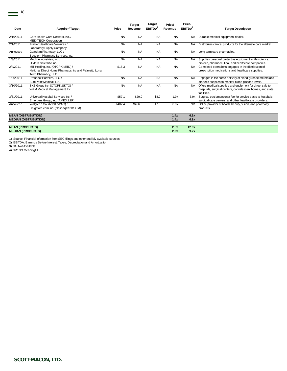|                            |                                                                                                                |           | <b>Target</b> | <b>Target</b>       | Price/    | Price/              |                                                                                                                                       |
|----------------------------|----------------------------------------------------------------------------------------------------------------|-----------|---------------|---------------------|-----------|---------------------|---------------------------------------------------------------------------------------------------------------------------------------|
| Date                       | <b>Acquirer/Target</b>                                                                                         | Price     | Revenue       | EBITDA <sup>2</sup> | Revenue   | EBITDA <sup>2</sup> | <b>Target Description</b>                                                                                                             |
|                            | Core Health Care Network, Inc. /                                                                               | <b>NA</b> | <b>NA</b>     | <b>NA</b>           | <b>NA</b> |                     |                                                                                                                                       |
| 2/16/2011                  | MED-TECH Corporation                                                                                           |           |               |                     |           | <b>NA</b>           | Durable medical equipment dealer.                                                                                                     |
| 2/1/2011                   | Frazier Healthcare Ventures /<br>Laboratory Supply Company                                                     | <b>NA</b> | <b>NA</b>     | <b>NA</b>           | <b>NA</b> | <b>NA</b>           | Distributes clinical products for the alternate care market.                                                                          |
| Annouced                   | Guardian Pharmacy, LLC /<br>Southern Pharmacy Services, Inc.                                                   | <b>NA</b> | <b>NA</b>     | <b>NA</b>           | <b>NA</b> | NA.                 | Long term care pharmacies.                                                                                                            |
| 1/3/2011                   | Medline Industries. Inc. /<br>O'Mara Scientific Inc.                                                           | <b>NA</b> | <b>NA</b>     | <b>NA</b>           | <b>NA</b> | <b>NA</b>           | Supplies personal protective equipment to life science,<br>biotech, pharmaceutical, and healthcare companies.                         |
| 2/4/2011                   | MIT Holding, Inc. (OTCPK:MITD) /<br>National Direct Home Pharmacy, Inc and Palmetto Long<br>Term Pharmacy, LLC | \$15.3    | <b>NA</b>     | <b>NA</b>           | <b>NA</b> | <b>NA</b>           | Combined operations engages in the distribution of<br>prescription medications and healthcare supplies.                               |
| 1/26/2011                  | Prospect Partners, LLC /<br>SurePoint Medical, LLC                                                             | <b>NA</b> | <b>NA</b>     | <b>NA</b>           | <b>NA</b> | NA.                 | Engages in the home delivery of blood glucose meters and<br>diabetic supplies to monitor blood glucose levels.                        |
| 3/10/2011                  | SK3 Group Inc. (OTCPK:SKTO) /<br>W&M Medical Management, Inc.                                                  | <b>NA</b> | <b>NA</b>     | <b>NA</b>           | <b>NA</b> | NA.                 | Offers medical supplies and equipment for direct sale to<br>hospitals, surgical centers, convalescent homes, and state<br>facilities. |
| 3/31/2011                  | Universal Hospital Services Inc. /<br>Emergent Group, Inc. (AMEX:LZR)                                          | \$57.1    | \$29.9        | \$8.2               | 1.9x      | 6.9x                | Surgical equipment on a fee for service basis to hospitals,<br>surgical care centers, and other health care providers.                |
| Annouced                   | Walgreen Co. (NYSE:WAG) /<br>Drugstore.com Inc. (NasdaqGS:DSCM)                                                | \$402.4   | \$456.5       | \$7.8               | 0.9x      | <b>NM</b>           | Online provider of health, beauty, vision, and pharmacy<br>products.                                                                  |
| <b>MEAN (DISTRIBUTION)</b> |                                                                                                                |           |               |                     | 1.4x      | 6.9x                |                                                                                                                                       |
|                            | <b>MEDIAN (DISTRIBUTION)</b>                                                                                   |           |               |                     | 1.4x      | 6.9x                |                                                                                                                                       |
| <b>MEAN (PRODUCTS)</b>     |                                                                                                                |           |               |                     | 2.5x      | 12.6x               |                                                                                                                                       |
| <b>MEDIAN (PRODUCTS)</b>   |                                                                                                                |           |               |                     | 2.0x      | 9.2x                |                                                                                                                                       |

1) Source: Financial Information from SEC filings and other publicly-available sources 2) EBITDA: Earnings Before Interest, Taxes, Depreciation and Amortization

3) NA: Not Available

4) NM: Not Meaningful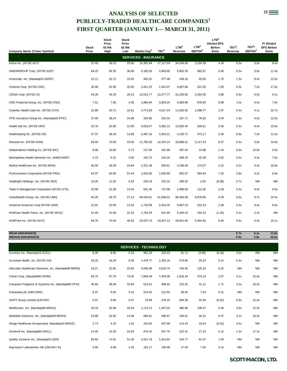# ANALYSIS OF SELECTED 19 **PUBLICLY-TRADED HEALTHCARE COMPANIES<sup>1</sup> FIRST QUARTER (JANUARY 1— MARCH 31, 2011)**

|                                                      | <b>Stock</b> | <b>Stock</b><br>Price<br>52 Wk | Stock<br>Price<br>52 Wk |                                                        |                  | LTM <sup>4</sup> | LTM <sup>4</sup>    | LTM <sup>4</sup><br><b>Diluted EPS</b><br><b>Before</b> | TEV <sup>3</sup> / | TEV <sup>3</sup> /  | P/Diluted<br><b>EPS Before</b> |
|------------------------------------------------------|--------------|--------------------------------|-------------------------|--------------------------------------------------------|------------------|------------------|---------------------|---------------------------------------------------------|--------------------|---------------------|--------------------------------|
| <b>Company Name (Ticker Symbol)</b>                  | Price        | High                           | Low                     | Market Cap <sup>2</sup><br><b>SERVICES - INSURANCE</b> | TEV <sup>3</sup> | Revenue          | EBITDA <sup>5</sup> | Extra                                                   | Revenue            | EBITDA <sup>5</sup> | Extra                          |
| Aetna Inc. (NYSE:AET)                                | 37.43        | 39.23                          | 25.00                   | 14,391.84                                              | 17,117.54        | 34,246.00        | 3,234.30            | 4.18                                                    | 0.5x               | 5.3x                | 9.0x                           |
| AMERIGROUP Corp. (NYSE:AGP)                          | 64.25        | 64.35                          | 30.48                   | 3,182.05                                               | 2,663.85         | 5,802.30         | 462.57              | 5.40                                                    | 0.5x               | 5.8x                | 11.9x                          |
| Amerisafe, Inc. (NasdaqGS:AMSF)                      | 22.11        | 23.72                          | 15.50                   | 402.31                                                 | 377.48           | 248.16           | 45.00               | 1.75                                                    | 1.5x               | 8.4x                | 12.6x                          |
| Centene Corp. (NYSE:CNC)                             | 32.98        | 32.99                          | 20.00                   | 1,641.23                                               | 1,541.07         | 4,607.86         | 221.50              | 1.85                                                    | 0.3x               | 7.0x                | 17.8x                          |
| CIGNA Corp. (NYSE:CI)                                | 44.28        | 44.29                          | 29.12                   | 12,012.77                                              | 13,277.77        | 21,235.00        | 2,264.00            | 4.89                                                    | 0.6x               | 5.9x                | 9.1x                           |
| CNO Financial Group, Inc. (NYSE:CNO)                 | 7.51         | 7.60                           | 4.30                    | 1,885.64                                               | 3,903.24         | 4,083.90         | 878.80              | 0.99                                                    | 1.0x               | 4.4x                | 7.6x                           |
| Coventry Health Care Inc. (NYSE:CVH)                 | 31.86        | 32.71                          | 16.61                   | 4,771.83                                               | 4,517.24         | 11,603.92        | 1,098.77            | 2.97                                                    | 0.4x               | 4.1x                | 10.7x                          |
| FPIC Insurance Group Inc. (NasdaqGS:FPIC)            | 37.90        | 39.24                          | 24.96                   | 324.95                                                 | 315.53           | 197.71           | 78.03               | 3.03                                                    | 1.6x               | 4.0x                | 12.5x                          |
| Health Net Inc. (NYSE:HNT)                           | 32.70        | 32.85                          | 12.90                   | 3,033.57                                               | 3,082.12         | 13,625.45        | 328.61              | 2.06                                                    | 0.2x               | 9.4x                | 15.9x                          |
| HealthSpring Inc. (NYSE:HS)                          | 37.37        | 39.19                          | 14.66                   | 2,487.16                                               | 2,942.21         | 3,135.71         | 373.17              | 3.39                                                    | 0.9x               | 7.9x                | 11.0x                          |
| Humana Inc. (NYSE:HUM)                               | 69.94        | 70.00                          | 43.05                   | 11,793.35                                              | 12,254.14        | 33,868.21        | 2,117.53            | 6.47                                                    | 0.4x               | 5.8x                | 10.8x                          |
| Independence Holding Co. (NYSE:IHC)                  | 8.08         | 10.00                          | 5.72                    | 127.93                                                 | 191.80           | 407.54           | 14.98               | 1.44                                                    | 0.5x               | 12.8x               | 5.6x                           |
| Metropolitan Health Networks Inc. (AMEX:MDF)         | 4.73         | 5.31                           | 3.00                    | 192.75                                                 | 144.18           | 368.19           | 42.28               | 0.62                                                    | 0.4x               | 3.4x                | 7.6x                           |
| Molina Healthcare Inc. (NYSE:MOH)                    | 40.00        | 40.29                          | 24.65                   | 1,221.48                                               | 929.61           | 4,238.94         | 173.07              | 2.12                                                    | 0.2x               | 5.4x                | 18.8x                          |
| ProAssurance Corporation (NYSE:PRA)                  | 63.37        | 64.66                          | 51.44                   | 1,932.85                                               | 1,936.80         | 692.07           | 364.64              | 7.20                                                    | 2.8x               | 5.3x                | 8.8x                           |
| SeaBright Holdings, Inc. (NYSE:SBX)                  | 10.25        | 11.52                          | 6.53                    | 226.18                                                 | 222.22           | 298.52           | 2.62                | (0.08)                                                  | 0.7x               | <b>NM</b>           | <b>NM</b>                      |
| Triple-S Management Corporation (NYSE:GTS)           | 20.58        | 21.36                          | 13.04                   | 591.30                                                 | 727.88           | 1,998.65         | 112.36              | 2.28                                                    | 0.4x               | 6.5x                | 9.0x                           |
| Unitedhealth Group, Inc. (NYSE:UNH)                  | 45.20        | 45.75                          | 27.13                   | 49,435.01                                              | 51,558.01        | 96,394.00        | 8,978.00            | 4.29                                                    | 0.5x               | 5.7x                | 10.5x                          |
| Universal American Corp (NYSE:UAM)                   | 22.91        | 22.94                          | 13.10                   | 1,732.89                                               | 2,024.33         | 5,687.23         | 315.23              | 2.38                                                    | 0.4x               | 6.4x                | 9.6x                           |
| WellCare Health Plans, Inc. (NYSE:WCG)               | 41.95        | 41.99                          | 22.25                   | 1,783.29                                               | 431.85           | 5,440.23         | 184.23              | (1.26)                                                  | 0.1x               | 2.3x                | <b>NM</b>                      |
| WellPoint Inc. (NYSE:WLP)                            | 69.79        | 70.00                          | 46.52                   | 25,870.73                                              | 33,937.13        | 58,801.80        | 5,394.60            | 6.94                                                    | 0.6x               | 6.3x                | 10.1x                          |
| <b>MEAN (INSURANCE)</b><br><b>MEDIAN (INSURANCE)</b> |              |                                |                         |                                                        |                  |                  |                     |                                                         | 0.7x<br>0.5x       | 6.1x<br>5.8x        | 11.0x<br>10.5x                 |
|                                                      |              |                                |                         | <b>SERVICES - TECHNOLOGY</b>                           |                  |                  |                     |                                                         |                    |                     |                                |
| Accelrys Inc. (NasdagGS:ACCL)                        | 8.30         | 8.95                           | 5.33                    | 462.19                                                 | 319.23           | 91.71            | (3.85)              | (0.18)                                                  | 3.5x               | <b>NM</b>           | <b>NM</b>                      |

| Accelrys Inc. (NasdaqGS:ACCL)                         | 8.30  | 8.95  | 5.33  | 462.19   | 319.23   | 91.71    | (3.85) | (0.18) | 3.5x      | NM        | <b>NM</b> |
|-------------------------------------------------------|-------|-------|-------|----------|----------|----------|--------|--------|-----------|-----------|-----------|
| Accretive Health, Inc. (NYSE:AH)                      | 16.25 | 16.25 | 8.30  | 1,479.77 | 1,355.16 | 573.80   | 29.23  | 0.14   | 2.4x      | <b>NM</b> | <b>NM</b> |
| Allscripts Healthcare Solutions, Inc. (NasdaqNM:MDRX) | 19.27 | 22.55 | 15.65 | 3,605.48 | 4,016.74 | 704.50   | 125.33 | 0.42   | <b>NM</b> | <b>NM</b> | <b>NM</b> |
| Cerner Corp. (NasdaqNM:CERN)                          | 94.74 | 97.76 | 72.05 | 7,849.49 | 7,403.38 | 1,816.34 | 474.19 | 2.67   | 4.1x      | 15.6x     | <b>NM</b> |
| Computer Programs & Systems Inc. (NasdaqNM:CPSI)      | 46.84 | 49.49 | 33.92 | 513.51   | 498.42   | 153.25   | 31.11  | 1.71   | 3.3x      | 16.0x     | <b>NM</b> |
| Craneware plc (AIM:CRW)                               | 9.37  | 9.60  | 5.15  | 243.25   | 212.54   | 28.40    | 7.24   | 0.21   | <b>NM</b> | <b>NM</b> | <b>NM</b> |
| iSOFT Group Limited (ASXISF)                          | 0.07  | 0.80  | 0.07  | 79.99    | 278.15   | 364.58   | 22.49  | (0.32) | 0.8x      | 12.4x     | <b>NM</b> |
| MedAssets, Inc. (NasdaqNM:MDAS)                       | 20.19 | 25.08 | 16.54 | 1,172.13 | 1,357.03 | 380.08   | 108.47 | 0.46   | 3.6x      | 12.5x     | <b>NM</b> |
| Medidata Solutions, Inc. (NasdaqGM:MDSO)              | 23.88 | 24.65 | 13.36 | 568.61   | 480.67   | 156.61   | 26.31  | 0.47   | 3.1x      | 18.3x     | <b>NM</b> |
| Merge Healthcare Incorporated. (NasdaqGS:MRGE)        | 3.73  | 4.25  | 1.92  | 310.65   | 507.89   | 113.43   | 19.54  | (0.53) | 4.5x      | <b>NM</b> | <b>NM</b> |
| Omnicell Inc. (NasdaqNM:OMCL)                         | 14.45 | 15.38 | 10.93 | 476.42   | 297.79   | 222.41   | 17.23  | 0.15   | 1.3x      | 17.3x     | <b>NM</b> |
| Quality Systems Inc. (NasdaqGS:QSII)                  | 69.82 | 71.81 | 51.30 | 2,021.78 | 1,914.93 | 334.77   | 91.67  | 1.93   | <b>NM</b> | <b>NM</b> | <b>NM</b> |
| Raysearch Laboratories AB (OM:RAY B)                  | 5.65  | 6.98  | 4.26  | 192.17   | 180.68   | 17.59    | 7.55   | 0.15   | <b>NM</b> | <b>NM</b> | <b>NM</b> |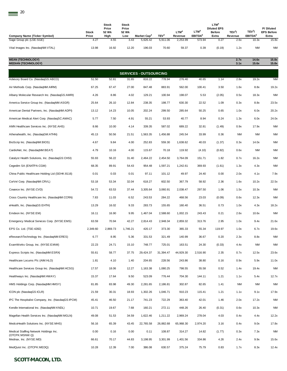| <b>Company Name (Ticker Symbol)</b> | <b>Stock</b><br>Price | <b>Stock</b><br>Price<br>52 Wk<br>High | <b>Stock</b><br>Price<br>52 Wk<br>Low | Market Cap <sup>2</sup> | TEV <sup>3</sup> | <b>LTM</b><br><b>Revenue</b> | <b>LTM</b><br>EBITDA <sup>5</sup> | $LTM^4$<br><b>Diluted EPS</b><br><b>Before</b><br>Extra | TEV <sup>3</sup><br>Revenue | TEV <sup>3</sup> /<br>EBITDA <sup>5</sup> | P/Diluted<br><b>EPS Before</b><br>Extra |
|-------------------------------------|-----------------------|----------------------------------------|---------------------------------------|-------------------------|------------------|------------------------------|-----------------------------------|---------------------------------------------------------|-----------------------------|-------------------------------------------|-----------------------------------------|
| Sage Group plc (LSE:SGE)            | 4.27                  | 4.55                                   | 3.43                                  | 5.626.42                | 5,911.06         | 2.253.99                     | 573.94                            | 0.27                                                    | 2.6x                        | 10.3x                                     | 15.8x                                   |
| Vital Images Inc. (NasdagNM:VTAL)   | 13.98                 | 16.92                                  | 12.20                                 | 196.03                  | 70.60            | 59.37                        | 0.39                              | (0.19)                                                  | 1.2x                        | <b>NM</b>                                 | <b>NM</b>                               |

| <b>MEAN (TECHNOLOGY)</b><br><b>MEDIAN (TECHNOLOGY)</b>   |          |          |          |           |           |           |          |        | 2.7x<br>3.1x | 14.6x<br>15.6x | 15.8x<br>15.8x |  |  |
|----------------------------------------------------------|----------|----------|----------|-----------|-----------|-----------|----------|--------|--------------|----------------|----------------|--|--|
| <b>SERVICES - OUTSOURCING</b>                            |          |          |          |           |           |           |          |        |              |                |                |  |  |
| Advisory Board Co. (NasdaqGS:ABCO)                       | 51.50    | 52.81    | 31.65    | 816.22    | 778.94    | 276.40    | 40.65    | 1.14   | 2.8x         | 19.2x          | <b>NM</b>      |  |  |
| Air Methods Corp. (NasdaqNM:AIRM)                        | 67.25    | 67.47    | 27.00    | 847.48    | 883.91    | 562.00    | 100.41   | 3.50   | 1.6x         | 8.8x           | 19.2x          |  |  |
| Albany Molecular Research Inc. (NasdaqGS:AMRI)           | 4.26     | 8.86     | 4.02     | 129.21    | 100.94    | 198.07    | 5.53     | (2.05) | 0.5x         | 18.3x          | <b>NM</b>      |  |  |
| America Service Group Inc. (NasdaqNM:ASGR)               | 25.64    | 26.10    | 12.84    | 238.35    | 198.77    | 630.30    | 22.52    | 1.09   | 0.3x         | 8.8x           | 23.5x          |  |  |
| American Dental Partners, Inc. (NasdaqNM:ADPI)           | 13.12    | 14.23    | 10.05    | 202.24    | 299.50    | 285.64    | 50.25    | 0.65   | 1.0x         | 6.0x           | 20.2x          |  |  |
| American Medical Alert Corp. (NasdaqSC:AMAC)             | 5.77     | 7.50     | 4.91     | 55.21     | 53.93     | 40.77     | 8.94     | 0.24   | 1.3x         | 6.0x           | 24.0x          |  |  |
| AMN Healthcare Services Inc. (NYSE:AHS)                  | 8.66     | 10.00    | 4.14     | 339.35    | 587.02    | 689.22    | 32.81    | (1.49) | 0.9x         | 17.9x          | <b>NM</b>      |  |  |
| Athenahealth, Inc. (NasdaqGM:ATHN)                       | 45.13    | 50.56    | 21.51    | 1,563.35  | 1,456.88  | 245.54    | 33.99    | 0.36   | <b>NM</b>    | <b>NM</b>      | <b>NM</b>      |  |  |
| BioScrip Inc. (NasdaqNM:BIOS)                            | 4.67     | 9.84     | 4.00     | 252.83    | 559.30    | 1,638.62  | 40.03    | (1.37) | 0.3x         | 14.0x          | <b>NM</b>      |  |  |
| CardioNet, Inc. (NasdaqNM:BEAT)                          | 4.79     | 10.16    | 4.00     | 115.67    | 70.18     | 119.92    | (4.10)   | (0.82) | 0.6x         | ΝM             | <b>NM</b>      |  |  |
| Catalyst Health Solutions, Inc. (NasdaqGS:CHSI)          | 55.93    | 56.22    | 31.40    | 2,464.22  | 2,454.50  | 3,764.09  | 151.71   | 1.82   | 0.7x         | 16.2x          | <b>NM</b>      |  |  |
| Cegedim SA (ENXTPA:CGM)                                  | 68.35    | 89.91    | 54.43    | 954.48    | 1,597.21  | 1,242.61  | 369.93   | (1.61) | 1.3x         | 4.3x           | <b>NM</b>      |  |  |
| China Public Healthcare Holding Ltd (SEHK:8116)          | 0.01     | 0.03     | 0.01     | 97.11     | 101.12    | 49.97     | 24.40    | 0.00   | 2.0x         | 4.1x           | 7.9x           |  |  |
| CorVel Corp. (NasdaqNM:CRVL)                             | 53.18    | 53.34    | 32.04    | 618.27    | 602.50    | 367.79    | 58.92    | 2.36   | 1.6x         | 10.2x          | 22.5x          |  |  |
| Covance Inc. (NYSE:CVD)                                  | 54.72    | 63.53    | 37.44    | 3,305.64  | 3,060.91  | 2,038.47  | 297.50   | 1.06   | 1.5x         | 10.3x          | <b>NM</b>      |  |  |
| Cross Country Healthcare Inc. (NasdaqNM:CCRN)            | 7.83     | 11.03    | 6.52     | 243.53    | 284.22    | 468.56    | 23.03    | (0.09) | 0.6x         | 12.3x          | <b>NM</b>      |  |  |
| eHealth, Inc. (NasdaqGS:EHTH)                            | 13.29    | 16.02    | 9.33     | 283.73    | 155.65    | 160.40    | 36.51    | 0.73   | 1.0x         | 4.3x           | 18.2x          |  |  |
| Emdeon Inc. (NYSE:EM)                                    | 16.11    | 16.90    | 9.95     | 1,467.04  | 2,588.60  | 1,002.15  | 243.43   | 0.21   | 2.6x         | 10.6x          | <b>NM</b>      |  |  |
| Emergency Medical Services Corp. (NYSE:EMS)              | 63.59    | 70.94    | 42.27    | 2,814.43  | 2,948.34  | 2,859.32  | 313.76   | 2.95   | 1.0x         | 9.4x           | 21.6x          |  |  |
| EPS Co. Ltd. (TSE:4282)                                  | 2,349.60 | 2,869.73 | 1,746.21 | 420.17    | 373.30    | 365.33    | 55.34    | 119.97 | 1.0x         | 6.7x           | 19.6x          |  |  |
| eResearchTechnology Inc. (NasdaqNM:ERES)                 | 6.77     | 8.95     | 5.36     | 331.53    | 321.49    | 140.99    | 36.67    | 0.20   | 2.3x         | 8.8x           | <b>NM</b>      |  |  |
| ExamWorks Group, Inc. (NYSE:EXAM)                        | 22.23    | 24.71    | 15.10    | 748.77    | 725.01    | 163.51    | 24.30    | (0.33) | 4.4x         | ΝM             | <b>NM</b>      |  |  |
| Express Scripts Inc. (NasdaqNM:ESRX)                     | 55.61    | 58.77    | 37.75    | 29,424.37 | 31,394.47 | 44,929.30 | 2,516.90 | 2.35   | 0.7x         | 12.5x          | 23.6x          |  |  |
| Healthcare Locums Plc (AIM:HLO)                          | 1.81     | 4.10     | 1.40     | 204.65    | 228.56    | 243.86    | 38.80    | 0.16   | 0.9x         | 5.9x           | 11.0x          |  |  |
| Healthcare Services Group Inc. (NasdaqNM:HCSG)           | 17.57    | 18.06    | 12.27    | 1,163.38  | 1,080.25  | 798.55    | 55.58    | 0.52   | 1.4x         | 19.4x          | <b>NM</b>      |  |  |
| Healthways Inc. (NasdaqNM:HWAY)                          | 15.37    | 17.64    | 9.50     | 523.09    | 776.44    | 704.30    | 144.11   | 1.21   | 1.1x         | 5.4x           | 12.7x          |  |  |
| HMS Holdings Corp. (NasdaqNM:HMSY)                       | 81.85    | 83.98    | 49.30    | 2,281.65  | 2,186.81  | 302.87    | 82.65    | 1.41   | <b>NM</b>    | <b>NM</b>      | <b>NM</b>      |  |  |
| ICON plc (NasdaqGS:ICLR)                                 | 21.59    | 30.31    | 18.93    | 1,302.26  | 1,046.71  | 910.23    | 115.41   | 1.21   | 1.1x         | 9.1x           | 17.9x          |  |  |
| IPC The Hospitalist Company, Inc. (NasdaqGS:IPCM)        | 45.41    | 46.50    | 21.17    | 741.23    | 722.29    | 363.40    | 42.01    | 1.46   | 2.0x         | 17.2x          | <b>NM</b>      |  |  |
| Kendle International Inc. (NasdaqNM:KNDL)                | 10.71    | 19.67    | 7.68     | 160.21    | 272.11    | 448.26    | 26.40    | (0.31) | 0.6x         | 10.3x          | <b>NM</b>      |  |  |
| Magellan Health Services Inc. (NasdaqNM:MGLN)            | 49.08    | 51.53    | 34.59    | 1,622.46  | 1,211.22  | 2,969.24  | 278.04   | 4.03   | 0.4x         | 4.4x           | 12.2x          |  |  |
| MedcoHealth Solutions Inc. (NYSE:MHS)                    | 56.16    | 65.39    | 43.45    | 22,765.58 | 26,882.68 | 65,968.30 | 2,974.20 | 3.16   | 0.4x         | 9.0x           | 17.8x          |  |  |
| Medical Staffing Network Holdings Inc.<br>(OTCPK:MSNW.Q) | 0.00     | 0.16     | 0.00     | 0.11      | 108.87    | 314.27    | 14.82    | (1.77) | 0.3x         | 7.3x           | <b>NM</b>      |  |  |
| Mednax, Inc. (NYSE:MD)                                   | 66.61    | 70.17    | 44.83    | 3,198.95  | 3,301.99  | 1,401.56  | 334.86   | 4.26   | 2.4x         | 9.9x           | 15.6x          |  |  |
| MedQuist Inc. (OTCPK:MEDQ)                               | 10.28    | 12.39    | 7.00     | 386.08    | 630.57    | 375.24    | 75.79    | 0.83   | 1.7x         | 8.3x           | 12.4x          |  |  |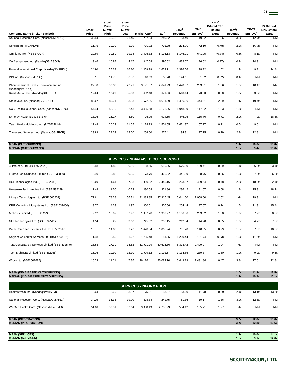| <b>Company Name (Ticker Symbol)</b>                        | <b>Stock</b><br>Price | <b>Stock</b><br>Price<br>52 Wk<br>High | <b>Stock</b><br>Price<br>52 Wk<br>Low | Market Cap <sup>2</sup> | TEV <sup>3</sup> | LTM <sup>4</sup><br>Revenue | LTM <sup>4</sup><br>EBITDA <sup>5</sup> | LTM <sup>4</sup><br><b>Diluted EPS</b><br><b>Before</b><br>Extra | TEV <sup>3</sup> /<br>Revenue | TEV <sup>3</sup> /<br>EBITDA <sup>5</sup> | P/Diluted<br><b>EPS Before</b><br>Extra |
|------------------------------------------------------------|-----------------------|----------------------------------------|---------------------------------------|-------------------------|------------------|-----------------------------|-----------------------------------------|------------------------------------------------------------------|-------------------------------|-------------------------------------------|-----------------------------------------|
| National Research Corp. (NasdaqNM:NRCI)                    | 33.94                 | 35.33                                  | 21.45                                 | 227.84                  | 240.92           | 63.40                       | 19.02                                   | 1.26                                                             | 3.8x                          | 12.7x                                     | <b>NM</b>                               |
| Nordion Inc. (TSX:NDN)                                     | 11.78                 | 12.35                                  | 8.39                                  | 765.82                  | 701.68           | 264.86                      | 42.10                                   | (0.48)                                                           | 2.6x                          | 16.7x                                     | <b>NM</b>                               |
| Omnicare Inc. (NYSE:OCR)                                   | 29.99                 | 30.89                                  | 19.14                                 | 3,505.32                | 5,196.13         | 6,146.21                    | 641.95                                  | (0.74)                                                           | 0.8x                          | 8.1x                                      | <b>NM</b>                               |
| On Assignment Inc. (NasdaqGS:ASGN)                         | 9.46                  | 10.87                                  | 4.17                                  | 347.68                  | 396.02           | 438.07                      | 26.62                                   | (0.27)                                                           | 0.9x                          | 14.9x                                     | <b>NM</b>                               |
| Parexel International Corp. (NasdaqNM:PRXL)                | 24.90                 | 25.64                                  | 16.80                                 | 1,459.19                | 1,659.11         | 1,396.66                    | 178.32                                  | 1.02                                                             | 1.2x                          | 9.3x                                      | 24.4x                                   |
| PDI Inc. (NasdaqNM:PDII)                                   | 8.11                  | 11.78                                  | 6.56                                  | 118.63                  | 55.70            | 144.65                      | 1.02                                    | (0.32)                                                           | 0.4x                          | <b>NM</b>                                 | <b>NM</b>                               |
| Pharmaceutical Product Development Inc.<br>(NasdaqNM:PPDI) | 27.70                 | 30.36                                  | 22.71                                 | 3,191.07                | 2,641.93         | 1,470.57                    | 253.61                                  | 1.06                                                             | 1.8x                          | 10.4x                                     | <b>NM</b>                               |
| Rural/Metro Corp. (NasdagSC:RURL)                          | 17.04                 | 17.20                                  | 5.93                                  | 432.48                  | 670.96           | 548.44                      | 70.90                                   | 0.28                                                             | 1.2x                          | 9.5x                                      | <b>NM</b>                               |
| Stericycle, Inc. (NasdaqGS:SRCL)                           | 88.67                 | 89.71                                  | 53.83                                 | 7,572.06                | 8,611.59         | 1,439.39                    | 444.51                                  | 2.39                                                             | <b>NM</b>                     | 19.4x                                     | <b>NM</b>                               |
| SXC Health Solutions, Corp. (NasdaqNM:SXCI)                | 54.44                 | 55.10                                  | 32.43                                 | 3,455.68                | 3,126.86         | 1,948.39                    | 117.22                                  | 1.03                                                             | 1.6x                          | <b>NM</b>                                 | <b>NM</b>                               |
| Synergy Health plc (LSE:SYR)                               | 13.16                 | 15.27                                  | 8.80                                  | 725.05                  | 914.55           | 446.95                      | 115.76                                  | 0.71                                                             | 2.0x                          | 7.9x                                      | 18.6x                                   |
| Team Health Holdings, Inc. (NYSE:TMH)                      | 17.48                 | 20.29                                  | 11.55                                 | 1,128.13                | 1,501.55         | 2,671.37                    | 167.27                                  | 0.21                                                             | 0.6x                          | 9.0x                                      | <b>NM</b>                               |
| Transcend Services, Inc. (NasdaqGS:TRCR)                   | 23.99                 | 24.39                                  | 12.00                                 | 254.00                  | 227.41           | 94.31                       | 17.75                                   | 0.79                                                             | 2.4x                          | 12.8x                                     | <b>NM</b>                               |
|                                                            |                       |                                        |                                       |                         |                  |                             |                                         |                                                                  |                               |                                           |                                         |

21

**MEDIAN (OUTSOURCING) 1.1x 9.4x 18.6x** 3i Infotech, Ltd. (BSE:532628) 0.98 1.85 0.86 188.65 659.06 576.50 109.41 0.29 1.1x 6.0x 3.4x Firstsource Solutions Limited (BSE:532809) 0.40 0.82 0.35 173.70 460.22 441.99 58.76 0.06 1.0x 7.8x 6.3x HCL Technologies Ltd. (BSE:532281) 10.69 11.61 7.58 7,330.32 7,440.16 3,263.87 409.64 0.48 2.3x 18.2x 22.4x Hexaware Technologies Ltd. (BSE:532129) 1.48 1.50 0.73 430.68 321.86 236.42 21.07 0.08 1.4x 15.3x 18.2x Infosys Technologies Ltd. (BSE:500209) 72.61 78.38 56.31 41,483.85 37,916.45 6,041.00 1,968.00 2.62 NM 19.3x NM KPIT Cummins Infosystems Ltd. (BSE:532400) 3.77 4.33 1.97 300.01 306.56 204.44 27.07 0.24 1.5x 11.3x 15.4x Mphasis Limited (BSE:526299) 9.32 15.97 7.96 1,957.78 1,907.27 1,106.06 263.32 1.08 1.7x 7.2x 8.6x NIIT Technologies Ltd. (BSE:532541) 4.14 5.27 3.68 245.02 208.15 212.54 44.20 0.55 1.0x 4.7x 7.6x Patni Computer Systems Ltd. (BSE:532517) 10.71 14.00 9.26 1,428.34 1,065.94 701.70 140.05 0.99 1.5x 7.6x 10.8x Satyam Computer Services Ltd. (BSE:500376) 1.48 2.55 1.22 1,735.48 1,181.05 1,220.44 101.74 (0.03) 1.0x 11.6x NM Tata Consultancy Services Limited (BSE:532540) 26.53 27.39 15.52 51,921.79 50,615.86 8,373.42 2,499.07 1.04 NM NM NM Tech Mahindra Limited (BSE:532755) 15.16 19.99 12.10 1,909.12 2,192.57 1,134.85 239.37 1.60 1.9x 9.2x 9.5x Wipro Ltd. (BSE:507685) 10.73 10.73 11.21 7.36 26,176.41 25,082.70 6,649.79 1,431.86 0.47 3.8x 17.5x 22.8x **SERVICES - INDIA-BASED OUTSOURCING**

**MEAN (OUTSOURCING) 1.4x 10.6x 18.0x**

| <b>MEDIAN (INDIA-BASED OUTSOURCING)</b>                  |       |       |       |                               |          |        |        |      | 1.5x         | 10.2x          | 10.1x          |
|----------------------------------------------------------|-------|-------|-------|-------------------------------|----------|--------|--------|------|--------------|----------------|----------------|
|                                                          |       |       |       | <b>SERVICES - INFORMATION</b> |          |        |        |      |              |                |                |
| Healthstream Inc. (NasdaqNM:HSTM)                        | 8.04  | 8.69  | 3.37  | 175.31                        | 153.87   | 63.20  | 11.78  | 0.59 | 2.4x         | 13.1x          | 13.6x          |
| National Research Corp. (NasdaqGM:NRCI)                  | 34.25 | 35.33 | 19.00 | 228.34                        | 241.75   | 61.36  | 19.17  | 1.36 | 3.9x         | 12.6x          | <b>NM</b>      |
| WebMD Health Corp. (NasdaqNM:WBMD)                       | 51.06 | 52.81 | 37.64 | 3,058.49                      | 2,785.93 | 504.12 | 105.71 | 1.27 | <b>NM</b>    | <b>NM</b>      | <b>NM</b>      |
| <b>MEAN (INFORMATION)</b><br><b>MEDIAN (INFORMATION)</b> |       |       |       |                               |          |        |        |      | 3.2x<br>3.2x | 12.8x<br>12.8x | 13.6x<br>13.6x |
|                                                          |       |       |       |                               |          |        |        |      |              |                |                |
| <b>MEAN (SERVICES)</b>                                   |       |       |       |                               |          |        |        |      | 1.5x         | 10.0x          | 14.1x          |
| <b>MEDIAN (SERVICES)</b>                                 |       |       |       |                               |          |        |        |      | 1.1x         | 9.1x           | 12.6x          |

**MEAN (INDIA-BASED OUTSOURCING) 1.7x 11.3x 12.5x**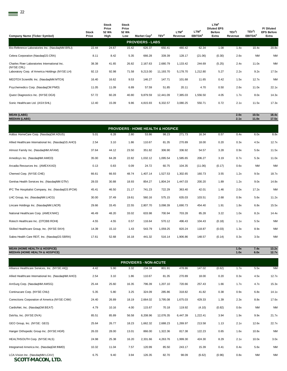| Company Name (Ticker Symbol)                                | Stock<br>Price | <b>Stock</b><br>Price<br>52 Wk<br>High | <b>Stock</b><br>Price<br>52 Wk<br>Low | Market Cap <sup>2</sup> | TEV <sup>3</sup> | LTM <sup>4</sup><br>Revenue | LTM <sup>4</sup><br>EBITDA <sup>5</sup> | LTM <sup>4</sup><br><b>Diluted EPS</b><br><b>Before</b><br>Extra | TEV <sup>3</sup> /<br>Revenue | TEV <sup>3</sup> /<br>EBITDA <sup>5</sup> | P/Diluted<br><b>EPS Before</b><br>Extra |
|-------------------------------------------------------------|----------------|----------------------------------------|---------------------------------------|-------------------------|------------------|-----------------------------|-----------------------------------------|------------------------------------------------------------------|-------------------------------|-------------------------------------------|-----------------------------------------|
|                                                             |                |                                        |                                       | <b>PROVIDERS - LABS</b> |                  |                             |                                         |                                                                  |                               |                                           |                                         |
| Bio-Reference Laboratories Inc. (NasdaqNM:BRLI)             | 22.44          | 24.67                                  | 15.42                                 | 626.37                  | 650.41           | 480.42                      | 62.34                                   | 1.08                                                             | 1.4x                          | 10.4x                                     | 20.8x                                   |
| Celera Corporation (NasdaqGS:CRA)                           | 8.11           | 8.42                                   | 5.35                                  | 666.28                  | 339.39           | 128.17                      | (21.06)                                 | (0.30)                                                           | 2.6x                          | <b>NM</b>                                 | <b>NM</b>                               |
| Charles River Laboratories International Inc.<br>(NYSE:CRL) | 38.38          | 41.65                                  | 26.82                                 | 2,167.63                | 2,680.79         | 1,133.42                    | 244.69                                  | (5.25)                                                           | 2.4x                          | 11.0x                                     | <b>NM</b>                               |
| Laboratory Corp. of America Holdings (NYSE:LH)              | 92.13          | 92.98                                  | 71.58                                 | 9,213.00                | 11,193.70        | 5,178.70                    | 1,212.80                                | 5.27                                                             | 2.2x                          | 9.2x                                      | 17.5x                                   |
| MEDTOX Scientific Inc. (NasdaqNM:MTOX)                      | 16.40          | 16.62                                  | 9.53                                  | 146.27                  | 147.71           | 101.68                      | 11.65                                   | 0.42                                                             | 1.5x                          | 12.7x                                     | <b>NM</b>                               |
| Psychemedics Corp. (NasdaqCM:PMD)                           | 11.05          | 11.09                                  | 6.89                                  | 57.59                   | 51.85            | 20.11                       | 4.70                                    | 0.50                                                             | 2.6x                          | 11.0x                                     | 22.1x                                   |
| Quest Diagnostics Inc. (NYSE:DGX)                           | 57.72          | 60.28                                  | 40.80                                 | 9,879.59                | 12,441.09        | 7,385.03                    | 1,556.50                                | 4.05                                                             | 1.7x                          | 8.0x                                      | 14.3x                                   |
| Sonic Healthcare Ltd. (ASXSHL)                              | 12.40          | 15.09                                  | 9.86                                  | 4,815.93                | 6,332.57         | 3,080.25                    | 550.71                                  | 0.72                                                             | 2.1x                          | 11.5x                                     | 17.3x                                   |
|                                                             |                |                                        |                                       |                         |                  |                             |                                         |                                                                  |                               |                                           |                                         |

**MEDIAN (LABS) 2.1x 11.0x 17.5x**

**MEAN (LABS) 2.0x 10.5x 18.4x**

| <b>PROVIDERS - HOME HEALTH &amp; HOSPICE</b>         |       |       |       |          |          |          |         |        |      |           |           |  |  |
|------------------------------------------------------|-------|-------|-------|----------|----------|----------|---------|--------|------|-----------|-----------|--|--|
| Addus HomeCare Corp. (NasdaqGM:ADUS)                 | 5.01  | 6.28  | 2.80  | 53.86    | 98.23    | 271.73   | 16.34   | 0.57   | 0.4x | 6.0x      | 8.8x      |  |  |
| Allied Healthcare International Inc. (NasdaqGS:AHCI) | 2.54  | 3.10  | 1.86  | 110.67   | 81.35    | 270.89   | 18.00   | 0.20   | 0.3x | 4.5x      | 12.7x     |  |  |
| Almost Family Inc. (NasdaqNM:AFAM)                   | 37.64 | 44.12 | 23.50 | 351.82   | 306.90   | 336.92   | 54.57   | 3.28   | 0.9x | 5.6x      | 11.5x     |  |  |
| Amedisys Inc. (NasdaqNM:AMED)                        | 35.00 | 64.28 | 22.82 | 1,032.12 | 1,095.54 | 1,585.65 | 206.27  | 3.19   | 0.7x | 5.3x      | 11.0x     |  |  |
| Arcadia Resources Inc. (AMEXKAD)                     | 0.13  | 0.83  | 0.09  | 24.72    | 60.75    | 104.35   | (11.06) | (0.17) | 0.6x | <b>NM</b> | <b>NM</b> |  |  |
| Chemed Corp. (NYSE:CHE)                              | 66.61 | 66.93 | 48.74 | 1,407.14 | 1,527.53 | 1,302.65 | 160.73  | 3.55   | 1.2x | 9.5x      | 18.7x     |  |  |
| Gentiva Health Services Inc. (NasdagNM:GTIV)         | 28.03 | 30.88 | 18.93 | 854.27   | 1,804.24 | 1,447.03 | 200.20  | 1.89   | 1.2x | 9.0x      | 14.8x     |  |  |
| IPC The Hospitalist Company, Inc. (NasdaqGS:IPCM)    | 45.41 | 46.50 | 21.17 | 741.23   | 722.29   | 363.40   | 42.01   | 1.46   | 2.0x | 17.2x     | <b>NM</b> |  |  |
| LHC Group, Inc. (NasdaqNM:LHCG)                      | 30.00 | 37.49 | 19.61 | 560.16   | 575.15   | 635.03   | 103.51  | 2.68   | 0.9x | 5.6x      | 11.2x     |  |  |
| Lincare Holdings Inc. (NasdagNM:LNCR)                | 29.66 | 33.45 | 22.55 | 2,807.70 | 3,098.39 | 1,690.73 | 454.40  | 1.91   | 1.8x | 6.8x      | 15.5x     |  |  |
| National Healthcare Corp. (AMEX:NHC)                 | 46.49 | 48.20 | 33.02 | 633.98   | 700.94   | 703.28   | 85.28   | 3.22   | 1.0x | 8.2x      | 14.4x     |  |  |
| Rotech Healthcare Inc. (OTCBB:ROHI)                  | 4.55  | 4.55  | 0.57  | 116.64   | 570.12   | 496.43   | 104.43  | (0.18) | 1.1x | 5.5x      | <b>NM</b> |  |  |
| Skilled Healthcare Group, Inc. (NYSE:SKH)            | 14.39 | 15.10 | 1.43  | 543.79   | 1,059.25 | 820.24   | 118.87  | (0.03) | 1.3x | 8.9x      | <b>NM</b> |  |  |
| Sabra Health Care REIT, Inc. (NasdaqGS:SBRA)         | 17.61 | 52.68 | 16.18 | 441.32   | 516.14   | 1,906.86 | 148.57  | (0.14) | 0.3x | 3.5x      | <b>NM</b> |  |  |

|                                                      |       |       |       | <b>PROVIDERS - NON-ACUTE</b> |           |          |          |        |      |           |           |
|------------------------------------------------------|-------|-------|-------|------------------------------|-----------|----------|----------|--------|------|-----------|-----------|
| Alliance Healthcare Services, Inc. (NYSE:AIQ)        | 4.42  | 5.90  | 3.32  | 234.34                       | 801.91    | 478.86   | 147.02   | (0.62) | 1.7x | 5.5x      | <b>NM</b> |
| Allied Healthcare International Inc. (NasdaqNM:AHCI) | 2.54  | 3.10  | 1.86  | 110.67                       | 81.35     | 270.89   | 18.00    | 0.20   | 0.3x | 4.5x      | 12.7x     |
| AmSurg Corp. (NasdagNM:AMSG)                         | 25.44 | 25.60 | 16.35 | 796.39                       | 1,207.10  | 720.66   | 257.43   | 1.66   | 1.7x | 4.7x      | 15.3x     |
| Continucare Corp. (NYSE:CNU)                         | 5.35  | 5.80  | 3.25  | 324.09                       | 285.86    | 318.82   | 41.82    | 0.38   | 0.9x | 6.8x      | 14.1x     |
| Corrections Corporation of America (NYSE:CXW)        | 24.40 | 26.89 | 18.19 | 2,664.02                     | 3,795.08  | 1,675.03 | 429.33   | 1.39   | 2.3x | 8.8x      | 17.6x     |
| CardioNet, Inc. (NasdagGM:BEAT)                      | 4.79  | 10.16 | 4.00  | 115.67                       | 70.18     | 119.92   | (4.10)   | (0.82) | 0.6x | <b>NM</b> | <b>NM</b> |
| DaVita, Inc. (NYSE:DVA)                              | 85.51 | 85.89 | 56.58 | 8,208.96                     | 12,076.35 | 6,447.39 | 1,222.41 | 3.94   | 1.9x | 9.9x      | 21.7x     |
| GEO Group, Inc. (NYSE: GEO)                          | 25.64 | 26.77 | 18.23 | 1,662.32                     | 2,688.23  | 1,269.97 | 213.58   | 1.13   | 2.1x | 12.6x     | 22.7x     |
| Hanger Orthopedic Group Inc. (NYSE:HGR)              | 26.03 | 28.00 | 13.01 | 866.00                       | 1,322.36  | 817.38   | 122.23   | 0.65   | 1.6x | 10.8x     | <b>NM</b> |
| HEALTHSOUTH Corp. (NYSE:HLS)                         | 24.98 | 25.38 | 16.20 | 2,331.66                     | 4,263.76  | 1,999.30 | 424.30   | 8.29   | 2.1x | 10.0x     | 3.0x      |
| Integramed America Inc. (NasdagGM:INMD)              | 10.32 | 11.04 | 7.57  | 120.99                       | 85.50     | 243.17   | 15.39    | 0.41   | 0.4x | 5.6x      | <b>NM</b> |
| LCA-Vision Inc. (NasdagNM:LCAV)<br>SCOTTEMACON, LTD. | 6.75  | 9.40  | 3.94  | 126.35                       | 82.70     | 98.09    | (6.62)   | (0.96) | 0.8x | <b>NM</b> | <b>NM</b> |

**MEAN (HOME HEALTH & HOSPICE) 1.0x 7.4x 13.2x MEDIAN (HOME HEALTH & HOSPICE) 1.0x 6.0x 12.7x**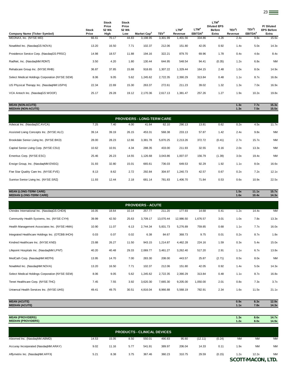| Stock                                                  |               | 52 Wk |                         |                  | LTM <sup>4</sup> | LTM <sup>4</sup>    | <b>Diluted EPS</b><br><b>Before</b> | TEV <sup>3</sup> / | TEV <sup>3</sup> /  | P/Diluted<br><b>EPS Before</b> |
|--------------------------------------------------------|---------------|-------|-------------------------|------------------|------------------|---------------------|-------------------------------------|--------------------|---------------------|--------------------------------|
| Company Name (Ticker Symbol)<br>Price                  | 52 Wk<br>High | Low   | Market Cap <sup>2</sup> | TEV <sup>3</sup> | Revenue          | EBITDA <sup>5</sup> | Extra                               | Revenue            | EBITDA <sup>5</sup> | Extra                          |
| MEDNAX, Inc. (NYSE:MD)<br>66.61                        | 70.17         | 44.83 | 3,198.95                | 3,301.99         | 1,401.56         | 334.86              | 4.26                                | 2.4x               | 9.9x                | 15.6x                          |
| 13.20<br>NovaMed Inc. (NasdaqGS:NOVA)                  | 16.50         | 7.71  | 102.37                  | 212.06           | 151.80           | 42.05               | 0.92                                | 1.4x               | 5.0x                | 14.3x                          |
| 14.98<br>Providence Service Corp. (NasdaqGS:PRSC)      | 18.57         | 11.88 | 194.16                  | 322.21           | 879.70           | 69.96               | 1.78                                | 0.4x               | 4.6x                | 8.4x                           |
| 3.50<br>RadNet, Inc. (NasdaqNM:RDNT)                   | 4.20          | 1.80  | 130.44                  | 644.95           | 548.54           | 94.41               | (0.35)                              | 1.2x               | 6.8x                | <b>NM</b>                      |
| 36.87<br>Rehabcare Group Inc. (NYSE:RHB)               | 37.85         | 15.88 | 918.65                  | 1,307.22         | 1,329.44         | 164.15              | 2.48                                | 1.0x               | 8.0x                | 14.9x                          |
| Select Medical Holdings Corporation (NYSE:SEM)<br>8.06 | 9.05          | 5.62  | 1,245.62                | 2,722.35         | 2,390.29         | 313.84              | 0.48                                | 1.1x               | 8.7x                | 16.8x                          |
| 22.34<br>US Physical Therapy Inc. (NasdaqNM:USPH)      | 22.69         | 15.30 | 263.37                  | 272.61           | 211.23           | 39.02               | 1.32                                | 1.3x               | 7.0x                | 16.9x                          |
| 25.17<br>VCA Antech Inc. (NasdagGS:WOOF)               | 29.28         | 19.12 | 2,170.36                | 2,617.13         | 1,381.47         | 257.26              | 1.27                                | 1.9x               | 10.2x               | 19.8x                          |

| <b>MEAN (NON-ACUTE)</b>   | 1.3x | 7.7x | 15.3x |
|---------------------------|------|------|-------|
| <b>MEDIAN (NON-ACUTE)</b> | 1.3x | 7.5x | 15.5x |

| <b>PROVIDERS - LONG-TERM CARE</b>        |       |       |       |          |          |          |        |        |      |       |           |
|------------------------------------------|-------|-------|-------|----------|----------|----------|--------|--------|------|-------|-----------|
| Advocat Inc. (NasdagSC:AVCA)             | 7.25  | 7.40  | 4.00  | 41.64    | 62.10    | 290.13   | 13.81  | 0.62   | 0.2x | 4.5x  | 11.7x     |
| Assisted Living Concepts Inc. (NYSE:ALC) | 39.14 | 39.19 | 26.15 | 453.31   | 568.38   | 233.13   | 57.87  | 1.42   | 2.4x | 9.8x  | <b>NM</b> |
| Brookdale Senior Living Inc. (NYSE:BKD)  | 28.00 | 28.23 | 12.66 | 3,381.78 | 5,870.25 | 2,213.26 | 372.72 | (0.41) | 2.7x | 15.7x | <b>NM</b> |
| Capital Senior Living Corp. (NYSE:CSU)   | 10.62 | 10.91 | 4.34  | 288.35   | 433.00   | 211.93   | 32.55  | 0.16   | 2.0x | 13.3x | <b>NM</b> |
| Emeritus Corp. (NYSE:ESC)                | 25.46 | 26.23 | 14.55 | 1,126.68 | 3,043.86 | 1.007.07 | 156.79 | (1.39) | 3.0x | 19.4x | <b>NM</b> |
| Ensign Group, Inc. (NasdagNM:ENSG)       | 31.93 | 32.80 | 15.01 | 665.61   | 736.03   | 649.53   | 92.29  | 1.92   | 1.1x | 8.0x  | 16.6x     |
| Five Star Quality Care Inc. (NYSE:FVE)   | 8.13  | 8.62  | 2.72  | 292.84   | 304.97   | 1,240.73 | 42.57  | 0.67   | 0.2x | 7.2x  | 12.1x     |
| Sunrise Senior Living Inc. (NYSE:SRZ)    | 11.93 | 12.44 | 2.18  | 681.14   | 781.83   | 1,406.70 | 71.84  | 0.53   | 0.6x | 10.9x | 22.5x     |

# **MEAN (LONG-TERM CARE) 1.5x 11.1x 15.7x MEDIAN (LONG-TERM CARE) 1.6x 10.4x 14.3x**

|                                                   | <b>PROVIDERS - ACUTE</b> |       |       |          |           |           |          |        |      |       |           |  |  |
|---------------------------------------------------|--------------------------|-------|-------|----------|-----------|-----------|----------|--------|------|-------|-----------|--|--|
| Chindex International Inc. (NasdaqGS:CHDX)        | 16.05                    | 18.64 | 10.14 | 257.77   | 211.20    | 177.93    | 14.68    | 0.41   | 1.2x | 14.4x | <b>NM</b> |  |  |
| Community Health Systems, Inc. (NYSE:CYH)         | 39.99                    | 42.50 | 25.63 | 3,709.17 | 13,070.44 | 12,986.50 | 1,676.57 | 3.01   | 1.0x | 7.8x  | 13.3x     |  |  |
| Health Management Associates Inc. (NYSE:HMA)      | 10.90                    | 11.07 | 6.13  | 2,744.34 | 5,831.73  | 5,276.89  | 759.85   | 0.68   | 1.1x | 7.7x  | 16.0x     |  |  |
| Integrated Healthcare Holdings Inc. (OTCBB: IHCH) | 0.03                     | 0.07  | 0.02  | 6.38     | 84.67     | 368.73    | 9.75     | 0.01   | 0.2x | 8.7x  | 1.8x      |  |  |
| Kindred Healthcare Inc. (NYSE:KND)                | 23.88                    | 26.27 | 11.50 | 943.15   | 1,214.87  | 4,462.28  | 224.16   | 1.59   | 0.3x | 5.4x  | 15.0x     |  |  |
| Lifepoint Hospitals Inc. (NasdaqNM:LPNT)          | 40.20                    | 40.48 | 29.33 | 2,069.77 | 3,461.27  | 3,262.40  | 517.20   | 2.91   | 1.1x | 6.7x  | 13.8x     |  |  |
| MedCath Corp. (NasdaqNM:MDTH)                     | 13.95                    | 14.70 | 7.00  | 283.30   | 208.00    | 443.57    | 25.87    | (2.71) | 0.5x | 8.0x  | <b>NM</b> |  |  |
| NovaMed Inc. (NasdaqNM:NOVA)                      | 13.20                    | 16.50 | 7.71  | 102.37   | 212.06    | 151.80    | 42.05    | 0.92   | 1.4x | 5.0x  | 14.3x     |  |  |
| Select Medical Holdings Corporation (NYSE:SEM)    | 8.06                     | 9.05  | 5.62  | 1,245.62 | 2,722.35  | 2,390.29  | 313.84   | 0.48   | 1.1x | 8.7x  | 16.8x     |  |  |
| Tenet Healthcare Corp. (NYSE:THC)                 | 7.45                     | 7.55  | 3.92  | 3,620.30 | 7,665.30  | 9,205.00  | 1,050.00 | 2.01   | 0.8x | 7.3x  | 3.7x      |  |  |
| Universal Health Services Inc. (NYSE:UHS)         | 49.41                    | 49.75 | 30.51 | 4,816.04 | 8,966.88  | 5,568.19  | 782.91   | 2.34   | 1.6x | 11.5x | 21.1x     |  |  |
|                                                   |                          |       |       |          |           |           |          |        |      |       |           |  |  |

| <b>MEAN (ACUTE)</b>   | 0.9x | 8.3x                    | 12.9x |
|-----------------------|------|-------------------------|-------|
| <b>MEDIAN (ACUTE)</b> | 1.1x | 70 <sub>u</sub><br>1.0X | 14.3x |
|                       |      |                         |       |

| <b>MEAN (PROVIDERS)</b><br><b>MEDIAN (PROVIDERS)</b> |       |       |      |        |        |        |         |        | 1.3x<br>1.2x | 8.6x<br>8.0x      | 14.7x<br>14.9x |  |  |
|------------------------------------------------------|-------|-------|------|--------|--------|--------|---------|--------|--------------|-------------------|----------------|--|--|
|                                                      |       |       |      |        |        |        |         |        |              |                   |                |  |  |
| <b>PRODUCTS - CLINICAL DEVICES</b>                   |       |       |      |        |        |        |         |        |              |                   |                |  |  |
| Abiomed Inc. (NasdaqNM:ABMD)                         | 14.53 | 15.05 | 8.50 | 550.01 | 490.83 | 95.60  | (12.11) | (0.24) | <b>NM</b>    | <b>NM</b>         | <b>NM</b>      |  |  |
| Accuray Incorporated (NasdaqNM:ARAY)                 | 9.02  | 11.16 | 5.77 | 541.91 | 389.97 | 206.04 | 14.33   | 0.11   | 1.9x         | <b>NM</b>         | <b>NM</b>      |  |  |
| Affymetrix Inc. (NasdaqNM:AFFX)                      | 5.21  | 8.38  | 3.75 | 367.46 | 360.23 | 310.75 | 29.59   | (0.15) | 1.2x         | 12.2x             | <b>NM</b>      |  |  |
|                                                      |       |       |      |        |        |        |         |        |              | SCOTT-MACON, LTD. |                |  |  |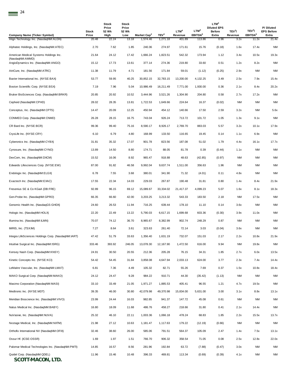| <b>Company Name (Ticker Symbol)</b>                       | Stock<br>Price | Stock<br>Price<br>52 Wk<br>High | Stock<br>Price<br>52 Wk<br>Low | Market Cap <sup>2</sup> | TEV <sup>3</sup> | LTM <sup>4</sup><br>Revenue | LTM <sup>4</sup><br>EBITDA <sup>5</sup> | LTM <sup>4</sup><br><b>Diluted EPS</b><br><b>Before</b><br>Extra | TEV <sup>3</sup> /<br>Revenue | TEV <sup>3</sup> /<br>EBITDA <sup>5</sup> | P/Diluted<br><b>EPS Before</b><br>Extra |
|-----------------------------------------------------------|----------------|---------------------------------|--------------------------------|-------------------------|------------------|-----------------------------|-----------------------------------------|------------------------------------------------------------------|-------------------------------|-------------------------------------------|-----------------------------------------|
| Align Technology Inc. (NasdaqNM:ALGN)                     | 20.48          | 22.24                           | 13.18                          | 1,574.46                | 1,271.18         | 401.89                      | 113.86                                  | 0.96                                                             | 3.2x                          | 11.2x                                     | 21.4x                                   |
| Alphatec Holdings, Inc. (NasdaqNM:ATEC)                   | 2.70           | 7.62                            | 1.85                           | 240.36                  | 274.97           | 171.61                      | 15.76                                   | (0.18)                                                           | 1.6x                          | 17.4x                                     | <b>NM</b>                               |
| American Medical Systems Holdings Inc.<br>(NasdaqNM:AMMD) | 21.64          | 24.12                           | 17.42                          | 1,666.24                | 1,823.51         | 542.32                      | 173.94                                  | 1.12                                                             | 3.4x                          | 10.5x                                     | 19.3x                                   |
| AngioDynamics Inc. (NasdaqNM:ANGO)                        | 15.12          | 17.73                           | 13.61                          | 377.14                  | 274.36           | 219.80                      | 33.60                                   | 0.51                                                             | 1.2x                          | 8.2x                                      | <b>NM</b>                               |
| AtriCure, Inc. (NasdaqNM:ATRC)                            | 11.38          | 11.79                           | 4.71                           | 181.56                  | 171.84           | 59.01                       | (1.12)                                  | (0.25)                                                           | 2.9x                          | NM                                        | <b>NM</b>                               |
| Baxter International Inc. (NYSE:BAX)                      | 53.77          | 59.95                           | 40.25                          | 30,852.15               | 32,783.15        | 13,200.00                   | 4,132.25                                | 3.49                                                             | 2.5x                          | 7.9x                                      | 15.4x                                   |
| Boston Scientific Corp. (NYSE:BSX)                        | 7.19           | 7.96                            | 5.04                           | 10,986.49               | 16,211.49        | 7,771.00                    | 1,930.00                                | 0.36                                                             | 2.1x                          | 8.4x                                      | 20.2x                                   |
| Bruker BioSciences Corp. (NasdaqNM:BRKR)                  | 20.85          | 20.92                           | 10.52                          | 3,444.96                | 3,521.26         | 1,304.90                    | 204.80                                  | 0.58                                                             | 2.7x                          | 17.2x                                     | <b>NM</b>                               |
| Cepheid (NasdaqNM:CPHD)                                   | 28.02          | 28.35                           | 13.81                          | 1,722.53                | 1,649.66         | 224.64                      | 16.37                                   | (0.02)                                                           | <b>NM</b>                     | NM                                        | <b>NM</b>                               |
| Conceptus, Inc. (NasdaqNM:CPTS)                           | 14.47          | 20.09                           | 12.25                          | 450.94                  | 454.12           | 140.66                      | 17.50                                   | 2.59                                                             | 3.2x                          | ΝM                                        | 5.6x                                    |
| CONMED Corp. (NasdaqNM:CNMD)                              | 26.28          | 28.15                           | 16.75                          | 743.04                  | 926.24           | 713.72                      | 101.72                                  | 1.05                                                             | 1.3x                          | 9.1x                                      | <b>NM</b>                               |
| CR Bard Inc. (NYSE:BCR)                                   | 99.36          | 99.40                           | 75.16                          | 8,590.17                | 8,926.17         | 2,769.70                    | 883.03                                  | 5.57                                                             | 3.2x                          | 10.1x                                     | 17.9x                                   |
| CryoLife Inc. (NYSE:CRY)                                  | 6.10           | 6.79                            | 4.80                           | 168.99                  | 133.50           | 116.65                      | 19.45                                   | 0.14                                                             | 1.1x                          | 6.9x                                      | <b>NM</b>                               |
| Cyberonics Inc. (NasdaqNM:CYBX)                           | 31.81          | 35.32                           | 17.07                          | 901.78                  | 823.56           | 187.08                      | 51.02                                   | 1.79                                                             | 4.4x                          | 16.1x                                     | 17.7x                                   |
| Cynosure, Inc. (NasdaqNM:CYNO)                            | 13.89          | 14.50                           | 8.80                           | 174.71                  | 88.05            | 81.78                       | 0.39                                    | (0.44)                                                           | 1.1x                          | ΝM                                        | <b>NM</b>                               |
| DexCom, Inc. (NasdaqNM:DXCM)                              | 15.52          | 16.06                           | 8.92                           | 965.47                  | 918.88           | 48.63                       | (42.85)                                 | (0.97)                                                           | <b>NM</b>                     | ΝM                                        | NM                                      |
| Edwards Lifesciences Corp. (NYSE:EW)                      | 87.00          | 91.82                           | 46.58                          | 9,992.04                | 9,637.74         | 1,511.00                    | 356.63                                  | 1.96                                                             | <b>NM</b>                     | NM                                        | NM                                      |
| Endologix Inc. (NasdaqNM:ELGX)                            | 6.78           | 7.55                            | 3.68                           | 380.01                  | 341.90           | 71.32                       | (4.01)                                  | 0.11                                                             | 4.8x                          | <b>NM</b>                                 | <b>NM</b>                               |
| Exactech Inc. (NasdaqNM:EXAC)                             | 17.55          | 22.34                           | 14.03                          | 229.03                  | 267.87           | 190.48                      | 31.81                                   | 0.80                                                             | 1.4x                          | 8.4x                                      | 21.9x                                   |
| Fresenius SE & Co KGaA (DB:FRE)                           | 92.89          | 96.15                           | 69.12                          | 15,089.67               | 33,334.02        | 21,417.37                   | 4,099.23                                | 5.07                                                             | 1.6x                          | 8.1x                                      | 18.3x                                   |
| Gen-Probe Inc. (NasdaqNM:GPRO)                            | 66.35          | 66.60                           | 42.00                          | 3,203.25                | 3,213.32         | 543.33                      | 183.50                                  | 2.18                                                             | <b>NM</b>                     | 17.5x                                     | <b>NM</b>                               |
| Genomic Health Inc. (NasdaqGS:GHDX)                       | 24.60          | 26.53                           | 11.94                          | 716.25                  | 639.44           | 178.10                      | 11.10                                   | 0.14                                                             | 3.6x                          | <b>NM</b>                                 | NM                                      |
| Hologic Inc. (NasdaqNM:HOLX)                              | 22.20          | 22.49                           | 13.22                          | 5,790.03                | 6,617.15         | 1,699.68                    | 603.36                                  | (0.30)                                                           | 3.9x                          | 11.0x                                     | NM                                      |
| Illumina Inc. (NasdaqNM:ILMN)                             | 70.07          | 74.12                           | 36.70                          | 8,965.67                | 8,382.99         | 902.74                      | 248.29                                  | 0.87                                                             | <b>NM</b>                     | ΝM                                        | NM                                      |
| IMRIS, Inc. (TSX:IM)                                      | 7.27           | 8.64                            | 3.61                           | 323.63                  | 261.40           | 72.14                       | 3.03                                    | (0.04)                                                           | 3.6x                          | <b>NM</b>                                 | <b>NM</b>                               |
| Integra LifeSciences Holdings Corp. (NasdaqNM:IART)       | 47.42          | 51.79                           | 33.63                          | 1,356.40                | 1,631.19         | 732.07                      | 151.03                                  | 2.17                                                             | 2.2x                          | 10.8x                                     | 21.9x                                   |
| Intuitive Surgical Inc. (NasdaqNM:ISRG)                   | 333.46         | 393.92                          | 246.05                         | 13,078.30               | 12,167.90        | 1,472.50                    | 616.00                                  | 9.94                                                             | <b>NM</b>                     | 19.8x                                     | <b>NM</b>                               |
| Kensey Nash Corp. (NasdaqNM:KNSY)                         | 24.91          | 30.50                           | 20.55                          | 212.36                  | 205.28           | 76.15                       | 34.31                                   | 1.85                                                             | 2.7x                          | 6.0x                                      | 13.5x                                   |
| Kinetic Concepts Inc. (NYSE:KCI)                          | 54.42          | 54.45                           | 31.84                          | 3,858.08                | 4,647.94         | 2,033.13                    | 624.00                                  | 3.77                                                             | 2.3x                          | 7.4x                                      | 14.4x                                   |
| LeMaitre Vascular, Inc. (NasdaqNM:LMAT)                   | 6.81           | 7.36                            | 4.49                           | 105.32                  | 82.71            | 55.26                       | 7.69                                    | 0.37                                                             | 1.5x                          | 10.8x                                     | 18.4x                                   |
| MAKO Surgical Corp. (NasdaqNM:MAKO)                       | 24.12          | 24.47                           | 9.28                           | 984.22                  | 910.71           | 44.30                       | (35.42)                                 | (1.13)                                                           | <b>NM</b>                     | <b>NM</b>                                 | <b>NM</b>                               |
| Masimo Corporation (NasdaqNM:MASI)                        | 33.10          | 33.49                           | 21.05                          | 1,971.27                | 1,885.53         | 405.41                      | 96.55                                   | 1.21                                                             | 4.7x                          | 19.5x                                     | <b>NM</b>                               |
| Medtronic Inc. (NYSE:MDT)                                 | 39.35          | 46.00                           | 30.80                          | 42,079.98               | 49,370.98        | 15,834.00                   | 5,631.00                                | 3.00                                                             | 3.1x                          | 8.8x                                      | 13.1x                                   |
| Meridian Bioscience Inc. (NasdaqNM:VIVO)                  | 23.99          | 24.44                           | 16.03                          | 982.85                  | 941.37           | 147.72                      | 45.08                                   | 0.61                                                             | <b>NM</b>                     | NM                                        | <b>NM</b>                               |
| Natus Medical Inc. (NasdaqNM:BABY)                        | 16.80          | 18.09                           | 11.68                          | 486.76                  | 458.27           | 218.66                      | 31.80                                   | 0.41                                                             | 2.1x                          | 14.4x                                     | <b>NM</b>                               |
| NuVasive, Inc. (NasdaqNM:NUVA)                            | 25.32          | 46.10                           | 22.11                          | 1,003.36                | 1,066.18         | 478.24                      | 68.83                                   | 1.85                                                             | 2.2x                          | 15.5x                                     | 13.7x                                   |
| Nxstage Medical, Inc. (NasdaqNM:NXTM)                     | 21.98          | 27.12                           | 10.63                          | 1,181.47                | 1,117.63         | 179.22                      | (12.19)                                 | (0.66)                                                           | NM                            | <b>NM</b>                                 | <b>NM</b>                               |
| Orthofix International NV (NasdaqNM:OFIX)                 | 32.46          | 38.60                           | 26.00                          | 585.06                  | 791.51           | 564.37                      | 105.09                                  | 2.47                                                             | 1.4x                          | 7.5x                                      | 13.1x                                   |
| Ossur Hf. (ICSE:OSSR)                                     | 1.69           | 1.97                            | 1.51                           | 766.70                  | 906.32           | 358.54                      | 71.05                                   | 0.08                                                             | 2.5x                          | 12.8x                                     | 22.0x                                   |
| Palomar Medical Technologies Inc. (NasdaqNM:PMTI)         | 14.85          | 16.57                           | 8.56                           | 281.96                  | 192.84           | 63.72                       | (7.88)                                  | (0.47)                                                           | 3.0x                          | NM                                        | <b>NM</b>                               |
| Quidel Corp. (NasdaqNM:QDEL)<br>CCOTTMACON ITD            | 11.96          | 15.46                           | 10.48                          | 396.33                  | 469.81           | 113.34                      | (0.69)                                  | (0.39)                                                           | 4.1x                          | NM                                        | <b>NM</b>                               |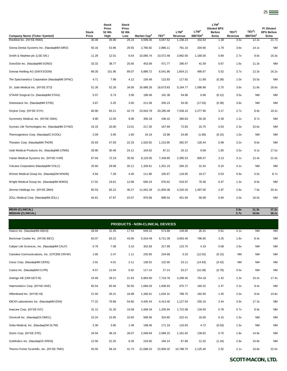| <b>Company Name (Ticker Symbol)</b>            | Stock<br>Price | <b>Stock</b><br>Price<br>52 Wk<br>High | <b>Stock</b><br>Price<br>52 Wk<br>Low | Market Cap <sup>2</sup> | TEV <sup>3</sup> | LTM <sup>4</sup><br>Revenue | LTM <sup>4</sup><br>EBITDA <sup>5</sup> | LTM <sup>4</sup><br><b>Diluted EPS</b><br><b>Before</b><br>Extra | TEV <sup>3</sup> /<br>Revenue | TEV <sup>3</sup> /<br>EBITDA <sup>5</sup> | P/Diluted<br><b>EPS Before</b><br>Extra |
|------------------------------------------------|----------------|----------------------------------------|---------------------------------------|-------------------------|------------------|-----------------------------|-----------------------------------------|------------------------------------------------------------------|-------------------------------|-------------------------------------------|-----------------------------------------|
| ResMed Inc. (NYSE:RMD)                         | 30.00          | 35.90                                  | 29.24                                 | 4,599.36                | 4,047.52         | 1,158.23                    | 332.64                                  | 1.38                                                             | 3.5x                          | 12.2x                                     | 21.7x                                   |
| Sirona Dental Systems Inc. (NasdaqNM:SIRO)     | 50.16          | 52.86                                  | 29.55                                 | 2,780.82                | 2,886.11         | 791.10                      | 204.90                                  | 1.79                                                             | 3.6x                          | 14.1x                                     | <b>NM</b>                               |
| Smith & Nephew plc (LSE:SN.)                   | 11.28          | 12.01                                  | 8.54                                  | 10,066.74               | 10,572.48        | 3,962.00                    | 1,180.00                                | 0.69                                                             | 2.7x                          | 9.0x                                      | 16.3x                                   |
| SonoSite Inc. (NasdaqNM:SONO)                  | 33.32          | 38.77                                  | 25.65                                 | 453.09                  | 471.77           | 290.47                      | 41.59                                   | 0.67                                                             | 1.6x                          | 11.3x                                     | <b>NM</b>                               |
| Sonova Holding AG (SWX:SOON)                   | 89.35          | 151.95                                 | 89.07                                 | 5,886.72                | 6,041.86         | 1,654.21                    | 490.67                                  | 5.52                                                             | 3.7x                          | 12.3x                                     | 16.2x                                   |
| The Spectranetics Corporation (NasdaqNM:SPNC)  | 4.71           | 7.99                                   | 4.12                                  | 156.49                  | 122.83           | 117.92                      | 11.68                                   | (0.39)                                                           | 1.0x                          | 10.5x                                     | <b>NM</b>                               |
| St. Jude Medical Inc. (NYSE:STJ)               | 51.26          | 52.28                                  | 34.00                                 | 16,686.26               | 18,673.83        | 5,164.77                    | 1,586.68                                | 2.75                                                             | 3.6x                          | 11.8x                                     | 18.6x                                   |
| STAAR Surgical Co. (NasdaqNM:STAA)             | 5.57           | 6.74                                   | 3.56                                  | 196.46                  | 191.38           | 54.96                       | 0.66                                    | (0.12)                                                           | 3.5x                          | <b>NM</b>                                 | <b>NM</b>                               |
| Stereotaxis Inc. (NasdaqNM:STXS)               | 3.87           | 5.25                                   | 3.00                                  | 211.58                  | 205.23           | 54.05                       | (17.03)                                 | (0.39)                                                           | 3.8x                          | <b>NM</b>                                 | <b>NM</b>                               |
| Stryker Corp. (NYSE:SYK)                       | 60.80          | 65.21                                  | 42.74                                 | 23,643.78               | 20,285.48        | 7,536.10                    | 2,277.90                                | 3.17                                                             | 2.7x                          | 8.9x                                      | 19.2x                                   |
| Symmetry Medical, Inc. (NYSE:SMA)              | 9.80           | 12.05                                  | 8.06                                  | 356.18                  | 436.42           | 360.83                      | 50.30                                   | 0.39                                                             | 1.2x                          | 8.7x                                      | <b>NM</b>                               |
| Synovis Life Technologies Inc. (NasdaqNM:SYNO) | 19.16          | 20.00                                  | 13.01                                 | 217.26                  | 167.69           | 72.83                       | 10.75                                   | 0.53                                                             | 2.3x                          | 15.6x                                     | <b>NM</b>                               |
| Thermogenesis Corp. (NasdagSC:KOOL)            | 2.09           | 3.95                                   | 1.60                                  | 34.16                   | 23.96            | 24.80                       | (1.89)                                  | (0.15)                                                           | 1.0x                          | <b>NM</b>                                 | <b>NM</b>                               |
| Thoratec Corp. (NasdaqNM:THOR)                 | 25.93          | 47.93                                  | 22.33                                 | 1,520.92                | 1,210.95         | 382.97                      | 126.44                                  | 0.99                                                             | 3.2x                          | 9.6x                                      | <b>NM</b>                               |
| Utah Medical Products Inc. (NasdaqNM:UTMD)     | 28.90          | 30.46                                  | 24.11                                 | 104.62                  | 87.21            | 25.12                       | 9.58                                    | 1.65                                                             | 3.5x                          | 9.1x                                      | 17.5x                                   |
| Varian Medical Systems Inc. (NYSE:VAR)         | 67.64          | 72.19                                  | 35.50                                 | 8,120.05                | 7,439.85         | 2,395.53                    | 600.57                                  | 3.13                                                             | 3.1x                          | 12.4x                                     | 21.6x                                   |
| Volcano Corporation (NasdaqNM:VOLC)            | 25.60          | 29.08                                  | 20.11                                 | 1,328.61                | 1,201.19         | 294.15                      | 31.54                                   | 0.10                                                             | 4.1x                          | <b>NM</b>                                 | <b>NM</b>                               |
| Winner Medical Group Inc. (NasdaqGM:WWIN)      | 4.64           | 7.28                                   | 4.40                                  | 111.96                  | 105.67           | 118.95                      | 19.27                                   | 0.53                                                             | 0.9x                          | 5.5x                                      | 8.7x                                    |
| Wright Medical Group Inc. (NasdagNM:WMGI)      | 17.01          | 19.61                                  | 12.98                                 | 646.24                  | 676.62           | 518.97                      | 76.36                                   | 0.47                                                             | 1.3x                          | 8.9x                                      | <b>NM</b>                               |
| Zimmer Holdings Inc. (NYSE:ZMH)                | 60.53          | 65.22                                  | 46.27                                 | 11,642.28               | 11,850.38        | 4,220.20                    | 1,497.00                                | 2.97                                                             | 2.8x                          | 7.9x                                      | 20.4x                                   |
| ZOLL Medical Corp. (NasdaqNM:ZOLL)             | 44.81          | 47.87                                  | 23.07                                 | 970.58                  | 899.54           | 451.94                      | 56.08                                   | 0.94                                                             | 2.0x                          | 16.0x                                     | <b>NM</b>                               |

# **MEAN (CLINICAL) 2.6x 11.3x 17.2x MEDIAN (CLINICAL) 2.7x 10.6x 18.1x**

|                                             |       |       |       |           | <b>PRODUCTS - NON-CLINICAL DEVICES</b> |           |          |        |           |           |                        |
|---------------------------------------------|-------|-------|-------|-----------|----------------------------------------|-----------|----------|--------|-----------|-----------|------------------------|
| Abaxis Inc. (NasdaqNM:ABAX)                 | 28.84 | 31.45 | 17.54 | 649.42    | 573.88                                 | 139.80    | 26.31    | 0.61   | 4.1x      | <b>NM</b> | <b>NM</b>              |
| Beckman Coulter Inc. (NYSE:BEC)             | 83.07 | 83.22 | 43.95 | 5,919.49  | 6,721.39                               | 3,663.40  | 796.60   | 3.25   | 1.8x      | 8.4x      | <b>NM</b>              |
| Caliper Life Sciences, Inc. (NasdaqNM:CALP) | 6.76  | 7.08  | 3.10  | 352.83    | 317.99                                 | 123.70    | 4.19     | 0.08   | 2.6x      | <b>NM</b> | <b>NM</b>              |
| Careview Communications, Inc. (OTCBB:CRVW)  | 1.85  | 2.47  | 1.11  | 235.95    | 234.68                                 | 0.33      | (12.02)  | (0.15) | <b>NM</b> | <b>NM</b> | $\mathsf{N}\mathsf{M}$ |
| Cerus Corp. (NasdaqNM:CERS)                 | 2.91  | 4.01  | 2.11  | 138.52    | 122.90                                 | 23.11     | (14.93)  | (0.42) | <b>NM</b> | <b>NM</b> | <b>NM</b>              |
| Cutera Inc. (NasdaqNM:CUTR)                 | 8.57  | 12.04 | 6.92  | 117.14    | 27.14                                  | 53.27     | (10.38)  | (0.78) | 0.5x      | <b>NM</b> | <b>NM</b>              |
| Getinge AB (OM:GETI B)                      | 24.69 | 28.21 | 21.63 | 5,883.60  | 7,719.78                               | 3,299.45  | 754.18   | 1.42   | 2.3x      | 10.2x     | 17.4x                  |
| Haemonetics Corp. (NYSE:HAE)                | 65.54 | 65.56 | 50.50 | 1,666.03  | 1,508.93                               | 675.77    | 160.32   | 2.47   | 2.2x      | 9.4x      | <b>NM</b>              |
| Hillenbrand Inc. (NYSE:HI)                  | 21.50 | 26.21 | 18.98 | 1,346.91  | 1,634.31                               | 798.70    | 182.60   | 1.45   | 2.0x      | 9.0x      | 14.8x                  |
| IDEXX Laboratories Inc. (NasdaqNM:IDXX)     | 77.22 | 79.89 | 54.80 | 4,435.44  | 4,413.46                               | 1,127.54  | 255.16   | 2.44   | 3.9x      | 17.3x     | <b>NM</b>              |
| Invacare Corp. (NYSE:IVC)                   | 31.12 | 31.20 | 19.58 | 1,008.34  | 1,205.94                               | 1,722.08  | 134.93   | 0.78   | 0.7x      | 8.9x      | <b>NM</b>              |
| Omnicell Inc. (NasdaqGS:OMCL)               | 15.24 | 15.95 | 10.93 | 508.56    | 324.85                                 | 222.41    | 16.00    | 0.15   | 1.5x      | <b>NM</b> | <b>NM</b>              |
| Solta Medical, Inc. (NasdaqGM:SLTM)         | 3.30  | 3.85  | 1.49  | 198.46    | 171.19                                 | 110.93    | 4.72     | (0.03) | 1.5x      | <b>NM</b> | <b>NM</b>              |
| Steris Corp. (NYSE:STE)                     | 34.54 | 38.16 | 28.07 | 2,049.64  | 2,068.10                               | 1,161.82  | 138.82   | 0.70   | 1.8x      | 14.9x     | <b>NM</b>              |
| SurModics Inc. (NasdaqGS:SRDX)              | 12.50 | 22.25 | 8.29  | 218.60    | 194.14                                 | 67.69     | 12.32    | (1.34) | 2.9x      | 15.8x     | <b>NM</b>              |
| Thermo Fisher Scientific, Inc. (NYSE:TMO)   | 55.55 | 58.16 | 41.74 | 21,698.22 | 22,909.32                              | 10,788.70 | 2,125.40 | 2.52   | 2.1x      | 10.8x     | 22.0x                  |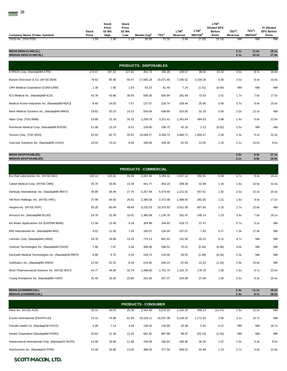| <b>Company Name (Ticker Symbol)</b> | Stock<br>Price | Stock<br>Price<br>52 Wk<br>High | Stock<br>Price<br>52 Wk<br>Low | Market Cap <sup>2</sup> | <b>TEV<sup>3</sup></b> | LTM <sup>2</sup><br>Revenue | $LTM^4$<br>EBITDA <sup>5</sup> | LTM <sup>4</sup><br><b>Diluted EPS</b><br><b>Before</b><br>Extra | TEV <sup>3</sup> /<br>Revenue | TEV <sup>3</sup> /<br>EBITDA <sup>5</sup> | P/Diluted<br><b>EPS Before</b><br>Extra |
|-------------------------------------|----------------|---------------------------------|--------------------------------|-------------------------|------------------------|-----------------------------|--------------------------------|------------------------------------------------------------------|-------------------------------|-------------------------------------------|-----------------------------------------|
| TSO3 Inc. (TSX:TOS)                 | 1.59           | 1.90                            | 1.19                           | 92.00                   | 72.32                  | 0.94                        | (7.29)                         | (0.14)                                                           | <b>NM</b>                     | NM                                        | NM                                      |
|                                     |                |                                 |                                |                         |                        |                             |                                |                                                                  |                               |                                           |                                         |

| <b>MEAN (NON-CLINICAL)</b>   | 2.1x | 11.6x | 18.1x |
|------------------------------|------|-------|-------|
| <b>MEDIAN (NON-CLINICAL)</b> | 21x  | 10.2x | 17.4x |

| <b>MEDIAN (NON-CLINICAL)</b>                   |        |        |        |           |           |          |          |        | 2.1x      | 10.2x     | 17.4x     |  |
|------------------------------------------------|--------|--------|--------|-----------|-----------|----------|----------|--------|-----------|-----------|-----------|--|
| <b>PRODUCTS - DISPOSABLES</b>                  |        |        |        |           |           |          |          |        |           |           |           |  |
| ATRION Corp. (NasdaqNM:ATRI)                   | 174.47 | 187.22 | 127.01 | 351.73    | 330.35    | 108.57   | 38.02    | 10.32  | 3.0x      | 8.7x      | 16.9x     |  |
| Becton Dickinson & Co. (NYSE:BDX)              | 79.62  | 85.90  | 66.47  | 17,605.18 | 18,071.45 | 7,345.52 | 2,159.26 | 5.00   | 2.5x      | 8.4x      | 15.9x     |  |
| CRH Medical Corporation (CDNX:CRM)             | 1.30   | 1.85   | 1.03   | 63.23     | 61.40     | 7.24     | (1.31)   | (0.04) | <b>NM</b> | <b>NM</b> | <b>NM</b> |  |
| ICU Medical Inc. (NasdaqNM:ICUI)               | 43.78  | 43.96  | 30.55  | 598.30    | 504.94    | 291.69   | 72.53    | 2.51   | 1.7x      | 7.0x      | 17.5x     |  |
| Medical Action Industries Inc. (NasdagNM:MDCI) | 8.40   | 14.03  | 7.57   | 137.57    | 229.74    | 328.44   | 25.95    | 0.56   | 0.7x      | 8.9x      | 15.0x     |  |
| Merit Medical Systems Inc. (NasdaqNM:MMSI)     | 19.62  | 20.10  | 14.23  | 559.09    | 636.89    | 315.95   | 52.16    | 0.50   | 2.0x      | 12.2x     | <b>NM</b> |  |
| Nipro Corp. (TSE:8086)                         | 19.86  | 22.18  | 16.32  | 1,259.79  | 3,321.41  | 2,341.64 | 484.03   | 0.88   | 1.4x      | 6.9x      | 22.6x     |  |
| Rochester Medical Corp. (NasdaqNM:ROCM)        | 11.48  | 13.19  | 8.51   | 139.80    | 106.70    | 42.16    | 2.12     | (0.02) | 2.5x      | <b>NM</b> | <b>NM</b> |  |
| Terumo Corp. (TSE:4543)                        | 52.92  | 62.75  | 45.92  | 10,048.27 | 9,256.73  | 3,960.72 | 1,004.47 | 2.36   | 2.3x      | 9.2x      | 22.4x     |  |
| Vascular Solutions Inc. (NasdagNM:VASC)        | 10.91  | 13.22  | 8.92   | 186.66    | 169.30    | 81.54    | 13.05    | 1.15   | 2.1x      | 13.0x     | 9.5x      |  |
|                                                |        |        |        |           |           |          |          |        |           |           |           |  |

**MEAN (DISPOSABLES) 2.0x 9.3x 17.1x MEDIAN (DISPOSABLES) 2.1x 8.8x 16.9x** Bio-Rad Laboratories Inc. (NYSE:BIO) 120.14 125.01 80.00 3,341.40 3,284.32 1,927.12 392.91 6.59 1.7x 8.4x 18.2x Cantel Medical Corp. (NYSE:CMN) 25.75 26.65 13.39 441.77 453.19 289.38 42.98 1.15 1.6x 10.5x 22.4x Dentsply International, Inc. (NasdaqNM:XRAY) 36.99 38.49 27.76 5,257.94 5,574.49 2,221.01 457.61 1.82 2.5x 12.2x 20.3x Hill-Rom Holdings, Inc. (NYSE:HRC) 37.98 44.00 26.81 2,396.58 2,372.48 1,488.50 282.30 2.21 1.6x 8.4x 17.2x Hospira Inc. (NYSE:HSP) 55.20 60.49 48.69 9,232.53 10,375.93 3,911.90 807.60 2.15 2.7x 12.8x NM Immucor Inc. (NasdaqNM:BLUD) 19.78 22.39 15.01 1,385.09 1,136.76 331.47 149.14 1.23 3.4x 7.6x 16.1x Ion Beam Applications SA (ENXTBR:IBAB) 11.56 13.46 9.18 304.88 344.65 519.73 37.47 - 0.7x 9.2x NM IRIS International Inc. (NasdaqNM:IRIS) 9.02 11.93 7.26 160.57 135.04 107.67 7.54 0.17 1.3x 17.9x NM Luminex Corp. (NasdaqNM:LMNX) 18.76 19.86 14.25 775.13 661.43 141.56 20.15 0.12 4.7x NM NM OraSure Technologies Inc. (NasdaqNM:OSUR) 7.86 7.87 3.18 366.48 298.53 75.01 (0.34) (0.08) 4.0x NM NM Rockwell Medical Technologies Inc. (NasdaqGM:RMTI) 8.98 9.70 4.16 158.73 134.56 59.55 (1.48) (0.16) 2.3x NM NM SurModics Inc. (NasdaqNM:SRDX) 12.50 22.25 8.29 218.60 194.14 67.69 12.32 (1.34) 2.9x 15.8x NM West Pharmaceutical Services Inc. (NYSE:WST) 44.77 44.90 32.74 1,498.00 1,751.70 1,104.70 179.70 1.90 1.6x 9.7x 23.6x Young Innovations Inc. (NasdaqNM:YDNT) 31.40 33.40 22.86 251.95 257.37 104.08 27.58 1.92 2.5x 9.3x 16.4x **PRODUCTS - COMMERCIAL**

*SCOTT-MACON, LTD.* **MEAN (COMMERCIAL) 2.4x 11.1x 19.2x MEDIAN (COMMERCIAL) 2.4x 9.7x 18.2x** Alere Inc. (NYSE:ALR) 39.14 40.55 25.36 3,341.46 6,070.24 2,155.35 458.13 (12.47) 2.8x 13.3x NM Essilor International (ENXTPA:EI) 74.31 74.96 61.69 15,526.11 16,037.38 5,218.32 1,171.63 2.92 3.1x 13.7x NM Female Health Co. (NasdaqCM:FHCO) 4.99 7.14 4.26 138.43 134.80 20.38 5.91 0.27 NM NM 18.7x Insulet Corporation (NasdaqNM:PODD) 20.62 21.34 12.25 941.82 897.98 96.97 (29.13) (1.54) NM NM NM Nutraceutical International Corp. (NasdaqGS:NUTR) 14.98 16.99 11.86 156.09 182.83 180.46 34.35 1.57 1.0x 5.3x 9.5x NutriSystem Inc. (NasdaqGS:NTRI) 14.49 24.90 13.05 388.26 377.04 509.52 64.99 1.13 0.7x 5.8x 12.8x **PRODUCTS - CONSUMER**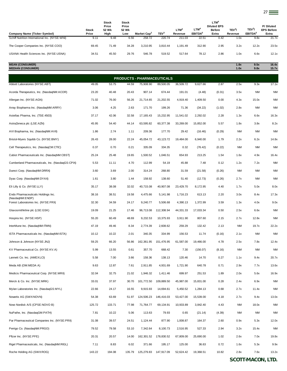27

| <b>Company Name (Ticker Symbol)</b>                    | Stock<br>Price | Stock<br>Price<br>52 Wk<br>High | <b>Stock</b><br>Price<br>52 Wk<br>Low | Market Cap <sup>2</sup>           | TEV <sup>3</sup> | LTM <sup>4</sup><br>Revenue | LTM <sup>4</sup><br>EBITDA <sup>5</sup> | LTM <sup>4</sup><br><b>Diluted EPS</b><br><b>Before</b><br>Extra | TEV <sup>3</sup> /<br>Revenue | TEV <sup>3</sup> /<br>EBITDA <sup>5</sup> | P/Diluted<br><b>EPS Before</b><br>Extra |
|--------------------------------------------------------|----------------|---------------------------------|---------------------------------------|-----------------------------------|------------------|-----------------------------|-----------------------------------------|------------------------------------------------------------------|-------------------------------|-------------------------------------------|-----------------------------------------|
| Schiff Nutrition International Inc. (NYSE:WNI)         | 9.11           | 9.48                            | 6.56                                  | 258.72                            | 220.74           | 211.03                      | 22.51                                   | 0.42                                                             | 1.0x                          | 9.8x                                      | 21.7x                                   |
| The Cooper Companies Inc. (NYSE:COO)                   | 69.45          | 71.49                           | 34.28                                 | 3,210.95                          | 3,810.44         | 1,191.49                    | 312.90                                  | 2.95                                                             | 3.2x                          | 12.2x                                     | 23.5x                                   |
| USANA Health Sciences Inc. (NYSE:USNA)                 | 34.51          | 45.50                           | 29.76                                 | 546.78                            | 519.52           | 517.64                      | 78.12                                   | 2.86                                                             | 1.0x                          | 6.6x                                      | 12.1x                                   |
| <b>MEAN (CONSUMER)</b><br><b>MEDIAN (CONSUMER)</b>     |                |                                 |                                       |                                   |                  |                             |                                         |                                                                  | 1.8x<br>1.0x                  | 9.5x<br>9.8x                              | 16.4x<br>15.7x                          |
|                                                        |                |                                 |                                       | <b>PRODUCTS - PHARMACEUTICALS</b> |                  |                             |                                         |                                                                  |                               |                                           |                                         |
| Abbott Laboratories (NYSE:ABT)                         | 49.05          | 53.75                           | 44.59                                 | 75,908.90                         | 89,500.05        | 36,509.72                   | 9,627.66                                | 2.87                                                             | 2.5x                          | 9.3x                                      | 17.1x                                   |
| Acorda Therapeutics, Inc. (NasdaqNM:ACOR)              | 23.20          | 40.48                           | 20.43                                 | 907.14                            | 674.44           | 191.01                      | (4.48)                                  | (0.31)                                                           | 3.5x                          | <b>NM</b>                                 | <b>NM</b>                               |
| Allergan Inc. (NYSE:AGN)                               | 71.02          | 76.00                           | 56.26                                 | 21,714.65                         | 21,202.55        | 4,919.40                    | 1,409.50                                | 0.00                                                             | 4.3x                          | 15.0x                                     | <b>NM</b>                               |
| Array Biopharma Inc. (NasdaqNM:ARRY)                   | 3.06           | 4.25                            | 2.63                                  | 171.70                            | 199.26           | 71.36                       | (34.22)                                 | (1.02)                                                           | 2.8x                          | <b>NM</b>                                 | <b>NM</b>                               |
| Astellas Pharma, Inc. (TSE:4503)                       | 37.17          | 42.06                           | 32.58                                 | 17, 165.43                        | 15,232.95        | 11,541.02                   | 2,292.02                                | 2.28                                                             | 1.3x                          | 6.6x                                      | 16.3x                                   |
| AstraZeneca plc (LSE:AZN)                              | 45.95          | 54.40                           | 44.14                                 | 63,595.82                         | 60,377.38        | 33,269.00                   | 15,852.00                               | 5.57                                                             | 1.8x                          | 3.8x                                      | 8.2x                                    |
| AVI Biopharma, Inc. (NasdaqNM:AVII)                    | 1.86           | 2.74                            | 1.11                                  | 209.36                            | 177.70           | 29.42                       | (16.46)                                 | (0.29)                                                           | <b>NM</b>                     | ΝM                                        | <b>NM</b>                               |
| Bristol-Myers Squibb Co. (NYSE:BMY)                    | 26.43          | 28.00                           | 22.24                                 | 45,054.72                         | 43, 123. 72      | 19,484.00                   | 6,940.00                                | 1.79                                                             | 2.2x                          | 6.2x                                      | 14.8x                                   |
| Cell Therapeutics, Inc. (NasdaqCM:CTIC)                | 0.37           | 0.70                            | 0.21                                  | 335.09                            | 334.35           | 0.32                        | (76.42)                                 | (0.22)                                                           | <b>NM</b>                     | <b>NM</b>                                 | <b>NM</b>                               |
| Cubist Pharmaceuticals Inc. (NasdaqNM:CBST)            | 25.24          | 25.48                           | 19.65                                 | 1,500.52                          | 1,046.51         | 654.93                      | 213.25                                  | 1.54                                                             | 1.6x                          | 4.9x                                      | 16.4x                                   |
| Cumberland Pharmaceuticals, Inc. (NasdaqGS:CPIX)       | 5.53           | 11.11                           | 4.70                                  | 112.99                            | 54.19            | 45.88                       | 7.48                                    | 0.12                                                             | 1.2x                          | 7.2x                                      | <b>NM</b>                               |
| Durect Corp. (NasdaqNM:DRRX)                           | 3.60           | 3.69                            | 2.00                                  | 314.24                            | 268.80           | 31.59                       | (21.58)                                 | (0.26)                                                           | <b>NM</b>                     | ΝM                                        | <b>NM</b>                               |
| Dyax Corp. (NasdaqNM:DYAX)                             | 1.61           | 3.80                            | 1.44                                  | 158.92                            | 138.60           | 51.40                       | (12.73)                                 | (0.26)                                                           | 2.7x                          | <b>NM</b>                                 | <b>NM</b>                               |
| Eli Lilly & Co. (NYSE:LLY)                             | 35.17          | 38.08                           | 32.02                                 | 40,715.08                         | 40,907.08        | 23,429.70                   | 8,172.95                                | 4.40                                                             | 1.7x                          | 5.0x                                      | 8.0x                                    |
| Endo Pharmaceuticals Holdings Inc.                     | 38.16          | 38.51                           | 19.58                                 | 4,475.66                          | 5,141.98         | 1,716.23                    | 613.13                                  | 2.20                                                             | 3.0x                          | 8.4x                                      | 17.3x                                   |
| (NasdaqNM:ENDP)<br>Forest Laboratories Inc. (NYSE:FRX) | 32.30          | 34.59                           | 24.17                                 | 9,240.77                          | 5.506.68         | 4,390.13                    | 1,372.99                                | 3.59                                                             | 1.3x                          | 4.0x                                      | 9.0x                                    |
| Glaxosmithkline plc (LSE:GSK)                          | 19.09          | 21.25                           | 17.46                                 | 96,713.08                         | 112,308.94       | 44,331.33                   | 17,033.34                               | 0.50                                                             | 2.5x                          | 6.6x                                      | NM                                      |
| Hospira Inc. (NYSE:HSP)                                | 55.20          | 60.49                           | 48.69                                 | 9,232.53                          | 10,375.93        | 3,911.90                    | 807.60                                  | 2.15                                                             | 2.7x                          | 12.8x                                     | <b>NM</b>                               |
| InterMune Inc. (NasdaqNM:ITMN)                         | 47.19          | 49.46                           | 8.34                                  | 2,774.39                          | 2,608.62         | 259.29                      | 132.42                                  | 2.13                                                             | <b>NM</b>                     | 19.7x                                     | 22.2x                                   |
| ISTA Pharmaceuticals Inc. (NasdaqNM:ISTA)              | 10.12          | 10.22                           | 2.01                                  | 340.35                            | 334.99           | 156.53                      | 11.74                                   | (0.16)                                                           | 2.1x                          | <b>NM</b>                                 | <b>NM</b>                               |
| Johnson & Johnson (NYSE: JNJ)                          | 59.25          | 66.20                           | 56.86                                 | 162,361.95                        | 151,476.95       | 61,587.00                   | 19,466.00                               | 4.78                                                             | 2.5x                          | 7.8x                                      | 12.4x                                   |
| KV Pharmaceutical Co. (NYSE:KV.A)                      | 5.99           | 13.55                           | 0.61                                  | 357.70                            | 668.42           | 7.30                        | (156.07)                                | (8.16)                                                           | <b>NM</b>                     | NM                                        | <b>NM</b>                               |
| Lannett Co. Inc. (AMEX:LCI)                            | 5.58           | 7.00                            | 3.66                                  | 158.36                            | 138.13           | 120.46                      | 14.70                                   | 0.27                                                             | 1.1x                          | 9.4x                                      | 20.7x                                   |
| Meda AB (OM:MEDA A)                                    | 9.63           | 12.87                           | 7.61                                  | 2,911.85                          | 4,931.69         | 1,721.90                    | 640.78                                  | 0.71                                                             | 2.9x                          | 7.7x                                      | 13.6x                                   |
| Medicis Pharmaceutical Corp. (NYSE:MRX)                | 32.04          | 32.75                           | 21.02                                 | 1,946.32                          | 1,411.46         | 699.97                      | 251.53                                  | 1.89                                                             | 2.0x                          | 5.6x                                      | 16.9x                                   |
| Merck & Co. Inc. (NYSE:MRK)                            | 33.01          | 37.97                           | 30.70                                 | 101,772.50                        | 109,889.50       | 45,987.00                   | 15,831.00                               | 0.28                                                             | 2.4x                          | 6.9x                                      | <b>NM</b>                               |
| Mylan Laboratories Inc. (NasdaqGS:MYL)                 | 22.66          | 24.17                           | 16.55                                 | 9,915.93                          | 14,694.61        | 5,450.52                    | 1,284.13                                | 0.68                                                             | 2.7x                          | 11.4x                                     | <b>NM</b>                               |
| Novartis AG (SWX:NOVN)                                 | 54.38          | 63.69                           | 51.97                                 | 124,506.23                        | 146,416.03       | 53,427.00                   | 15,539.00                               | 4.18                                                             | 2.7x                          | 9.4x                                      | 13.0x                                   |
| Novo Nordisk A/S (CPSE:NOVO B)                         | 125.72         | 133.71                          | 77.98                                 | 71,764.77                         | 69,134.91        | 10,933.89                   | 3,842.40                                | 4.43                                                             | <b>NM</b>                     | 18.0x                                     | <b>NM</b>                               |
| NuPathe, Inc. (NasdaqGM:PATH)                          | 7.81           | 10.22                           | 5.06                                  | 113.63                            | 79.93            | 0.65                        | (21.14)                                 | (4.39)                                                           | <b>NM</b>                     | ΝM                                        | <b>NM</b>                               |
| Par Pharmaceutical Companies Inc. (NYSE:PRX)           | 31.08          | 39.57                           | 24.51                                 | 1,124.44                          | 877.90           | 1,008.87                    | 164.37                                  | 2.60                                                             | 0.9x                          | 5.3x                                      | 12.0x                                   |
| Perrigo Co. (NasdaqNM:PRGO)                            | 79.52          | 79.58                           | 53.10                                 | 7,342.64                          | 8,100.73         | 2,516.95                    | 527.33                                  | 2.94                                                             | 3.2x                          | 15.4x                                     | <b>NM</b>                               |
| Pfizer Inc. (NYSE:PFE)                                 | 20.31          | 20.57                           | 14.00                                 | 162,301.52                        | 178,830.52       | 67,809.00                   | 25,690.00                               | 1.02                                                             | 2.6x                          | 7.0x                                      | 19.8x                                   |
| Rigel Pharmaceuticals, Inc. (NasdaqNM:RIGL)            | 7.11           | 8.83                            | 6.02                                  | 371.66                            | 195.17           | 125.00                      | 36.63                                   | 0.72                                                             | 1.6x                          | 5.3x                                      | 9.9x                                    |
| Roche Holding AG (SWX:ROG)                             | 143.22         | 194.08                          | 135.79                                | 125,279.83                        | 147,917.09       | 52,624.42                   | 19,368.51                               | 10.82                                                            | 2.8x                          | 7.6x                                      | 13.2x                                   |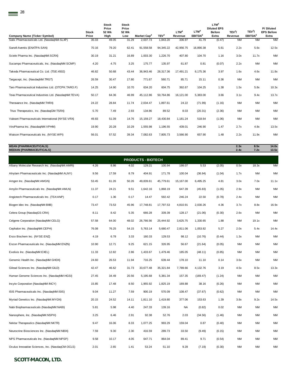| <b>Company Name (Ticker Symbol)</b>                 | <b>Stock</b><br>Price | <b>Stock</b><br>Price<br>52 Wk<br>High | Stock<br>Price<br>52 Wk<br>Low | Market Cap <sup>2</sup> | TEV <sup>3</sup> | LTM <sup>4</sup><br>Revenue | LTM <sup>4</sup><br>EBITDA <sup>5</sup> | LTM <sup>4</sup><br><b>Diluted EPS</b><br><b>Before</b><br>Extra | TEV <sup>3</sup> /<br>Revenue | TEV <sup>3</sup> /<br>EBITDA <sup>5</sup> | P/Diluted<br><b>EPS Before</b><br>Extra |
|-----------------------------------------------------|-----------------------|----------------------------------------|--------------------------------|-------------------------|------------------|-----------------------------|-----------------------------------------|------------------------------------------------------------------|-------------------------------|-------------------------------------------|-----------------------------------------|
| Salix Pharmaceuticals Ltd. (NasdaqNM:SLXP)          | 35.03                 | 49.05                                  | 31.29                          | 2,037.73                | 1,843.20         | 336.97                      | 41.79                                   | (0.47)                                                           | ΝM                            | <b>NM</b>                                 | <b>NM</b>                               |
| Sanofi-Aventis (ENXTPA:SAN)                         | 70.16                 | 79.20                                  | 62.41                          | 91,558.58               | 94,345.22        | 42,956.75                   | 16,890.38                               | 5.61                                                             | 2.2x                          | 5.6x                                      | 12.5x                                   |
| Sciele Pharma Inc. (NasdaqNM:SCRX)                  | 30.19                 | 31.21                                  | 16.89                          | 1,003.30                | 1,226.70         | 407.80                      | 104.70                                  | 1.16                                                             | 3.0x                          | 11.7x                                     | <b>NM</b>                               |
| Sucampo Pharmaceuticals, Inc. (NasdaqNM:SCMP)       | 4.20                  | 4.75                                   | 3.25                           | 175.77                  | 135.97           | 61.87                       | 0.81                                    | (0.07)                                                           | 2.2x                          | <b>NM</b>                                 | <b>NM</b>                               |
| Takeda Pharmaceutical Co. Ltd. (TSE:4502)           | 46.82                 | 50.68                                  | 43.44                          | 36,943.46               | 28,317.36        | 17.491.21                   | 6,175.36                                | 3.97                                                             | 1.6x                          | 4.6x                                      | 11.8x                                   |
| Targacept, Inc. (NasdagNM:TRGT)                     | 26.59                 | 30.47                                  | 17.80                          | 771.67                  | 560.71           | 85.71                       | 15.11                                   | 0.36                                                             | <b>NM</b>                     | <b>NM</b>                                 | <b>NM</b>                               |
| Taro Pharmaceutical Industries Ltd. (OTCPK:TARO.F)  | 14.25                 | 14.90                                  | 10.70                          | 634.20                  | 604.75           | 392.67                      | 104.25                                  | 1.38                                                             | 1.5x                          | 5.8x                                      | 10.3x                                   |
| Teva Pharmaceutical Industries Ltd. (NasdaqNM:TEVA) | 50.17                 | 64.36                                  | 46.99                          | 45,112.86               | 50,764.86        | 16,121.00                   | 5,383.00                                | 3.66                                                             | 3.1x                          | 9.4x                                      | 13.7x                                   |
| Theravance Inc. (NasdaqNM:THRX)                     | 24.22                 | 28.84                                  | 11.74                          | 2.034.47                | 1,897.61         | 24.22                       | (71.99)                                 | (1.16)                                                           | <b>NM</b>                     | <b>NM</b>                                 | <b>NM</b>                               |
| Trius Therapeutics, Inc. (NasdaqGM:TSRX)            | 5.70                  | 7.49                                   | 2.93                           | 134.86                  | 89.52            | 8.03                        | (20.31)                                 | (2.36)                                                           | <b>NM</b>                     | <b>NM</b>                                 | <b>NM</b>                               |
| Valeant Pharmaceuticals International (NYSE:VRX)    | 49.83                 | 51.09                                  | 14.76                          | 15, 159.27              | 18,430.84        | 1,181.24                    | 518.64                                  | (1.06)                                                           | <b>NM</b>                     | <b>NM</b>                                 | <b>NM</b>                               |
| ViroPharma Inc. (NasdaqNM:VPHM)                     | 19.90                 | 20.28                                  | 10.29                          | 1,555.98                | 1,196.55         | 439.01                      | 246.90                                  | 1.47                                                             | 2.7x                          | 4.8x                                      | 13.5x                                   |
| Watson Pharmaceuticals Inc. (NYSE:WPI)              | 56.01                 | 57.52                                  | 39.34                          | 7,082.63                | 7,805.73         | 3,566.90                    | 657.90                                  | 1.48                                                             | 2.2x                          | 11.9x                                     | <b>NM</b>                               |
|                                                     |                       |                                        |                                |                         |                  |                             |                                         |                                                                  |                               |                                           |                                         |

**MEAN (PHARMACEUTICALS) 2.3x 8.5x 14.0x MEDIAN (PHARMACEUTICALS) 2.4x 7.2x 13.5x**

| <b>PRODUCTS - BIOTECH</b>                        |       |       |       |           |           |           |          |        |           |           |           |  |
|--------------------------------------------------|-------|-------|-------|-----------|-----------|-----------|----------|--------|-----------|-----------|-----------|--|
| Albany Molecular Research Inc. (NasdaqNM:AMRI)   | 4.26  | 8.86  | 4.02  | 129.21    | 100.94    | 198.07    | 5.53     | (2.05) | 0.5x      | 18.3x     | <b>NM</b> |  |
| Alnylam Pharmaceuticals Inc. (NasdaqNM:ALNY)     | 9.56  | 17.59 | 8.79  | 404.91    | 171.78    | 100.04    | (36.94)  | (1.04) | 1.7x      | <b>NM</b> | <b>NM</b> |  |
| Amgen Inc. (NasdaqNM:AMGN)                       | 53.45 | 61.26 | 50.26 | 49,839.61 | 45,779.61 | 15,167.00 | 6,495.25 | 4.81   | 3.0x      | 7.0x      | 11.1x     |  |
| Amylin Pharmaceuticals Inc. (NasdaqNM:AMLN)      | 11.37 | 24.21 | 9.51  | 1,642.16  | 1,868.19  | 647.39    | (45.83)  | (1.05) | 2.9x      | <b>NM</b> | <b>NM</b> |  |
| Angiotech Pharmaceuticals Inc. (TSX:ANP)         | 0.17  | 1.36  | 0.17  | 14.47     | 592.42    | 246.24    | 22.50    | (0.78) | 2.4x      | <b>NM</b> | <b>NM</b> |  |
| Biogen Idec Inc. (NasdaqNM:BIIB)                 | 73.47 | 73.53 | 45.96 | 17,748.81 | 17,797.53 | 4,810.91  | 2,030.26 | 4.36   | 3.7x      | 8.8x      | 16.9x     |  |
| Celera Group (NasdaqGS:CRA)                      | 8.11  | 8.42  | 5.35  | 666.28    | 339.39    | 128.17    | (21.06)  | (0.30) | 2.6x      | ΝM        | <b>NM</b> |  |
| Celgene Corporation (NasdaqNM:CELG)              | 57.58 | 64.00 | 48.02 | 26,766.56 | 25,444.92 | 3,625.75  | 1,330.65 | 1.88   | NM        | 19.1x     | <b>NM</b> |  |
| Cephalon Inc. (NasdaqNM:CEPH)                    | 76.08 | 76.25 | 54.15 | 5,763.14  | 5,680.47  | 2,811.06  | 1,053.82 | 5.27   | 2.0x      | 5.4x      | 14.4x     |  |
| Enzo Biochem Inc. (NYSE:ENZ)                     | 4.19  | 6.78  | 3.33  | 160.33    | 129.53    | 98.12     | (10.76)  | (0.44) | 1.3x      | <b>NM</b> | <b>NM</b> |  |
| Enzon Pharmaceuticals Inc. (NasdaqNM:ENZN)       | 10.90 | 12.71 | 9.25  | 621.15    | 326.95    | 56.67     | (21.64)  | (0.05) | <b>NM</b> | NM        | <b>NM</b> |  |
| Exelixis Inc. (NasdaqNM:EXEL)                    | 11.33 | 12.82 | 2.86  | 1,433.67  | 1,479.46  | 185.05    | (48.11)  | (0.85) | <b>NM</b> | NM        | <b>NM</b> |  |
| Genomic Health Inc. (NasdaqNM:GHDX)              | 24.60 | 26.53 | 11.94 | 716.25    | 639.44    | 178.10    | 11.10    | 0.14   | 3.6x      | ΝM        | <b>NM</b> |  |
| Gilead Sciences Inc. (NasdaqNM:GILD)             | 42.47 | 46.62 | 31.73 | 33,677.48 | 35,321.84 | 7,789.66  | 4,132.76 | 3.19   | 4.5x      | 8.5x      | 13.3x     |  |
| Human Genome Sciences Inc. (NasdaqNM:HGSI)       | 27.45 | 34.49 | 20.56 | 5,195.68  | 5,381.34  | 157.35    | (169.47) | (1.24) | <b>NM</b> | <b>NM</b> | <b>NM</b> |  |
| Incyte Corporation (NasdaqNM:INCY)               | 15.85 | 17.48 | 8.50  | 1,955.92  | 1,825.19  | 169.88    | 38.16    | (0.26) | <b>NM</b> | <b>NM</b> | <b>NM</b> |  |
| ISIS Pharmaceuticals Inc. (NasdaqNM:ISIS)        | 9.04  | 11.27 | 7.59  | 900.19    | 570.09    | 108.47    | (37.67)  | (0.62) | <b>NM</b> | <b>NM</b> | <b>NM</b> |  |
| Myriad Genetics Inc. (NasdaqNM:MYGN)             | 20.15 | 24.52 | 14.11 | 1,811.10  | 1,419.80  | 377.06    | 153.63   | 1.39   | 3.8x      | 9.2x      | 14.5x     |  |
| Nabi Biopharmaceuticals (NasdaqNM:NABI)          | 5.81  | 5.98  | 4.40  | 247.33    | 139.16    | NA        | (0.82)   | 0.02   | NM        | <b>NM</b> | <b>NM</b> |  |
| Nanosphere, Inc. (NasdaqNM:NSPH)                 | 3.25  | 6.46  | 2.91  | 92.38     | 52.76     | 2.03      | (34.56)  | (1.46) | NM        | NM        | <b>NM</b> |  |
| Nektar Therapeutics (NasdaqNM:NKTR)              | 9.47  | 16.06 | 8.33  | 1,077.25  | 993.29    | 159.04    | 0.87     | (0.40) | <b>NM</b> | <b>NM</b> | <b>NM</b> |  |
| Neurocrine Biosciences Inc. (NasdaqNM:NBIX)      | 7.59  | 9.30  | 2.30  | 416.59    | 289.73    | 33.50     | (9.49)   | (0.15) | <b>NM</b> | <b>NM</b> | <b>NM</b> |  |
| NPS Pharmaceuticals Inc. (NasdaqNM:NPSP)         | 9.58  | 10.17 | 4.05  | 647.71    | 864.04    | 89.41     | 9.71     | (0.54) | <b>NM</b> | <b>NM</b> | <b>NM</b> |  |
| Oculus Innovative Sciences, Inc. (NasdaqCM:OCLS) | 2.01  | 2.65  | 1.41  | 53.24     | 51.10     | 9.28      | (7.19)   | (0.30) | <b>NM</b> | <b>NM</b> | <b>NM</b> |  |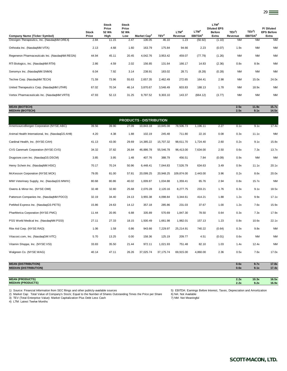**LTM<sup>4</sup>**

| Company Name (Ticker Symbol)                      | <b>Stock</b><br>Price | Price<br>52 Wk<br>High | Price<br>52 Wk<br>Low | Market Cap <sup>2</sup>        | TEV <sup>3</sup> | LTM <sup>4</sup><br>Revenue | LTM <sup>4</sup><br>EBITDA <sup>5</sup> | <b>Diluted EPS</b><br><b>Before</b><br>Extra | TEV <sup>3</sup> /<br>Revenue | TEV <sup>3</sup> /<br>EBITDA <sup>5</sup> | P/Diluted<br><b>EPS Before</b><br>Extra |
|---------------------------------------------------|-----------------------|------------------------|-----------------------|--------------------------------|------------------|-----------------------------|-----------------------------------------|----------------------------------------------|-------------------------------|-------------------------------------------|-----------------------------------------|
| Orexigen Therapeutics, Inc. (NasdaqNM:OREX)       | 2.84                  | 11.15                  | 2.47                  | 136.05                         | 46.10            | 1.23                        | (50.92)                                 | (1.10)                                       | <b>NM</b>                     | <b>NM</b>                                 | <b>NM</b>                               |
| Orthovita Inc. (NasdaqNM:VITA)                    | 2.13                  | 4.68                   | 1.60                  | 163.79                         | 175.84           | 94.66                       | 2.23                                    | (0.07)                                       | 1.9x                          | <b>NM</b>                                 | <b>NM</b>                               |
| Regeneron Pharmaceuticals Inc. (NasdaqNM:REGN)    | 44.94                 | 45.11                  | 20.45                 | 4,042.76                       | 3,953.42         | 459.07                      | (77.79)                                 | (1.26)                                       | ΝM                            | <b>NM</b>                                 | <b>NM</b>                               |
| RTI Biologics, Inc. (NasdaqNM:RTIX)               | 2.86                  | 4.59                   | 2.02                  | 156.85                         | 131.64           | 166.17                      | 14.83                                   | (2.36)                                       | 0.8x                          | 8.9x                                      | <b>NM</b>                               |
| Senomyx Inc. (NasdaqNM:SNMX)                      | 6.04                  | 7.92                   | 3.14                  | 238.91                         | 183.02           | 28.71                       | (8.28)                                  | (0.28)                                       | <b>NM</b>                     | <b>NM</b>                                 | <b>NM</b>                               |
| Techne Corp. (NasdaqNM:TECH)                      | 71.59                 | 73.96                  | 55.63                 | 2,657.35                       | 2,462.49         | 272.65                      | 164.41                                  | 2.98                                         | <b>NM</b>                     | 15.0x                                     | 24.0x                                   |
| United Therapeutics Corp. (NasdaqNM:UTHR)         | 67.02                 | 70.34                  | 46.14                 | 3,870.67                       | 3,548.49         | 603.83                      | 188.13                                  | 1.78                                         | ΝM                            | 18.9x                                     | <b>NM</b>                               |
| Vertex Pharmaceuticals Inc. (NasdaqNM:VRTX)       | 47.93                 | 52.13                  | 31.25                 | 9,797.52                       | 9,303.10         | 143.37                      | (664.12)                                | (3.77)                                       | <b>NM</b>                     | <b>NM</b>                                 | <b>NM</b>                               |
| <b>MEAN (BIOTECH)</b><br><b>MEDIAN (BIOTECH)</b>  |                       |                        |                       |                                |                  |                             |                                         |                                              | 2.5x<br>2.5x                  | 11.9x<br>9.1x                             | 15.7x<br>14.5x                          |
|                                                   |                       |                        |                       | <b>PRODUCTS - DISTRIBUTION</b> |                  |                             |                                         |                                              |                               |                                           |                                         |
| AmerisourceBergen Corporation (NYSE:ABC)          | 39.56                 | 39.90                  | 27.09                 | 10,843.18                      | 10,845.08        | 78,506.73                   | 1,196.11                                | 2.27                                         | 0.1x                          | 9.1x                                      | 17.4x                                   |
| Animal Health International, Inc. (NasdaqGS:AHII) | 4.20                  | 4.38                   | 1.88                  | 102.19                         | 245.48           | 711.80                      | 22.16                                   | 0.08                                         | 0.3x                          | 11.1x                                     | <b>NM</b>                               |
| Cardinal Health, Inc. (NYSE:CAH)                  | 41.13                 | 43.00                  | 29.69                 | 14,385.22                      | 15,707.32        | 98,611.70                   | 1,724.40                                | 2.60                                         | 0.2x                          | 9.1x                                      | 15.8x                                   |
| CVS Caremark Corporation (NYSE:CVS)               | 34.32                 | 37.82                  | 26.84                 | 46,886.78                      | 55,546.78        | 96,413.00                   | 7,634.00                                | 2.50                                         | 0.6x                          | 7.3x                                      | 13.7x                                   |
| Drugstore.com Inc. (NasdaqGS:DSCM)                | 3.85                  | 3.95                   | 1.48                  | 407.76                         | 388.79           | 456.51                      | 7.84                                    | (0.09)                                       | 0.9x                          | <b>NM</b>                                 | <b>NM</b>                               |
| Henry Schein Inc. (NasdaqNM:HSIC)                 | 70.17                 | 70.24                  | 50.96                 | 6,448.41                       | 7,044.83         | 7,526.79                    | 634.63                                  | 3.49                                         | 0.9x                          | 11.1x                                     | 20.1x                                   |
| McKesson Corporation (NYSE:MCK)                   | 79.05                 | 81.00                  | 57.81                 | 20,099.25                      | 20,948.25        | 109,874.00                  | 2,443.00                                | 3.96                                         | 0.2x                          | 8.6x                                      | 20.0x                                   |
| MWI Veterinary Supply, Inc. (NasdaqGS:MWIV)       | 80.68                 | 80.86                  | 40.02                 | 1,009.87                       | 1,034.88         | 1,359.41                    | 65.76                                   | 2.94                                         | 0.8x                          | 15.7x                                     | <b>NM</b>                               |
| Owens & Minor Inc. (NYSE:OMI)                     | 32.48                 | 32.80                  | 25.68                 | 2,070.28                       | 2,120.16         | 8,277.75                    | 233.21                                  | 1.76                                         | 0.3x                          | 9.1x                                      | 18.5x                                   |
| Patterson Companies Inc. (NasdaqNM:PDCO)          | 32.19                 | 34.40                  | 24.13                 | 3,955.38                       | 4,098.84         | 3,344.61                    | 414.21                                  | 1.88                                         | 1.2x                          | 9.9x                                      | 17.1x                                   |
| PetMed Express Inc. (NasdaqGS:PETS)               | 15.86                 | 24.63                  | 14.12                 | 357.18                         | 285.86           | 231.03                      | 37.67                                   | 1.00                                         | 1.2x                          | 7.6x                                      | 15.9x                                   |
| PharMerica Corporation (NYSE:PMC)                 | 11.44                 | 20.95                  | 6.88                  | 335.89                         | 570.69           | 1,847.30                    | 78.50                                   | 0.64                                         | 0.3x                          | 7.3x                                      | 17.9x                                   |
| PSS World Medical Inc. (NasdaqNM:PSSI)            | 27.11                 | 27.33                  | 18.15                 | 1,500.49                       | 1,661.98         | 1,982.01                    | 157.13                                  | 1.23                                         | 0.8x                          | 10.6x                                     | 22.1x                                   |
| Rite Aid Corp. (NYSE:RAD)                         | 1.06                  | 1.58                   | 0.86                  | 943.66                         | 7,229.97         | 25,214.91                   | 740.22                                  | (0.64)                                       | 0.3x                          | 9.8x                                      | <b>NM</b>                               |
| Vitacost.com, Inc. (NasdaqGM:VITC)                | 5.70                  | 13.25                  | 0.00                  | 158.36                         | 125.19           | 209.77                      | 4.51                                    | (0.01)                                       | 0.6x                          | <b>NM</b>                                 | <b>NM</b>                               |
| Vitamin Shoppe, Inc. (NYSE:VSI)                   | 33.83                 | 35.50                  | 21.44                 | 972.11                         | 1,021.93         | 751.48                      | 82.10                                   | 1.03                                         | 1.4x                          | 12.4x                                     | <b>NM</b>                               |
| Walgreen Co. (NYSE:WAG)                           | 40.14                 | 47.11                  | 26.26                 | 37,025.74                      | 37, 175.74       | 69,915.00                   | 4,860.00                                | 2.36                                         | 0.5x                          | 7.6x                                      | 17.0x                                   |
|                                                   |                       |                        |                       |                                |                  |                             |                                         |                                              |                               |                                           |                                         |

**Stock**

**Stock**

## **MEAN (DISTRIBUTION) 0.6x 9.7x 17.8x MEDIAN (DISTRIBUTION) 0.6x 9.1x 17.4x**

**MEAN (PRODUCTS) 2.2x 10.3x 16.5x MEDIAN (PRODUCTS) 2.2x 9.2x 16.9x**

1) Source: Financial Information from SEC filings and other publicly-available sources 5) EBITDA: Earnings Before Interest, Taxes, Depreciation and Amortization<br>2) Market Cap: Total Value of Company's Stock; Equal to the N 2) Market Cap: Total Value of Company's Stock; Equal to the Number of Shares Outstanding Times the Price per Share 6) NA: Not Available<br>3) TEV (Total Enterprise Value): Market Capitalization Plus Debt Less Cash (3) TEV (To

3) TEV (Total Enterprise Value): Market Capitalization Plus Debt Less Cash

4) LTM: Latest Twelve Months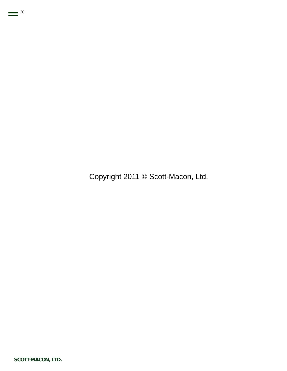Copyright 2011 © Scott-Macon, Ltd.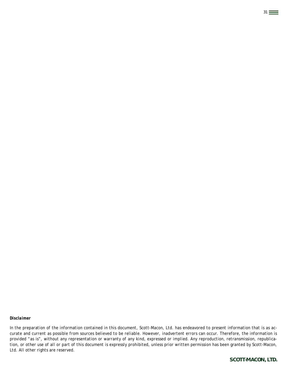*In the preparation of the information contained in this document, Scott-Macon, Ltd. has endeavored to present information that is as accurate and current as possible from sources believed to be reliable. However, inadvertent errors can occur. Therefore, the information is provided "as is", without any representation or warranty of any kind, expressed or implied. Any reproduction, retransmission, republication, or other use of all or part of this document is expressly prohibited, unless prior written permission has been granted by Scott-Macon, Ltd. All other rights are reserved.*